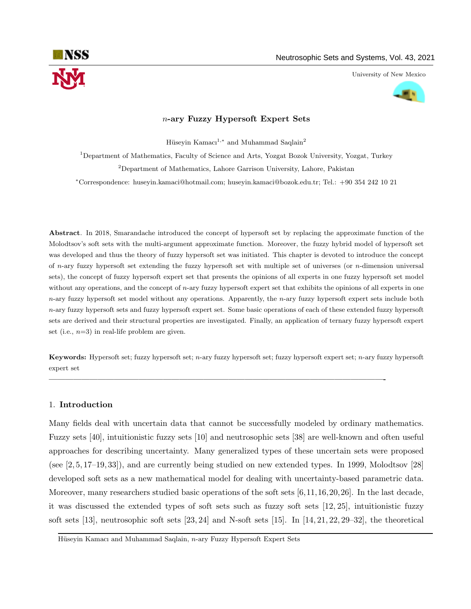

University of New Mexico



# n-ary Fuzzy Hypersoft Expert Sets

Hüseyin Kamacı<sup>1,\*</sup> and Muhammad Saqlain<sup>2</sup>

<sup>1</sup>Department of Mathematics, Faculty of Science and Arts, Yozgat Bozok University, Yozgat, Turkey <sup>2</sup>Department of Mathematics, Lahore Garrison University, Lahore, Pakistan

<sup>∗</sup>Correspondence: huseyin.kamaci@hotmail.com; huseyin.kamaci@bozok.edu.tr; Tel.: +90 354 242 10 21

Abstract. In 2018, Smarandache introduced the concept of hypersoft set by replacing the approximate function of the Molodtsov's soft sets with the multi-argument approximate function. Moreover, the fuzzy hybrid model of hypersoft set was developed and thus the theory of fuzzy hypersoft set was initiated. This chapter is devoted to introduce the concept of  $n$ -ary fuzzy hypersoft set extending the fuzzy hypersoft set with multiple set of universes (or  $n$ -dimension universal sets), the concept of fuzzy hypersoft expert set that presents the opinions of all experts in one fuzzy hypersoft set model without any operations, and the concept of n-ary fuzzy hypersoft expert set that exhibits the opinions of all experts in one  $n$ -ary fuzzy hypersoft set model without any operations. Apparently, the  $n$ -ary fuzzy hypersoft expert sets include both n-ary fuzzy hypersoft sets and fuzzy hypersoft expert set. Some basic operations of each of these extended fuzzy hypersoft sets are derived and their structural properties are investigated. Finally, an application of ternary fuzzy hypersoft expert set (i.e.,  $n=3$ ) in real-life problem are given.

Keywords: Hypersoft set; fuzzy hypersoft set; n-ary fuzzy hypersoft set; fuzzy hypersoft expert set; n-ary fuzzy hypersoft expert set

—————————————————————————————————————————-

## 1. Introduction

Many fields deal with uncertain data that cannot be successfully modeled by ordinary mathematics. Fuzzy sets [40], intuitionistic fuzzy sets [10] and neutrosophic sets [38] are well-known and often useful approaches for describing uncertainty. Many generalized types of these uncertain sets were proposed (see [2, 5, 17–19, 33]), and are currently being studied on new extended types. In 1999, Molodtsov [28] developed soft sets as a new mathematical model for dealing with uncertainty-based parametric data. Moreover, many researchers studied basic operations of the soft sets [6,11,16,20,26]. In the last decade, it was discussed the extended types of soft sets such as fuzzy soft sets [12, 25], intuitionistic fuzzy soft sets [13], neutrosophic soft sets [23, 24] and N-soft sets [15]. In [14, 21, 22, 29–32], the theoretical

Hüseyin Kamacı and Muhammad Saqlain, n-ary Fuzzy Hypersoft Expert Sets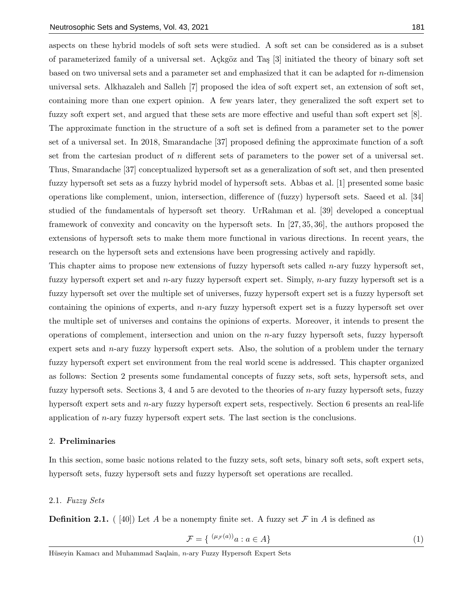aspects on these hybrid models of soft sets were studied. A soft set can be considered as is a subset of parameterized family of a universal set. Açkgöz and Taş [3] initiated the theory of binary soft set based on two universal sets and a parameter set and emphasized that it can be adapted for n-dimension universal sets. Alkhazaleh and Salleh [7] proposed the idea of soft expert set, an extension of soft set, containing more than one expert opinion. A few years later, they generalized the soft expert set to fuzzy soft expert set, and argued that these sets are more effective and useful than soft expert set [8]. The approximate function in the structure of a soft set is defined from a parameter set to the power set of a universal set. In 2018, Smarandache [37] proposed defining the approximate function of a soft set from the cartesian product of  $n$  different sets of parameters to the power set of a universal set. Thus, Smarandache [37] conceptualized hypersoft set as a generalization of soft set, and then presented fuzzy hypersoft set sets as a fuzzy hybrid model of hypersoft sets. Abbas et al. [1] presented some basic operations like complement, union, intersection, difference of (fuzzy) hypersoft sets. Saeed et al. [34] studied of the fundamentals of hypersoft set theory. UrRahman et al. [39] developed a conceptual framework of convexity and concavity on the hypersoft sets. In [27, 35, 36], the authors proposed the extensions of hypersoft sets to make them more functional in various directions. In recent years, the research on the hypersoft sets and extensions have been progressing actively and rapidly.

This chapter aims to propose new extensions of fuzzy hypersoft sets called  $n$ -ary fuzzy hypersoft set, fuzzy hypersoft expert set and n-ary fuzzy hypersoft expert set. Simply, n-ary fuzzy hypersoft set is a fuzzy hypersoft set over the multiple set of universes, fuzzy hypersoft expert set is a fuzzy hypersoft set containing the opinions of experts, and n-ary fuzzy hypersoft expert set is a fuzzy hypersoft set over the multiple set of universes and contains the opinions of experts. Moreover, it intends to present the operations of complement, intersection and union on the n-ary fuzzy hypersoft sets, fuzzy hypersoft expert sets and *n*-ary fuzzy hypersoft expert sets. Also, the solution of a problem under the ternary fuzzy hypersoft expert set environment from the real world scene is addressed. This chapter organized as follows: Section 2 presents some fundamental concepts of fuzzy sets, soft sets, hypersoft sets, and fuzzy hypersoft sets. Sections 3, 4 and 5 are devoted to the theories of  $n$ -ary fuzzy hypersoft sets, fuzzy hypersoft expert sets and n-ary fuzzy hypersoft expert sets, respectively. Section 6 presents an real-life application of n-ary fuzzy hypersoft expert sets. The last section is the conclusions.

## 2. Preliminaries

In this section, some basic notions related to the fuzzy sets, soft sets, binary soft sets, soft expert sets, hypersoft sets, fuzzy hypersoft sets and fuzzy hypersoft set operations are recalled.

## 2.1. Fuzzy Sets

**Definition 2.1.** ( [40]) Let A be a nonempty finite set. A fuzzy set F in A is defined as

$$
\mathcal{F} = \{ (\mu \mathcal{F}^{(a)})_a : a \in A \}
$$
 (1)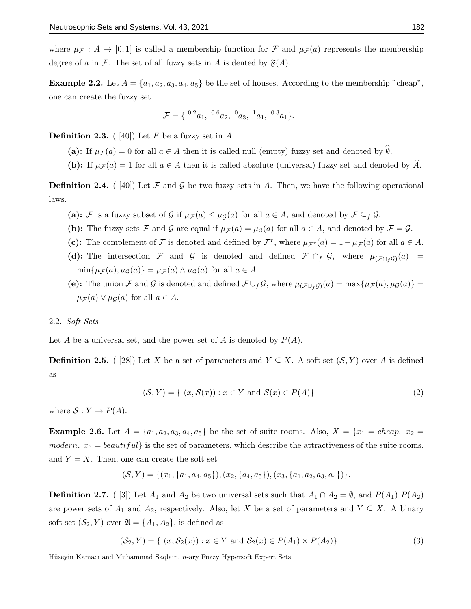where  $\mu_{\mathcal{F}}: A \to [0,1]$  is called a membership function for  $\mathcal{F}$  and  $\mu_{\mathcal{F}}(a)$  represents the membership degree of a in F. The set of all fuzzy sets in A is dented by  $\mathfrak{F}(A)$ .

**Example 2.2.** Let  $A = \{a_1, a_2, a_3, a_4, a_5\}$  be the set of houses. According to the membership "cheap", one can create the fuzzy set

$$
\mathcal{F} = \{ \ {}^{0.2}a_1, \ {}^{0.6}a_2, \ {}^{0}a_3, \ {}^{1}a_1, \ {}^{0.3}a_1 \}.
$$

**Definition 2.3.** ([40]) Let F be a fuzzy set in A.

(a): If  $\mu_{\mathcal{F}}(a) = 0$  for all  $a \in A$  then it is called null (empty) fuzzy set and denoted by  $\widehat{\emptyset}$ .

(b): If  $\mu_{\mathcal{F}}(a) = 1$  for all  $a \in A$  then it is called absolute (universal) fuzzy set and denoted by  $\widehat{A}$ .

**Definition 2.4.** ([40]) Let F and G be two fuzzy sets in A. Then, we have the following operational laws.

- (a): F is a fuzzy subset of G if  $\mu_{\mathcal{F}}(a) \leq \mu_{\mathcal{G}}(a)$  for all  $a \in A$ , and denoted by  $\mathcal{F} \subseteq_f \mathcal{G}$ .
- (b): The fuzzy sets F and G are equal if  $\mu_{\mathcal{F}}(a) = \mu_{\mathcal{G}}(a)$  for all  $a \in A$ , and denoted by  $\mathcal{F} = \mathcal{G}$ .
- (c): The complement of F is denoted and defined by  $\mathcal{F}^r$ , where  $\mu_{\mathcal{F}^r}(a) = 1 \mu_{\mathcal{F}}(a)$  for all  $a \in A$ .
- (d): The intersection F and G is denoted and defined  $\mathcal{F} \cap_f \mathcal{G}$ , where  $\mu_{(\mathcal{F} \cap_f \mathcal{G})}(a)$  =  $\min\{\mu_{\mathcal{F}}(a), \mu_{\mathcal{G}}(a)\} = \mu_{\mathcal{F}}(a) \wedge \mu_{\mathcal{G}}(a)$  for all  $a \in A$ .
- (e): The union F and G is denoted and defined  $\mathcal{F} \cup_f \mathcal{G}$ , where  $\mu_{(\mathcal{F} \cup_f \mathcal{G})}(a) = \max\{\mu_{\mathcal{F}}(a), \mu_{\mathcal{G}}(a)\}$  $\mu_{\mathcal{F}}(a) \vee \mu_{\mathcal{G}}(a)$  for all  $a \in A$ .

## 2.2. Soft Sets

Let A be a universal set, and the power set of A is denoted by  $P(A)$ .

**Definition 2.5.** ( [28]) Let X be a set of parameters and  $Y \subseteq X$ . A soft set  $(S, Y)$  over A is defined as

$$
(\mathcal{S}, Y) = \{ (x, \mathcal{S}(x)) : x \in Y \text{ and } \mathcal{S}(x) \in P(A) \}
$$
\n
$$
(2)
$$

where  $S: Y \to P(A)$ .

**Example 2.6.** Let  $A = \{a_1, a_2, a_3, a_4, a_5\}$  be the set of suite rooms. Also,  $X = \{x_1 = cheap, x_2 =$ modern,  $x_3 = beautiful$  is the set of parameters, which describe the attractiveness of the suite rooms, and  $Y = X$ . Then, one can create the soft set

$$
(\mathcal{S}, Y) = \{(x_1, \{a_1, a_4, a_5\}), (x_2, \{a_4, a_5\}), (x_3, \{a_1, a_2, a_3, a_4\})\}.
$$

**Definition 2.7.** ( [3]) Let  $A_1$  and  $A_2$  be two universal sets such that  $A_1 \cap A_2 = \emptyset$ , and  $P(A_1)$   $P(A_2)$ are power sets of  $A_1$  and  $A_2$ , respectively. Also, let X be a set of parameters and  $Y \subseteq X$ . A binary soft set  $(S_2, Y)$  over  $\mathfrak{A} = \{A_1, A_2\}$ , is defined as

$$
(\mathcal{S}_2, Y) = \{ (x, \mathcal{S}_2(x)) : x \in Y \text{ and } \mathcal{S}_2(x) \in P(A_1) \times P(A_2) \}
$$
 (3)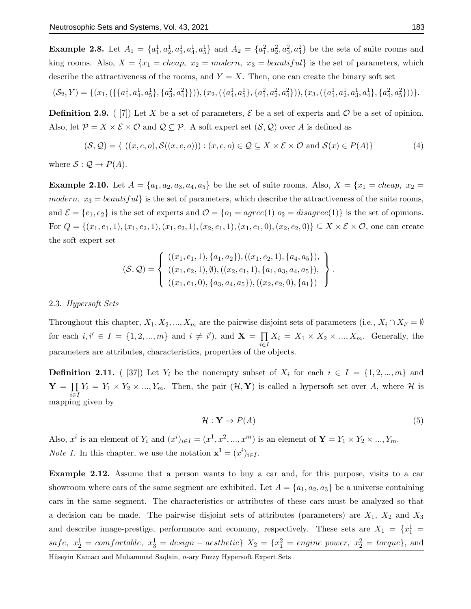**Example 2.8.** Let  $A_1 = \{a_1^1, a_2^1, a_3^1, a_4^1, a_5^1\}$  and  $A_2 = \{a_1^2, a_2^2, a_3^2, a_4^2\}$  be the sets of suite rooms and king rooms. Also,  $X = \{x_1 = cheap, x_2 = modern, x_3 = beautiful\}$  is the set of parameters, which describe the attractiveness of the rooms, and  $Y = X$ . Then, one can create the binary soft set

$$
(\mathcal{S}_2, Y) = \{ (x_1, (\{\{a_1^1, a_4^1, a_5^1\}, \{a_3^2, a_4^2\}\})), (x_2, (\{a_4^1, a_5^1\}, \{a_1^2, a_2^2, a_4^2\})), (x_3, (\{a_1^1, a_2^1, a_3^1, a_4^1\}, \{a_4^2, a_5^2\})) \}.
$$

**Definition 2.9.** (  $[7]$ ) Let X be a set of parameters,  $\mathcal{E}$  be a set of experts and  $\mathcal{O}$  be a set of opinion. Also, let  $\mathcal{P} = X \times \mathcal{E} \times \mathcal{O}$  and  $\mathcal{Q} \subseteq \mathcal{P}$ . A soft expert set  $(\mathcal{S}, \mathcal{Q})$  over A is defined as

$$
(\mathcal{S}, \mathcal{Q}) = \{ ((x, e, o), \mathcal{S}((x, e, o))) : (x, e, o) \in \mathcal{Q} \subseteq X \times \mathcal{E} \times \mathcal{O} \text{ and } \mathcal{S}(x) \in P(A) \}
$$
(4)

where  $S: \mathcal{Q} \to P(A)$ .

**Example 2.10.** Let  $A = \{a_1, a_2, a_3, a_4, a_5\}$  be the set of suite rooms. Also,  $X = \{x_1 = cheap, x_2 =$ modern,  $x_3 = beautiful$  is the set of parameters, which describe the attractiveness of the suite rooms, and  $\mathcal{E} = \{e_1, e_2\}$  is the set of experts and  $\mathcal{O} = \{o_1 = agree(1) \ o_2 = disagree(1)\}\$ is the set of opinions. For  $Q = \{(x_1, e_1, 1), (x_1, e_2, 1), (x_1, e_2, 1), (x_2, e_1, 1), (x_1, e_1, 0), (x_2, e_2, 0)\}\subseteq X \times \mathcal{E} \times \mathcal{O}$ , one can create the soft expert set

$$
(\mathcal{S}, \mathcal{Q}) = \left\{ \begin{array}{l} ((x_1, e_1, 1), \{a_1, a_2\}), ((x_1, e_2, 1), \{a_4, a_5\}), \\ ((x_1, e_2, 1), \emptyset), ((x_2, e_1, 1), \{a_1, a_3, a_4, a_5\}), \\ ((x_1, e_1, 0), \{a_3, a_4, a_5\}), ((x_2, e_2, 0), \{a_1\}) \end{array} \right\}.
$$

#### 2.3. Hypersoft Sets

Throughout this chapter,  $X_1, X_2, ..., X_m$  are the pairwise disjoint sets of parameters (i.e.,  $X_i \cap X_{i'} = \emptyset$ for each  $i, i' \in I = \{1, 2, ..., m\}$  and  $i \neq i'$ , and  $\mathbf{X} = \prod$ i∈I  $X_i = X_1 \times X_2 \times \dots, X_m$ . Generally, the parameters are attributes, characteristics, properties of the objects.

**Definition 2.11.** ( [37]) Let  $Y_i$  be the nonempty subset of  $X_i$  for each  $i \in I = \{1, 2, ..., m\}$  and  $\mathbf{Y} = \prod$ i∈I  $Y_i = Y_1 \times Y_2 \times ..., Y_m$ . Then, the pair  $(\mathcal{H}, \mathbf{Y})$  is called a hypersoft set over A, where  $\mathcal{H}$  is mapping given by

$$
\mathcal{H}: \mathbf{Y} \to P(A) \tag{5}
$$

Also,  $x^i$  is an element of  $Y_i$  and  $(x^i)_{i\in I} = (x^1, x^2, ..., x^m)$  is an element of  $\mathbf{Y} = Y_1 \times Y_2 \times ..., Y_m$ . *Note 1*. In this chapter, we use the notation  $\mathbf{x}^{\mathbf{I}} = (x^i)_{i \in I}$ .

Example 2.12. Assume that a person wants to buy a car and, for this purpose, visits to a car showroom where cars of the same segment are exhibited. Let  $A = \{a_1, a_2, a_3\}$  be a universe containing cars in the same segment. The characteristics or attributes of these cars must be analyzed so that a decision can be made. The pairwise disjoint sets of attributes (parameters) are  $X_1$ ,  $X_2$  and  $X_3$ and describe image-prestige, performance and economy, respectively. These sets are  $X_1 = \{x_1^1 =$  $safe, x_2^1 = comfortable, x_3^1 = design -aesthetic\}$   $X_2 = \{x_1^2 = engineer, x_2^2 = torque\}$ , and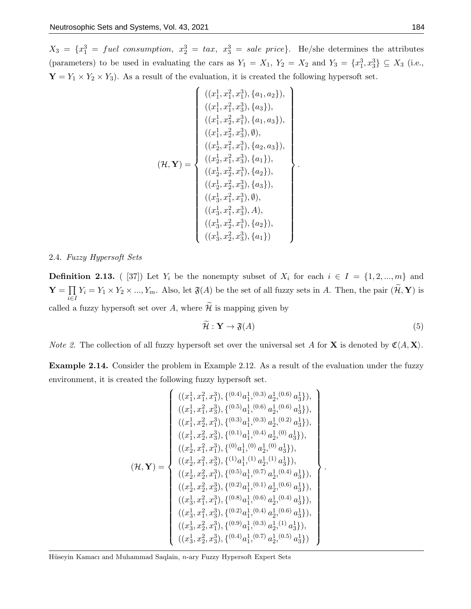$X_3 = \{x_1^3 = \text{fuel consumption}, x_2^3 = \text{tax}, x_3^3 = \text{ sale price}\}.$  He/she determines the attributes (parameters) to be used in evaluating the cars as  $Y_1 = X_1, Y_2 = X_2$  and  $Y_3 = \{x_1^3, x_3^3\} \subseteq X_3$  (i.e.,  $\mathbf{Y} = Y_1 \times Y_2 \times Y_3$ . As a result of the evaluation, it is created the following hypersoft set.

$$
(\mathcal{H}, \mathbf{Y}) = \begin{cases} ((x_1^1, x_1^2, x_1^3), \{a_1, a_2\}), \\ ((x_1^1, x_1^2, x_3^3), \{a_3\}), \\ ((x_1^1, x_2^2, x_1^3), \{a_1, a_3\}), \\ ((x_1^1, x_2^2, x_3^3), \emptyset), \\ ((x_2^1, x_1^2, x_1^3), \{a_2, a_3\}), \\ ((x_2^1, x_1^2, x_3^3), \{a_1\}), \\ ((x_2^1, x_2^2, x_3^3), \{a_2\}), \\ ((x_2^1, x_2^2, x_3^3), \{a_3\}), \\ ((x_3^1, x_1^2, x_1^3), \emptyset), \\ ((x_3^1, x_2^2, x_3^3), \{a_2\}), \\ ((x_3^1, x_2^2, x_3^3), \{a_2\}), \\ ((x_3^1, x_2^2, x_3^3), \{a_1\}) \end{cases}
$$

## 2.4. Fuzzy Hypersoft Sets

**Definition 2.13.** ( [37]) Let  $Y_i$  be the nonempty subset of  $X_i$  for each  $i \in I = \{1, 2, ..., m\}$  and  $\mathbf{Y} = \prod$  $\prod_{i\in I} Y_i = Y_1 \times Y_2 \times ..., Y_m$ . Also, let  $\mathfrak{F}(A)$  be the set of all fuzzy sets in A. Then, the pair  $(\mathcal{H}, \mathbf{Y})$  is called a fuzzy hypersoft set over A, where  $\widetilde{\mathcal{H}}$  is mapping given by

$$
\tilde{\mathcal{H}}: \mathbf{Y} \to \mathfrak{F}(A) \tag{5}
$$

.

*Note 2.* The collection of all fuzzy hypersoft set over the universal set A for **X** is denoted by  $\mathfrak{C}(A, \mathbf{X})$ .

Example 2.14. Consider the problem in Example 2.12. As a result of the evaluation under the fuzzy environment, it is created the following fuzzy hypersoft set.

$$
(\mathcal{H}, \mathbf{Y}) = \begin{cases} ((x_1^1, x_1^2, x_1^3), \{^{(0.4)}a_1^1, ^{(0.3)}a_2^1, ^{(0.6)}a_3^1\}), \\ ((x_1^1, x_1^2, x_3^3), \{^{(0.5)}a_1^1, ^{(0.6)}a_2^1, ^{(0.6)}a_3^1\}), \\ ((x_1^1, x_2^2, x_1^3), \{^{(0.3)}a_1^1, ^{(0.4)}a_2^1, ^{(0.2)}a_3^1\}), \\ ((x_1^1, x_2^2, x_3^3), \{^{(0.1)}a_1^1, ^{(0.4)}a_2^1, ^{(0)}a_3^1\}), \\ ((x_2^1, x_1^2, x_1^3), \{^{(0)}a_1^1, ^{(0)}a_2^1, ^{(0)}a_3^1\}), \\ ((x_2^1, x_1^2, x_3^3), \{^{(1)}a_1^1, ^{(1)}a_2^1, ^{(1)}a_3^1\}), \\ ((x_2^1, x_2^2, x_3^3), \{^{(0.5)}a_1^1, ^{(0.7)}a_2^1, ^{(0.4)}a_3^1\}), \\ ((x_3^1, x_1^2, x_1^3), \{^{(0.8)}a_1^1, ^{(0.6)}a_2^1, ^{(0.4)}a_3^1\}), \\ ((x_3^1, x_1^2, x_3^3), \{^{(0.2)}a_1^1, ^{(0.4)}a_2^1, ^{(0.4)}a_3^1\}), \\ ((x_3^1, x_2^2, x_3^3), \{^{(0.2)}a_1^1, ^{(0.4)}a_2^1, ^{(0.6)}a_3^1\}), \\ ((x_3^1, x_2^2, x_3^3), \{^{(0.4)}a_1^1, ^{(0.3)}a_2^1, ^{(1)}a_3^1\}), \\ ((x_3^1, x_2^2, x_3^3), \{^{(0.4)}a_1^1, ^{(0.7)}a_2^1, ^{(0.5)}a_3^1\}) \end{cases}
$$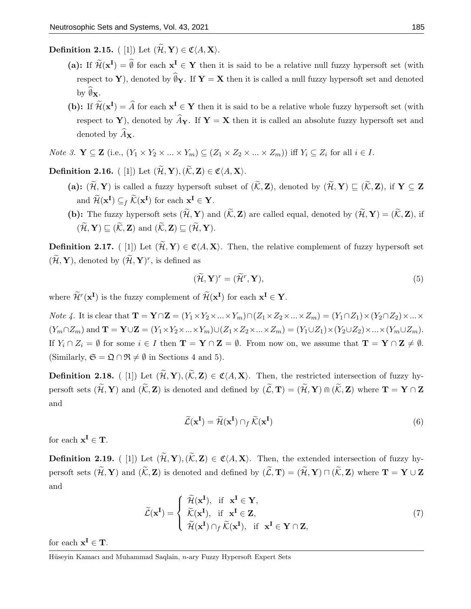Definition 2.15. ( [1]) Let  $(\widetilde{\mathcal{H}}, Y) \in \mathfrak{C}(A, X)$ .

- (a): If  $\widetilde{\mathcal{H}}(\mathbf{x}^{\mathbf{I}}) = \emptyset$  for each  $\mathbf{x}^{\mathbf{I}} \in \mathbf{Y}$  then it is said to be a relative null fuzzy hypersoft set (with respect to Y), denoted by  $\widehat{\emptyset}_Y$ . If  $Y = X$  then it is called a null fuzzy hypersoft set and denoted by  $\mathbf{\emptyset}_{\mathbf{X}}$ .
- (b): If  $\widetilde{\mathcal{H}}(\mathbf{x}^{\mathbf{I}}) = \widehat{A}$  for each  $\mathbf{x}^{\mathbf{I}} \in \mathbf{Y}$  then it is said to be a relative whole fuzzy hypersoft set (with respect to Y), denoted by  $\widehat{A}_{Y}$ . If Y = X then it is called an absolute fuzzy hypersoft set and denoted by  $\widehat{A}_{\mathbf{X}}$ .
- *Note 3.*  $\mathbf{Y} \subseteq \mathbf{Z}$  (i.e.,  $(Y_1 \times Y_2 \times ... \times Y_m) \subseteq (Z_1 \times Z_2 \times ... \times Z_m)$ ) iff  $Y_i \subseteq Z_i$  for all  $i \in I$ .

Definition 2.16. ([1]) Let  $(\widetilde{\mathcal{H}}, \mathbf{Y}), (\widetilde{\mathcal{K}}, \mathbf{Z}) \in \mathfrak{C}(A, \mathbf{X}).$ 

- (a):  $(\widetilde{\mathcal{H}}, Y)$  is called a fuzzy hypersoft subset of  $(\widetilde{\mathcal{K}}, Z)$ , denoted by  $(\widetilde{\mathcal{H}}, Y) \sqsubseteq (\widetilde{\mathcal{K}}, Z)$ , if  $Y \subseteq Z$ and  $\widetilde{\mathcal{H}}(\mathbf{x}^{\mathbf{I}}) \subseteq_f \widetilde{\mathcal{K}}(\mathbf{x}^{\mathbf{I}})$  for each  $\mathbf{x}^{\mathbf{I}} \in \mathbf{Y}$ .
- (b): The fuzzy hypersoft sets  $(\widetilde{\mathcal{H}}, Y)$  and  $(\widetilde{\mathcal{K}}, Z)$  are called equal, denoted by  $(\widetilde{\mathcal{H}}, Y) = (\widetilde{\mathcal{K}}, Z)$ , if  $(\widetilde{\mathcal{H}}, \mathbf{Y}) \sqsubset (\widetilde{\mathcal{K}}, \mathbf{Z})$  and  $(\widetilde{\mathcal{K}}, \mathbf{Z}) \sqsubset (\widetilde{\mathcal{H}}, \mathbf{Y}).$

**Definition 2.17.** ([1]) Let  $(\widetilde{\mathcal{H}}, Y) \in \mathfrak{C}(A, X)$ . Then, the relative complement of fuzzy hypersoft set  $(\widetilde{\mathcal{H}}, \mathbf{Y})$ , denoted by  $(\widetilde{\mathcal{H}}, \mathbf{Y})^r$ , is defined as

$$
(\widetilde{\mathcal{H}}, \mathbf{Y})^r = (\widetilde{\mathcal{H}}^r, \mathbf{Y}),\tag{5}
$$

where  $\widetilde{\mathcal{H}}^r(\mathbf{x}^{\mathbf{I}})$  is the fuzzy complement of  $\widetilde{\mathcal{H}}(\mathbf{x}^{\mathbf{I}})$  for each  $\mathbf{x}^{\mathbf{I}} \in \mathbf{Y}$ .

*Note 4.* It is clear that  $\mathbf{T} = \mathbf{Y} \cap \mathbf{Z} = (Y_1 \times Y_2 \times ... \times Y_m) \cap (Z_1 \times Z_2 \times ... \times Z_m) = (Y_1 \cap Z_1) \times (Y_2 \cap Z_2) \times ... \times Y_m$  $(Y_m \cap Z_m)$  and  $\mathbf{T} = \mathbf{Y} \cup \mathbf{Z} = (Y_1 \times Y_2 \times ... \times Y_m) \cup (Z_1 \times Z_2 \times ... \times Z_m) = (Y_1 \cup Z_1) \times (Y_2 \cup Z_2) \times ... \times (Y_m \cup Z_m).$ If  $Y_i \cap Z_i = \emptyset$  for some  $i \in I$  then  $\mathbf{T} = \mathbf{Y} \cap \mathbf{Z} = \emptyset$ . From now on, we assume that  $\mathbf{T} = \mathbf{Y} \cap \mathbf{Z} \neq \emptyset$ . (Similarly,  $\mathfrak{S} = \mathfrak{Q} \cap \mathfrak{R} \neq \emptyset$  in Sections 4 and 5).

**Definition 2.18.** ([1]) Let  $(\widetilde{\mathcal{H}}, Y), (\widetilde{\mathcal{K}}, Z) \in \mathfrak{C}(A, X)$ . Then, the restricted intersection of fuzzy hypersoft sets  $(\widetilde{\mathcal{H}}, Y)$  and  $(\widetilde{\mathcal{K}}, Z)$  is denoted and defined by  $(\widetilde{\mathcal{L}}, T) = (\widetilde{\mathcal{H}}, Y) \oplus (\widetilde{\mathcal{K}}, Z)$  where  $T = Y \cap Z$ and

$$
\widetilde{\mathcal{L}}(\mathbf{x}^{\mathbf{I}}) = \widetilde{\mathcal{H}}(\mathbf{x}^{\mathbf{I}}) \cap_{f} \widetilde{\mathcal{K}}(\mathbf{x}^{\mathbf{I}})
$$
\n(6)

for each  $x^I \in T$ .

**Definition 2.19.** ( [1]) Let  $(\widetilde{\mathcal{H}}, Y), (\widetilde{\mathcal{K}}, Z) \in \mathfrak{C}(A, X)$ . Then, the extended intersection of fuzzy hypersoft sets  $(\widetilde{\mathcal{H}}, Y)$  and  $(\widetilde{\mathcal{K}}, \mathbf{Z})$  is denoted and defined by  $(\widetilde{\mathcal{L}}, T) = (\widetilde{\mathcal{H}}, Y) \sqcap (\widetilde{\mathcal{K}}, Z)$  where  $T = Y \cup Z$ and

$$
\widetilde{\mathcal{L}}(\mathbf{x}^{\mathbf{I}}) = \begin{cases}\n\widetilde{\mathcal{H}}(\mathbf{x}^{\mathbf{I}}), & \text{if } \mathbf{x}^{\mathbf{I}} \in \mathbf{Y}, \\
\widetilde{\mathcal{K}}(\mathbf{x}^{\mathbf{I}}), & \text{if } \mathbf{x}^{\mathbf{I}} \in \mathbf{Z}, \\
\widetilde{\mathcal{H}}(\mathbf{x}^{\mathbf{I}}) \cap_{f} \widetilde{\mathcal{K}}(\mathbf{x}^{\mathbf{I}}), & \text{if } \mathbf{x}^{\mathbf{I}} \in \mathbf{Y} \cap \mathbf{Z},\n\end{cases}
$$
\n(7)

for each  $x^I \in T$ .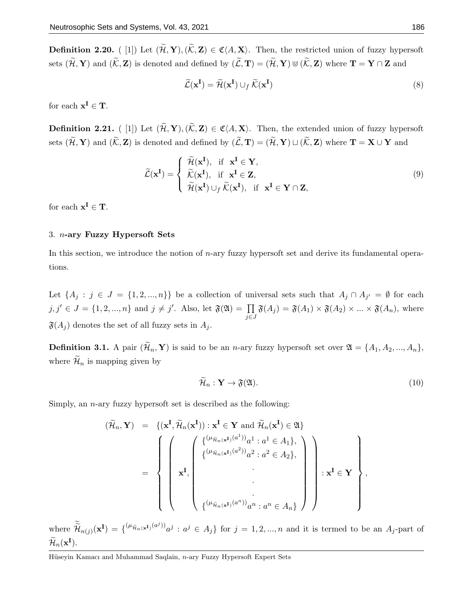**Definition 2.20.** (1) Let  $(\widetilde{\mathcal{H}}, Y), (\widetilde{\mathcal{K}}, Z) \in \mathfrak{C}\langle A, X\rangle$ . Then, the restricted union of fuzzy hypersoft sets  $(\widetilde{\mathcal{H}}, Y)$  and  $(\widetilde{\mathcal{K}}, Z)$  is denoted and defined by  $(\widetilde{\mathcal{L}}, T) = (\widetilde{\mathcal{H}}, Y) \cup (\widetilde{\mathcal{K}}, Z)$  where  $T = Y \cap Z$  and

$$
\widetilde{\mathcal{L}}(\mathbf{x}^{\mathbf{I}}) = \widetilde{\mathcal{H}}(\mathbf{x}^{\mathbf{I}}) \cup_{f} \widetilde{\mathcal{K}}(\mathbf{x}^{\mathbf{I}})
$$
\n(8)

for each  $x^I \in T$ .

**Definition 2.21.** ( [1]) Let  $(\widetilde{\mathcal{H}}, Y), (\widetilde{\mathcal{K}}, Z) \in \mathfrak{C}\langle A, X \rangle$ . Then, the extended union of fuzzy hypersoft sets  $(\widetilde{\mathcal{H}}, Y)$  and  $(\widetilde{\mathcal{K}}, Z)$  is denoted and defined by  $(\widetilde{\mathcal{L}}, T) = (\widetilde{\mathcal{H}}, Y) \sqcup (\widetilde{\mathcal{K}}, Z)$  where  $T = X \cup Y$  and

$$
\widetilde{\mathcal{L}}(\mathbf{x}^{\mathbf{I}}) = \begin{cases}\n\widetilde{\mathcal{H}}(\mathbf{x}^{\mathbf{I}}), & \text{if } \mathbf{x}^{\mathbf{I}} \in \mathbf{Y}, \\
\widetilde{\mathcal{K}}(\mathbf{x}^{\mathbf{I}}), & \text{if } \mathbf{x}^{\mathbf{I}} \in \mathbf{Z}, \\
\widetilde{\mathcal{H}}(\mathbf{x}^{\mathbf{I}}) \cup_{f} \widetilde{\mathcal{K}}(\mathbf{x}^{\mathbf{I}}), & \text{if } \mathbf{x}^{\mathbf{I}} \in \mathbf{Y} \cap \mathbf{Z},\n\end{cases}
$$
\n(9)

for each  $x^I \in T$ .

## 3. n-ary Fuzzy Hypersoft Sets

In this section, we introduce the notion of n-ary fuzzy hypersoft set and derive its fundamental operations.

Let  $\{A_j : j \in J = \{1, 2, ..., n\}\}\$ be a collection of universal sets such that  $A_j \cap A_{j'} = \emptyset$  for each  $j, j' \in J = \{1, 2, ..., n\}$  and  $j \neq j'$ . Also, let  $\mathfrak{F}(\mathfrak{A}) = \prod$ j∈J  $\mathfrak{F}(A_j) = \mathfrak{F}(A_1) \times \mathfrak{F}(A_2) \times \ldots \times \mathfrak{F}(A_n)$ , where  $\mathfrak{F}(A_j)$  denotes the set of all fuzzy sets in  $A_j$ .

**Definition 3.1.** A pair  $(\widetilde{\mathcal{H}}_n, \mathbf{Y})$  is said to be an *n*-ary fuzzy hypersoft set over  $\mathfrak{A} = \{A_1, A_2, ..., A_n\}$ , where  $\widetilde{\mathcal{H}}_n$  is mapping given by

$$
\widetilde{\mathcal{H}}_n: \mathbf{Y} \to \mathfrak{F}(\mathfrak{A}).\tag{10}
$$

,

Simply, an *n*-ary fuzzy hypersoft set is described as the following:

(Hen, <sup>Y</sup>) = {(<sup>x</sup> I , <sup>H</sup>en(<sup>x</sup> I )) : x <sup>I</sup> <sup>∈</sup> <sup>Y</sup> and <sup>H</sup>en(<sup>x</sup> I ) ∈ A} = x I , { (µHen(xI) (a 1 )) a 1 : a <sup>1</sup> ∈ A1}, { (µHen(xI) (a 2 )) a 2 : a <sup>2</sup> ∈ A2}, . . . { (µHen(xI) (a <sup>n</sup>)) a n : a <sup>n</sup> ∈ An} : x <sup>I</sup> ∈ Y 

where  $\widetilde{H}_{n(j)}(\mathbf{x}^{\mathbf{I}}) = \{ (\mu_{\widetilde{\mathcal{H}}_n(\mathbf{x}^{\mathbf{I}})}(a^j))_{i} a^j : a^j \in A_j \}$  for  $j = 1, 2, ..., n$  and it is termed to be an  $A_j$ -part of  $\widetilde{\mathcal{H}}_n(\mathbf{x^I}).$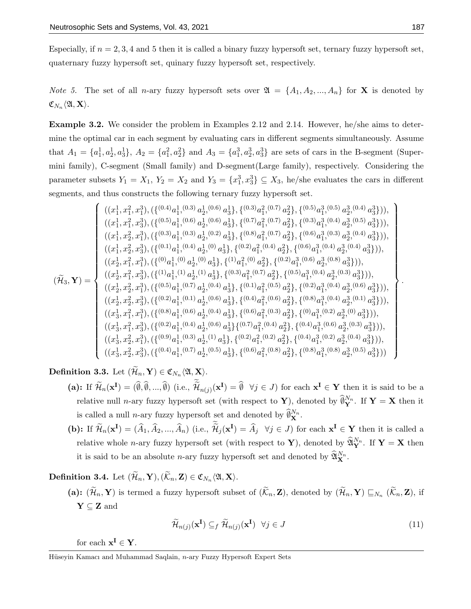Especially, if  $n = 2, 3, 4$  and 5 then it is called a binary fuzzy hypersoft set, ternary fuzzy hypersoft set, quaternary fuzzy hypersoft set, quinary fuzzy hypersoft set, respectively.

*Note 5.* The set of all *n*-ary fuzzy hypersoft sets over  $\mathfrak{A} = \{A_1, A_2, ..., A_n\}$  for **X** is denoted by  $\mathfrak{C}_{N_n}\langle\mathfrak{A}, \mathbf{X}\rangle.$ 

Example 3.2. We consider the problem in Examples 2.12 and 2.14. However, he/she aims to determine the optimal car in each segment by evaluating cars in different segments simultaneously. Assume that  $A_1 = \{a_1^1, a_2^1, a_3^1\}, A_2 = \{a_1^2, a_2^2\}$  and  $A_3 = \{a_1^3, a_2^3, a_3^3\}$  are sets of cars in the B-segment (Supermini family), C-segment (Small family) and D-segment(Large family), respectively. Considering the parameter subsets  $Y_1 = X_1$ ,  $Y_2 = X_2$  and  $Y_3 = \{x_1^3, x_3^3\} \subseteq X_3$ , he/she evaluates the cars in different segments, and thus constructs the following ternary fuzzy hypersoft set.

$$
(\widetilde{\mathcal{H}}_{3},\mathbf{Y}) = \begin{cases} ((x_{1}^{1},x_{1}^{2},x_{1}^{3}),(\{(^{0.4})a_{1}^{1},{}^{(0.3)}a_{2}^{1},{}^{(0.6)}a_{3}^{1}\},\{(^{0.3)}a_{1}^{2},{}^{(0.7)}a_{2}^{2}\},\{(^{0.5)}a_{1}^{3},{}^{(0.5)}a_{2}^{3},{}^{(0.4)}a_{3}^{3}\})),\\ ((x_{1}^{1},x_{1}^{2},x_{3}^{3}),(\{(^{0.5})a_{1}^{1},{}^{(0.6)}a_{2}^{1},{}^{(0.6)}a_{3}^{1}\},\{(^{0.8)}a_{1}^{2},{}^{(0.7)}a_{2}^{2}\},\{(^{0.6)}a_{1}^{3},{}^{(0.4)}a_{2}^{3},{}^{(0.5)}a_{3}^{3}\})),\\ ((x_{1}^{1},x_{2}^{2},x_{1}^{3}),(\{(^{0.1})a_{1}^{1},{}^{(0.4)}a_{2}^{1},{}^{(0.2)}a_{3}^{1}\},\{(^{0.8)}a_{1}^{2},{}^{(0.4)}a_{2}^{2}\},\{(^{0.6)}a_{1}^{3},{}^{(0.4)}a_{2}^{3},{}^{(0.4)}a_{3}^{3}\})),\\ ((x_{2}^{1},x_{1}^{2},x_{1}^{3}),(\{(^{0.1})a_{1}^{1},{}^{(0.4)}a_{2}^{1},{}^{(0)}a_{3}^{1}\},\{(^{0.2})a_{1}^{2},{}^{(0.4)}a_{2}^{2}\},\{(^{0.6)}a_{1}^{3},{}^{(0.4)}a_{2}^{3},{}^{(0.4)}a_{3}^{3}\})),\\ ((x_{2}^{1},x_{1}^{2},x_{3}^{3}),(\{(^{10}a_{1}^{1},{}^{(1)}a_{2}^{1},{}^{(1)}a_{3}^{1}\},\{(^{0.3)}a_{1}^{2},{}^{(0.7)}a_{2}^{2}\},\{(^{0.2)}a_{1}^{3},{}^{(0.4)}a_{2}^{3},{}^{(0.8)}a_{3}^{3}\})),\\ ((x_{2}^{1},x_{2}^{2},x_{3}^{3}),(\{(^{0.5})a_{1}^{1},{}^{(0.1)}a_{2
$$

**Definition 3.3.** Let  $(\mathcal{H}_n, \mathbf{Y}) \in \mathfrak{C}_{N_n}\langle\mathfrak{A}, \mathbf{X}\rangle$ .

- (a): If  $\widetilde{\mathcal{H}}_n(\mathbf{x}^{\mathbf{I}}) = (\widetilde{\emptyset}, \widetilde{\emptyset}, ..., \widetilde{\emptyset})$  (i.e.,  $\widetilde{\mathcal{H}}_{n(j)}(\mathbf{x}^{\mathbf{I}}) = \widetilde{\emptyset} \ \forall j \in J$ ) for each  $\mathbf{x}^{\mathbf{I}} \in \mathbf{Y}$  then it is said to be a relative null *n*-ary fuzzy hypersoft set (with respect to **Y**), denoted by  $\widehat{\theta}_{\mathbf{Y}}^{N_n}$ . If **Y** = **X** then it is called a null *n*-ary fuzzy hypersoft set and denoted by  $\widehat{\theta}_{\mathbf{X}}^{N_n}$ .
- (b): If  $\widetilde{\mathcal{H}}_n(\mathbf{x}^{\mathbf{I}}) = (\widehat{A}_1, \widehat{A}_2, ..., \widehat{A}_n)$  (i.e.,  $\widetilde{\mathcal{H}}_j(\mathbf{x}^{\mathbf{I}}) = \widehat{A}_j \quad \forall j \in J$ ) for each  $\mathbf{x}^{\mathbf{I}} \in \mathbf{Y}$  then it is called a relative whole *n*-ary fuzzy hypersoft set (with respect to **Y**), denoted by  $\widehat{\mathfrak{A}}_{\mathbf{Y}}^{N_n}$ . If  $\mathbf{Y} = \mathbf{X}$  then it is said to be an absolute *n*-ary fuzzy hypersoft set and denoted by  $\widehat{\mathfrak{A}}_{\mathbf{X}}^{N_n}$ .

**Definition 3.4.** Let  $(\mathcal{H}_n, \mathbf{Y}), (\mathcal{K}_n, \mathbf{Z}) \in \mathfrak{C}_{N_n}\langle \mathfrak{A}, \mathbf{X} \rangle$ .

(a):  $(\mathcal{H}_n, \mathbf{Y})$  is termed a fuzzy hypersoft subset of  $(\mathcal{K}_n, \mathbf{Z})$ , denoted by  $(\mathcal{H}_n, \mathbf{Y}) \sqsubseteq_{N_n} (\mathcal{K}_n, \mathbf{Z})$ , if  $Y \subseteq Z$  and

$$
\widetilde{\mathcal{H}}_{n(j)}(\mathbf{x}^{\mathbf{I}}) \subseteq_{f} \widetilde{\mathcal{H}}_{n(j)}(\mathbf{x}^{\mathbf{I}}) \quad \forall j \in J
$$
\n(11)

for each  $x^I \in Y$ .

Hüseyin Kamacı and Muhammad Saqlain, n-ary Fuzzy Hypersoft Expert Sets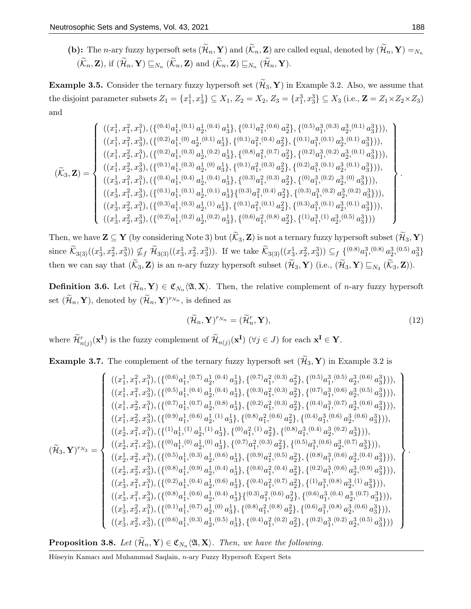(b): The *n*-ary fuzzy hypersoft sets  $(\widetilde{\mathcal{H}}_n, \mathbf{Y})$  and  $(\widetilde{\mathcal{K}}_n, \mathbf{Z})$  are called equal, denoted by  $(\widetilde{\mathcal{H}}_n, \mathbf{Y}) = N_n$  $(\mathcal{K}_n, \mathbf{Z})$ , if  $(\mathcal{H}_n, \mathbf{Y}) \sqsubseteq_{N_n} (\mathcal{K}_n, \mathbf{Z})$  and  $(\mathcal{K}_n, \mathbf{Z}) \sqsubseteq_{N_n} (\mathcal{H}_n, \mathbf{Y})$ .

**Example 3.5.** Consider the ternary fuzzy hypersoft set  $(\widetilde{\mathcal{H}}_3, \mathbf{Y})$  in Example 3.2. Also, we assume that the disjoint parameter subsets  $Z_1 = \{x_1^1, x_3^1\} \subseteq X_1, Z_2 = X_2, Z_3 = \{x_1^3, x_3^3\} \subseteq X_3$  (i.e.,  $\mathbf{Z} = Z_1 \times Z_2 \times Z_3$ ) and

$$
\left(\tilde{\mathcal{K}}_3,\mathbf{Z}\right)=\left\{\begin{array}{l}((x^1_1,x^2_1,x^3_1),(\{(^{0.4})a^1_1,^{(0.1)}a^1_2,^{(0.4)}a^1_3\},\{(^{0.1})a^2_1,^{(0.6)}a^2_2\},\{(^{0.5)}a^3_1,^{(0.1)}a^3_3\})),\\ ((x^1_1,x^2_1,x^3_3),(\{(^{0.2})a^1_1,^{(0)}a^1_2,^{(0.1)}a^1_3\},\{(^{0.1})a^2_1,^{(0.4)}a^2_2\},\{(^{0.1})a^3_1,^{(0.1)}a^3_3,^{(0.1)}a^3_3\})),\\ ((x^1_1,x^2_2,x^3_1),(\{(^{0.2})a^1_1,^{(0.3)}a^1_2,^{(0.2)}a^1_3\},\{(^{0.8})a^2_1,^{(0.7)}a^2_2\},\{(^{0.2})a^3_1,^{(0.2)}a^3_2,^{(0.1)}a^3_3\})),\\ ((x^1_1,x^2_2,x^3_3),(\{(^{0.1})a^1_1,^{(0.3)}a^1_2,^{(0.4)}a^1_3\},\{(^{0.1})a^2_1,^{(0.3)}a^2_2\},\{(^{0.2})a^3_1,^{(0.1)}a^3_3,^{(0.1)}a^3_3\})),\\ ((x^1_3,x^2_1,x^3_1),(\{(^{0.4})a^1_1,^{(0.1)}a^1_2,^{(0.4)}a^1_3\},\{(^{0.3})a^2_1,^{(0.3)}a^2_2\},\{(^{0.3})a^3_1,^{(0.2)}a^3_2,^{(0.2)}a^3_3\})),\\ ((x^1_3,x^2_2,x^3_1),(\{(^{0.3})a^1_1,^{(0.3)}a^1_2,^{(1)}a^1_3\},\{(^{0.1})a^2_1,^{(0.4)}a^2_2\},\{(^{0.3})a^3_1,^{(0.2)}a^3_2,^{(0.2)}a^3_3\})),\\ ((x^1_3,x^2_2,x^3_3),(\{(
$$

Then, we have  $\mathbf{Z} \subseteq \mathbf{Y}$  (by considering Note 3) but  $(\widetilde{\mathcal{K}}_3, \mathbf{Z})$  is not a ternary fuzzy hypersoft subset  $(\widetilde{\mathcal{H}}_3, \mathbf{Y})$ since  $\widetilde{\mathcal{K}}_{3(3)}((x_3^1, x_2^2, x_3^3)) \nsubseteq_f \widetilde{\mathcal{H}}_{3(3)}((x_3^1, x_2^2, x_3^3))$ . If we take  $\widetilde{\mathcal{K}}_{3(3)}((x_3^1, x_2^2, x_3^3)) \subseteq_f \{^{(0.8)}a_1^3, {}^{(0.8)}a_2^3, {}^{(0.5)}a_3^3\}$ then we can say that  $(\mathcal{K}_3, \mathbf{Z})$  is an *n*-ary fuzzy hypersoft subset  $(\mathcal{H}_3, \mathbf{Y})$  (i.e.,  $(\mathcal{H}_3, \mathbf{Y}) \sqsubseteq_{N_3} (\mathcal{K}_3, \mathbf{Z})$ ).

**Definition 3.6.** Let  $(\mathcal{H}_n, \mathbf{Y}) \in \mathfrak{C}_{N_n}\langle\mathfrak{A}, \mathbf{X}\rangle$ . Then, the relative complement of *n*-ary fuzzy hypersoft set  $(\widetilde{\mathcal{H}}_n, \mathbf{Y})$ , denoted by  $(\widetilde{\mathcal{H}}_n, \mathbf{Y})^{r_{N_n}}$ , is defined as

$$
(\widetilde{\mathcal{H}}_n, \mathbf{Y})^{r_{N_n}} = (\widetilde{\mathcal{H}}_n^r, \mathbf{Y}), \tag{12}
$$

where  $\widetilde{\mathcal{H}}_{n(j)}^r(\mathbf{x}^{\mathbf{I}})$  is the fuzzy complement of  $\widetilde{\mathcal{H}}_{n(j)}(\mathbf{x}^{\mathbf{I}})$  ( $\forall j \in J$ ) for each  $\mathbf{x}^{\mathbf{I}} \in \mathbf{Y}$ .

**Example 3.7.** The complement of the ternary fuzzy hypersoft set  $(\widetilde{\mathcal{H}}_3, \mathbf{Y})$  in Example 3.2 is

$$
(\widetilde{\mathcal{H}}_{3},\mathbf{Y})^{r_{N_{3}}} = \begin{cases} ((x_{1}^{1},x_{1}^{2},x_{1}^{3}),(\{(^{0.6})a_{1}^{1},(^{0.7})a_{2}^{1},(^{0.4})a_{3}^{1}\},\{(^{0.7})a_{1}^{2},(^{0.3})a_{2}^{2}\},\{(^{0.5})a_{1}^{3},(^{0.6})a_{2}^{3},(^{0.6})a_{3}^{3}\})),\\ ((x_{1}^{1},x_{2}^{2},x_{1}^{3}),(\{(^{0.7})a_{1}^{1},(^{0.7})a_{2}^{1},(^{0.8})a_{3}^{1}\},\{(^{0.2})a_{1}^{2},(^{0.3})a_{2}^{2}\},\{(^{0.4})a_{1}^{3},(^{0.7)}a_{2}^{3},(^{0.6})a_{3}^{3}\})),\\ ((x_{1}^{1},x_{2}^{2},x_{1}^{3}),(\{(^{0.9})a_{1}^{1},(^{0.6})a_{2}^{1},(^{1)}a_{3}^{1}\},\{(^{0.8})a_{1}^{2},(^{0.6})a_{2}^{2}\},\{(^{0.4})a_{1}^{3},(^{0.6})a_{2}^{3},(^{0.6})a_{3}^{3}\})),\\ ((x_{2}^{1},x_{1}^{2},x_{1}^{3}),(\{(^{10}a_{1}^{1},(^{1)}a_{2}^{1},(^{1)}a_{3}^{1}\},\{(^{0.6})a_{1}^{2},(^{1)}a_{2}^{2}\},\{(^{0.8})a_{1}^{3},(^{0.4})a_{2}^{3},(^{0.2)}a_{3}^{3}\})),\\ ((x_{2}^{1},x_{2}^{2},x_{3}^{3}),(\{(^{0.6})a_{1}^{1},(^{0.3})a_{2}^{1},(^{0.6})a_{3}^{1}\},\{(^{0.7})a_{1}^{2},(^{0.3})a_{2}^{2}\},\{(^{0.8})a_{1}^{3},(^{0.6})a_{2}^{3},(^{0.7)}a_{3}^{3}\})),\\ ((x_{2}^{1},x_{2}^{2},x_{3}^{3}),(\{(^{0.8})a_{1}^{1},(^{0.9})a_{2}^{1},(^{0.4})a_{3}^{1}\},\{(^{
$$

**Proposition 3.8.** Let  $(\mathcal{H}_n, \mathbf{Y}) \in \mathfrak{C}_{N_n}\langle \mathfrak{A}, \mathbf{X} \rangle$ . Then, we have the following.

Hüseyin Kamacı and Muhammad Saqlain, n-ary Fuzzy Hypersoft Expert Sets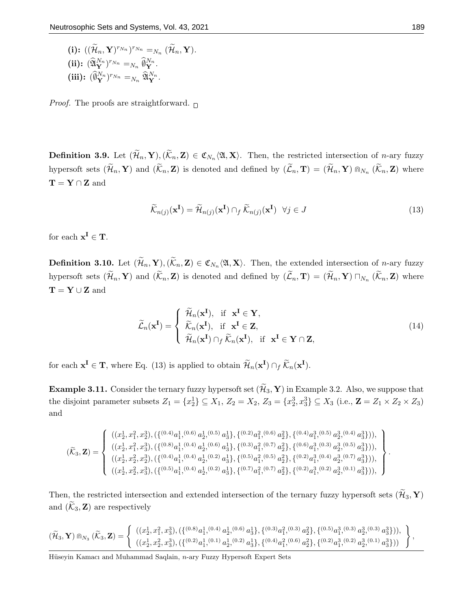(i):  $((\widetilde{\mathcal{H}}_n, \mathbf{Y})^{r_{N_n}})^{r_{N_n}} = N_n (\widetilde{\mathcal{H}}_n, \mathbf{Y}).$ (ii):  $(\widehat{\mathfrak{A}}_{\mathbf{Y}}^{N_n})^{r_{N_n}} =_{N_n} \widehat{\mathfrak{g}}_{\mathbf{Y}}^{N_n}.$ (iii):  $(\widehat{\emptyset}_{\mathbf{Y}}^{N_n})^{r_{N_n}} =_{N_n} \widehat{\mathfrak{A}}_{\mathbf{Y}}^{N_n}.$ 

*Proof.* The proofs are straightforward.  $\Box$ 

**Definition 3.9.** Let  $(\mathcal{H}_n, \mathbf{Y}), (\mathcal{K}_n, \mathbf{Z}) \in \mathfrak{C}_{N_n}\langle\mathfrak{A}, \mathbf{X}\rangle$ . Then, the restricted intersection of *n*-ary fuzzy hypersoft sets  $(\widetilde{\mathcal{H}}_n, \mathbf{Y})$  and  $(\widetilde{\mathcal{K}}_n, \mathbf{Z})$  is denoted and defined by  $(\widetilde{\mathcal{L}}_n, \mathbf{T}) = (\widetilde{\mathcal{H}}_n, \mathbf{Y}) \cap N_{N_n} (\widetilde{\mathcal{K}}_n, \mathbf{Z})$  where  $T = Y \cap Z$  and

$$
\widetilde{\mathcal{K}}_{n(j)}(\mathbf{x}^{\mathbf{I}}) = \widetilde{\mathcal{H}}_{n(j)}(\mathbf{x}^{\mathbf{I}}) \cap_{f} \widetilde{\mathcal{K}}_{n(j)}(\mathbf{x}^{\mathbf{I}}) \quad \forall j \in J
$$
\n(13)

for each  $x^I \in T$ .

**Definition 3.10.** Let  $(\mathcal{H}_n, \mathbf{Y}), (\mathcal{K}_n, \mathbf{Z}) \in \mathfrak{C}_{N_n}\langle \mathfrak{A}, \mathbf{X} \rangle$ . Then, the extended intersection of *n*-ary fuzzy hypersoft sets  $(\mathcal{H}_n, \mathbf{Y})$  and  $(\mathcal{K}_n, \mathbf{Z})$  is denoted and defined by  $(\mathcal{L}_n, \mathbf{T}) = (\mathcal{H}_n, \mathbf{Y}) \sqcap_{N_n} (\mathcal{K}_n, \mathbf{Z})$  where  $\mathbf{T} = \mathbf{Y} \cup \mathbf{Z}$  and

$$
\widetilde{\mathcal{L}}_n(\mathbf{x}^{\mathbf{I}}) = \begin{cases}\n\widetilde{\mathcal{H}}_n(\mathbf{x}^{\mathbf{I}}), & \text{if } \mathbf{x}^{\mathbf{I}} \in \mathbf{Y}, \\
\widetilde{\mathcal{K}}_n(\mathbf{x}^{\mathbf{I}}), & \text{if } \mathbf{x}^{\mathbf{I}} \in \mathbf{Z}, \\
\widetilde{\mathcal{H}}_n(\mathbf{x}^{\mathbf{I}}) \cap_f \widetilde{\mathcal{K}}_n(\mathbf{x}^{\mathbf{I}}), & \text{if } \mathbf{x}^{\mathbf{I}} \in \mathbf{Y} \cap \mathbf{Z},\n\end{cases}
$$
\n(14)

for each  $\mathbf{x}^{\mathbf{I}} \in \mathbf{T}$ , where Eq. (13) is applied to obtain  $\widetilde{\mathcal{H}}_n(\mathbf{x}^{\mathbf{I}}) \cap_f \widetilde{\mathcal{K}}_n(\mathbf{x}^{\mathbf{I}})$ .

**Example 3.11.** Consider the ternary fuzzy hypersoft set  $(\widetilde{\mathcal{H}}_3, \mathbf{Y})$  in Example 3.2. Also, we suppose that the disjoint parameter subsets  $Z_1 = \{x_2^1\} \subseteq X_1, Z_2 = X_2, Z_3 = \{x_2^3, x_3^3\} \subseteq X_3$  (i.e.,  $\mathbb{Z} = Z_1 \times Z_2 \times Z_3$ ) and

$$
(\widetilde{\mathcal{K}}_3,\mathbf{Z})=\left\{\begin{array}{l}((x_2^1,x_1^2,x_2^3),(\{(^{0.4})a_1^1,^{(0.6)}a_2^1,^{(0.5)}a_3^1\},\{(^{0.2})a_1^2,^{(0.6)}a_2^2\},\{(^{0.4})a_1^3,^{(0.5)}a_2^3,^{(0.4)}a_3^3\})),\\ ((x_2^1,x_1^2,x_3^3),(\{(^{0.8})a_1^1,^{(0.4)}a_2^1,^{(0.6)}a_3^1\},\{(^{0.3})a_1^2,^{(0.7)}a_2^2\},\{(^{0.6})a_1^3,^{(0.3)}a_2^3,^{(0.5)}a_3^3\})),\\ ((x_2^1,x_2^2,x_2^3),(\{(^{0.4})a_1^1,^{(0.4)}a_2^1,^{(0.2)}a_3^1\},\{(^{0.5})a_1^2,^{(0.5)}a_2^2\},\{(^{0.2})a_1^3,^{(0.4)}a_2^3,^{(0.7)}a_3^3\})),\\ ((x_2^1,x_2^2,x_3^3),(\{(^{0.5})a_1^1,^{(0.4)}a_2^1,^{(0.2)}a_3^1\},\{(^{0.7})a_1^2,^{(0.7)}a_2^2\},\{(^{0.2})a_1^3,^{(0.2)}a_2^3,^{(0.1)}a_3^3\})),\end{array}\right\}.
$$

Then, the restricted intersection and extended intersection of the ternary fuzzy hypersoft sets  $(\widetilde{\mathcal{H}}_3, \mathbf{Y})$ and  $(\widetilde{\mathcal{K}}_3, \mathbf{Z})$  are respectively

$$
(\widetilde{\mathcal{H}}_3,\mathbf{Y})\Cap_{N_3}(\widetilde{\mathcal{K}}_3,\mathbf{Z})=\left\{\begin{array}{l}((x_2^1,x_1^2,x_3^3),(\{(^{0.8})a_1^1,(^{0.4})\ a_2^1,(^{0.6})\ a_3^1\},\{(^{0.3)}a_1^2,(^{0.3)}\ a_2^2\},\{(^{0.5)}a_1^3,(^{0.3)}\ a_2^3,(^{0.3)}\ a_3^3\})),\\ ((x_2^1,x_2^2,x_3^3),(\{(^{0.2)}a_1^1,(^{0.1)}\ a_2^1,(^{0.2)}\ a_3^1\},\{(^{0.4)}a_1^2,(^{0.6)}\ a_2^2\},\{(^{0.2)}a_1^3,(^{0.2)}\ a_2^3,(^{0.1)}\ a_3^3\}))\end{array}\right\},
$$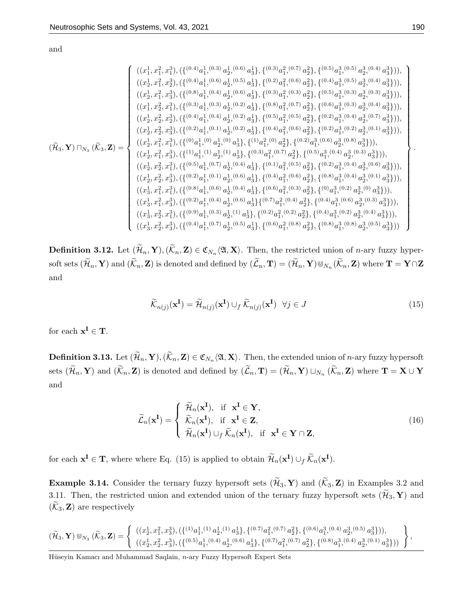and

$$
\left(\tilde{H}_{3},\mathbf{Y}\right)\sqcap_{N_{3}}\left(\tilde{K}_{3},\mathbf{Z}\right)=\begin{cases}((x_{1}^{1},x_{1}^{2},x_{1}^{3}),\{((0.4)}_{a_{1}^{1},(0.6)}\,a_{2}^{1},(0.5)}\,a_{3}^{1}\},\{(0.2)^{1},(0.5)^{1},(0.6)^{1},(0.6)^{1},(0.6)^{1},(0.6)^{1},(0.6)^{1},(0.6)^{1},(0.6)^{1},(0.6)^{1},(0.6)^{1},(0.6)^{1},(0.6)^{1},(0.6)^{1},(0.6)^{1},(0.6)^{1},(0.6)^{1},(0.6)^{1},(0.6)^{1},(0.6)^{1},(0.6)^{1},(0.6)^{1},(0.6)^{1},(0.6)^{1},(0.6)^{1},(0.6)^{1},(0.6)^{1},(0.6)^{1},(0.6)^{1},(0.6)^{1},(0.6)^{1},(0.6)^{1},(0.6)^{1},(0.6)^{1},(0.6)^{1},(0.6)^{1},(0.6)^{1},(0.6)^{1},(0.6)^{1},(0.6)^{1},(0.6)^{1},(0.6)^{1},(0.6)^{1},(0.6)^{1},(0.6)^{1},(0.6)^{1},(0.6)^{1},(0.6)^{1},(0.6)^{1},(0.6)^{1},(0.6)^{1},(0.6)^{1},(0.6)^{1},(0.6)^{1},(0.6)^{1},(0.6)^{1},(0.6)^{1},(0.6)^{1},(0.6)^{1},(0.6)^{1},(0.6)^{1},(0.6)^{1},(0.6)^{1},(0.6)^{1},(0.6)^{1},(0.6)^{1},(0.6)^{1},(0.6)^{1},(0.6)^{1},(0.6)^{1},(0.6)^{1},(0.6)^{1},(0.6)^{1},(0.6)^{1},(0.6)^{1},(0.6)^{1},(0.6)^{1},(0.6)^{1},(0.6)^{1},(0.6)^{1},(0.6)^
$$

**Definition 3.12.** Let  $(\mathcal{H}_n, \mathbf{Y}), (\mathcal{K}_n, \mathbf{Z}) \in \mathfrak{C}_{N_n}\langle\mathfrak{A}, \mathbf{X}\rangle$ . Then, the restricted union of *n*-ary fuzzy hypersoft sets  $(\widetilde{\mathcal{H}}_n, \mathbf{Y})$  and  $(\widetilde{\mathcal{K}}_n, \mathbf{Z})$  is denoted and defined by  $(\widetilde{\mathcal{L}}_n, \mathbf{T}) = (\widetilde{\mathcal{H}}_n, \mathbf{Y}) \cup_{N_n} (\widetilde{\mathcal{K}}_n, \mathbf{Z})$  where  $\mathbf{T} = \mathbf{Y} \cap \mathbf{Z}$ and

$$
\widetilde{\mathcal{K}}_{n(j)}(\mathbf{x}^{\mathbf{I}}) = \widetilde{\mathcal{H}}_{n(j)}(\mathbf{x}^{\mathbf{I}}) \cup_{f} \widetilde{\mathcal{K}}_{n(j)}(\mathbf{x}^{\mathbf{I}}) \quad \forall j \in J
$$
\n(15)

for each  $x^I \in T$ .

**Definition 3.13.** Let  $(\mathcal{H}_n, \mathbf{Y}), (\mathcal{K}_n, \mathbf{Z}) \in \mathfrak{C}_{N_n}\langle \mathfrak{A}, \mathbf{X} \rangle$ . Then, the extended union of *n*-ary fuzzy hypersoft sets  $(\mathcal{H}_n, \mathbf{Y})$  and  $(\mathcal{K}_n, \mathbf{Z})$  is denoted and defined by  $(\mathcal{L}_n, \mathbf{T}) = (\mathcal{H}_n, \mathbf{Y}) \sqcup_{N_n} (\mathcal{K}_n, \mathbf{Z})$  where  $\mathbf{T} = \mathbf{X} \cup \mathbf{Y}$ and

$$
\widetilde{\mathcal{L}}_n(\mathbf{x}^{\mathbf{I}}) = \begin{cases}\n\widetilde{\mathcal{H}}_n(\mathbf{x}^{\mathbf{I}}), & \text{if } \mathbf{x}^{\mathbf{I}} \in \mathbf{Y}, \\
\widetilde{\mathcal{K}}_n(\mathbf{x}^{\mathbf{I}}), & \text{if } \mathbf{x}^{\mathbf{I}} \in \mathbf{Z}, \\
\widetilde{\mathcal{H}}_n(\mathbf{x}^{\mathbf{I}}) \cup_f \widetilde{\mathcal{K}}_n(\mathbf{x}^{\mathbf{I}}), & \text{if } \mathbf{x}^{\mathbf{I}} \in \mathbf{Y} \cap \mathbf{Z},\n\end{cases}
$$
\n(16)

for each  $\mathbf{x}^{\mathbf{I}} \in \mathbf{T}$ , where where Eq. (15) is applied to obtain  $\widetilde{\mathcal{H}}_n(\mathbf{x}^{\mathbf{I}}) \cup_f \widetilde{\mathcal{K}}_n(\mathbf{x}^{\mathbf{I}})$ .

**Example 3.14.** Consider the ternary fuzzy hypersoft sets  $(\widetilde{\mathcal{H}}_3, \mathbf{Y})$  and  $(\widetilde{\mathcal{K}}_3, \mathbf{Z})$  in Examples 3.2 and 3.11. Then, the restricted union and extended union of the ternary fuzzy hypersoft sets  $(\mathcal{H}_3, \mathbf{Y})$  and  $(\mathcal{K}_3, \mathbf{Z})$  are respectively

$$
(\widetilde{\mathcal{H}}_3,\mathbf{Y})\Cup_{N_3}(\widetilde{\mathcal{K}}_3,\mathbf{Z})=\left\{\begin{array}{l}((x_2^1,x_1^2,x_3^3),(\{{^{(1)}}a_1^{1, (1)}}\,a_2^{1, (1)}\,a_3^{1}\},\{{^{(0.7)}}a_1^2, {^{(0.7)}}\,a_2^2\},\{{^{(0.6)}}a_1^3, {^{(0.4)}}\,a_2^3, {^{(0.5)}}\,a_3^3\})),\\ ((x_2^1,x_2^2,x_3^3),(\{{^{(0.5)}}a_1^1, {^{(0.4)}}\,a_2^1, {^{(0.6)}}\,a_3^1\},\{{^{(0.7)}}a_1^2, {^{(0.7)}}\,a_2^2\},\{{^{(0.8)}}a_1^3, {^{(0.4)}}\,a_2^3, {^{(0.1)}}\,a_3^3\}))\end{array}\right\},
$$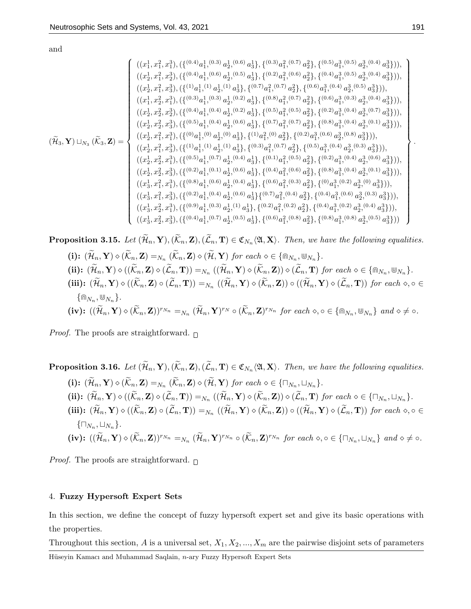and

$$
\left(\tilde{H}_3,\mathbf{Y}) \sqcup_{N_3} (\tilde{K}_3,\mathbf{Z}) = \begin{cases}\n((x_1^1,x_1^2,x_1^3),\{(1^{(0.4)}a_1^1,(0.6)\ a_2^1,(0.5)\ a_3^1\},\{(0.2)^2a_1^2,(0.6)\ a_2^2\},\{(0.6)^2a_1^3,(0.5)\ a_2^3,(0.4)\ a_3^3\})), \\
((x_2^1,x_1^2,x_2^3),\{(1^{(1)}a_1^1,(1)\ a_2^1,(1)\ a_3^1\},\{(0.7)^2a_1^2,(0.7)\ a_2^2\},\{(0.6)^2a_1^3,(0.4)\ a_2^3,(0.4)\ a_3^3\})), \\
((x_1^1,x_2^2,x_1^3),\{(1^{(0.3)}a_1^1,(0.3)\ a_2^1,(0.2)\ a_3^1\},\{(0.8)^2a_1^2,(0.7)\ a_2^2\},\{(0.6)^2a_1^3,(0.4)\ a_2^3,(0.4)\ a_3^3\})), \\
((x_2^1,x_2^2,x_2^3),\{(1^{(0.4)}a_1^1,(0.4)\ a_2^1,(0.2)\ a_3^1\},\{(0.6)^2a_1^2,(0.5)\ a_2^2\},\{(0.6)^2a_1^3,(0.4)\ a_2^3,(0.4)\ a_3^3\})), \\
((x_2^1,x_2^2,x_3^3),\{(1^{(0.5)}a_1^1,(0.4)\ a_2^1,(0.6)\ a_3^1\},\{(10.7)^2a_1^2,(0.7)\ a_2^2\},\{(0.8)^2a_1^3,(0.4)\ a_2^3,(0.1)\ a_3^3\})), \\
((x_2^1,x_1^2,x_1^3),\{(1^{(0)}a_1^1,(0)\ a_2^1,(0.6)\ a_3^1\},\{(1^{(0.3)}a_1^2,(0.7)\ a_2^2\},\{(0.8)^2a_1^3,(0.4)\ a_2^3,(0.4)\ a_3^3\})), \\
((x_2^1,x_1^2,x_3^3),\{(1^{(1)}a_1^1,(1)\ a_2^1,(1)\ a_3^1\
$$

**Proposition 3.15.** Let  $(\mathcal{H}_n, \mathbf{Y}), (\mathcal{K}_n, \mathbf{Z}), (\mathcal{L}_n, \mathbf{T}) \in \mathfrak{C}_{N_n}\langle\mathfrak{A}, \mathbf{X}\rangle$ . Then, we have the following equalities. (i):  $(\widetilde{\mathcal{H}}_n, \mathbf{Y}) \diamond (\widetilde{\mathcal{K}}_n, \mathbf{Z}) =_{N_n} (\widetilde{\mathcal{K}}_n, \mathbf{Z}) \diamond (\widetilde{\mathcal{H}}, \mathbf{Y})$  for each  $\diamond \in \{\widehat{\mathbb{N}}_{N_n}, \mathbb{U}_{N_n}\}.$ (ii):  $(\widetilde{\mathcal{H}}_n, \mathbf{Y}) \diamond ((\widetilde{\mathcal{K}}_n, \mathbf{Z}) \diamond (\widetilde{\mathcal{L}}_n, \mathbf{T})) =_{N_n} ((\widetilde{\mathcal{H}}_n, \mathbf{Y}) \diamond (\widetilde{\mathcal{K}}_n, \mathbf{Z})) \diamond (\widetilde{\mathcal{L}}_n, \mathbf{T}) \text{ for each } \diamond \in {\mathbb{R}}_{N_n}, \mathbb{W}_{N_n}$ (iii):  $(\mathcal{H}_n, \mathbf{Y}) \diamond ((\mathcal{K}_n, \mathbf{Z}) \circ (\mathcal{L}_n, \mathbf{T})) =_{N_n} ((\mathcal{H}_n, \mathbf{Y}) \diamond (\mathcal{K}_n, \mathbf{Z})) \circ ((\mathcal{H}_n, \mathbf{Y}) \diamond (\mathcal{L}_n, \mathbf{T}))$  for each  $\diamond, \circ \in$  $\{\Cap_{N_n}, \Cup_{N_n}\}.$  $(iv): ((\widetilde{\mathcal{H}}_n, \mathbf{Y}) \diamond (\widetilde{\mathcal{K}}_n, \mathbf{Z}))^{r_{N_n}} =_{N_n} (\widetilde{\mathcal{H}}_n, \mathbf{Y})^{r_{N}} \circ (\widetilde{\mathcal{K}}_n, \mathbf{Z})^{r_{N_n}} \text{ for each } \diamond, \diamond \in {\mathbb{R}}_{N_n}, \mathbb{W}_{N_n} \text{ and } \diamond \neq \diamond.$ 

*Proof.* The proofs are straightforward.  $\Box$ 

**Proposition 3.16.** Let  $(\mathcal{H}_n, \mathbf{Y}), (\mathcal{K}_n, \mathbf{Z}), (\mathcal{L}_n, \mathbf{T}) \in \mathfrak{C}_{N_n}\langle\mathfrak{A}, \mathbf{X}\rangle$ . Then, we have the following equalities. (i):  $(\mathcal{H}_n, \mathbf{Y}) \diamond (\mathcal{K}_n, \mathbf{Z}) =_{N_n} (\mathcal{K}_n, \mathbf{Z}) \diamond (\mathcal{H}, \mathbf{Y})$  for each  $\diamond \in {\{\sqcap_{N_n}, \sqcup_{N_n}\}}$ . (ii):  $(\mathcal{H}_n, \mathbf{Y}) \diamond ((\mathcal{K}_n, \mathbf{Z}) \diamond (\mathcal{L}_n, \mathbf{T})) =_{N_n} ((\mathcal{H}_n, \mathbf{Y}) \diamond (\mathcal{K}_n, \mathbf{Z})) \diamond (\mathcal{L}_n, \mathbf{T}) \text{ for each } \diamond \in {\{\Box_{N_n}, \Box_{N_n}\}}.$ (iii):  $(\mathcal{H}_n, \mathbf{Y}) \diamond ((\mathcal{K}_n, \mathbf{Z}) \circ (\mathcal{L}_n, \mathbf{T})) =_{N_n} ((\mathcal{H}_n, \mathbf{Y}) \diamond (\mathcal{K}_n, \mathbf{Z})) \circ ((\mathcal{H}_n, \mathbf{Y}) \diamond (\mathcal{L}_n, \mathbf{T}))$  for each  $\diamond, \circ \in$  $\{\Box_{N_n}, \Box_{N_n}\}.$  $(iv): ((\widetilde{\mathcal{H}}_n, \mathbf{Y}) \diamond (\widetilde{\mathcal{K}}_n, \mathbf{Z}))^{r_{N_n}} =_{N_n} (\widetilde{\mathcal{H}}_n, \mathbf{Y})^{r_{N_n}} \circ (\widetilde{\mathcal{K}}_n, \mathbf{Z})^{r_{N_n}} \text{ for each } \diamond, \diamond \in {\{\sqcap_{N_n}, \sqcup_{N_n}\}} \text{ and } \diamond \neq \diamond.$ 

*Proof.* The proofs are straightforward.  $\Box$ 

#### 4. Fuzzy Hypersoft Expert Sets

In this section, we define the concept of fuzzy hypersoft expert set and give its basic operations with the properties.

Throughout this section, A is a universal set,  $X_1, X_2, ..., X_m$  are the pairwise disjoint sets of parameters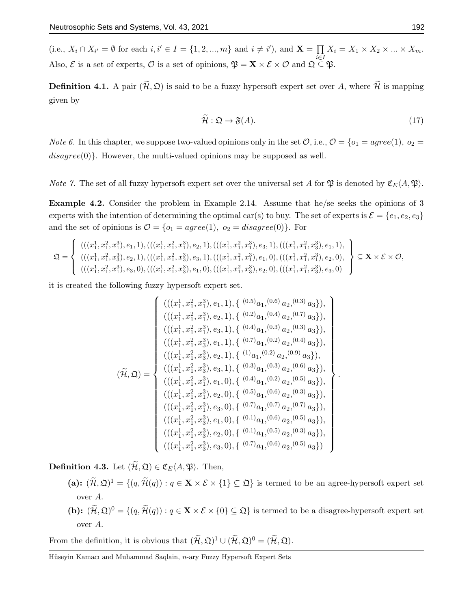(i.e.,  $X_i \cap X_{i'} = \emptyset$  for each  $i, i' \in I = \{1, 2, ..., m\}$  and  $i \neq i'$ ), and  $\mathbf{X} = \prod$ i∈I  $X_i = X_1 \times X_2 \times \ldots \times X_m.$ Also,  $\mathcal{E}$  is a set of experts,  $\mathcal{O}$  is a set of opinions,  $\mathfrak{P} = \mathbf{X} \times \mathcal{E} \times \mathcal{O}$  and  $\mathfrak{Q} \subseteq \mathfrak{P}$ .

**Definition 4.1.** A pair  $(\widetilde{\mathcal{H}}, \mathcal{Q})$  is said to be a fuzzy hypersoft expert set over A, where  $\widetilde{\mathcal{H}}$  is mapping given by

$$
\widetilde{\mathcal{H}}: \mathfrak{Q} \to \mathfrak{F}(A). \tag{17}
$$

*Note 6.* In this chapter, we suppose two-valued opinions only in the set  $\mathcal{O}$ , i.e.,  $\mathcal{O} = \{o_1 = agree(1), o_2 =$  $disagree(0)$ . However, the multi-valued opinions may be supposed as well.

*Note 7.* The set of all fuzzy hypersoft expert set over the universal set A for  $\mathfrak{P}$  is denoted by  $\mathfrak{C}_E(A, \mathfrak{P})$ .

Example 4.2. Consider the problem in Example 2.14. Assume that he/se seeks the opinions of 3 experts with the intention of determining the optimal car(s) to buy. The set of experts is  $\mathcal{E} = \{e_1, e_2, e_3\}$ and the set of opinions is  $\mathcal{O} = \{o_1 = agree(1), o_2 = disagree(0)\}.$  For

$$
\mathfrak{Q} = \left\{\n\begin{array}{l}\n(((x_1^1, x_1^2, x_1^3), e_1, 1), (((x_1^1, x_1^2, x_1^3), e_2, 1), (((x_1^1, x_1^2, x_1^3), e_3, 1), (((x_1^1, x_1^2, x_3^3), e_1, 1), \\
(((x_1^1, x_1^2, x_3^3), e_2, 1), (((x_1^1, x_1^2, x_3^3), e_3, 1), (((x_1^1, x_1^2, x_1^3), e_1, 0), (((x_1^1, x_1^2, x_1^3), e_2, 0), \\
(((x_1^1, x_1^2, x_1^3), e_3, 0), (((x_1^1, x_1^2, x_3^3), e_1, 0), (((x_1^1, x_1^2, x_3^3), e_2, 0), (((x_1^1, x_1^2, x_3^3), e_3, 0)\n\end{array}\n\right\}\n\subseteq \mathbf{X} \times \mathcal{E} \times \mathcal{O},
$$

it is created the following fuzzy hypersoft expert set.

$$
(\widetilde{\mathcal{H}},\mathfrak{Q}) = \begin{cases}\n(((x_1^1,x_1^2,x_1^3),e_1,1),\{\stackrel{(0.5)}{0}a_1,\stackrel{(0.6)}{0}a_2,\stackrel{(0.3)}{0}a_3\}), \\
(((x_1^1,x_1^2,x_1^3),e_2,1),\{\stackrel{(0.2)}{0}a_1,\stackrel{(0.4)}{0}a_2,\stackrel{(0.7)}{0}a_3\}), \\
(((x_1^1,x_1^2,x_1^3),e_3,1),\{\stackrel{(0.4)}{0}a_1,\stackrel{(0.3)}{0}a_2,\stackrel{(0.3)}{0}a_3\}), \\
(((x_1^1,x_1^2,x_3^3),e_1,1),\{\stackrel{(0.7)}{0}a_1,\stackrel{(0.2)}{0}a_2,\stackrel{(0.4)}{0}a_3\}), \\
(((x_1^1,x_1^2,x_3^3),e_2,1),\{\stackrel{(1)}{0}a_1,\stackrel{(0.2)}{0}a_2,\stackrel{(0.9)}{0}a_3\}), \\
(((x_1^1,x_1^2,x_1^3),e_1,0),\{\stackrel{(0.3)}{0}a_1,\stackrel{(0.3)}{0}a_2,\stackrel{(0.5)}{0}a_3\}), \\
(((x_1^1,x_1^2,x_1^3),e_2,0),\{\stackrel{(0.5)}{0}a_1,\stackrel{(0.6)}{0}a_2,\stackrel{(0.3)}{0}a_3\}), \\
(((x_1^1,x_1^2,x_1^3),e_3,0),\{\stackrel{(0.7)}{0}a_1,\stackrel{(0.6)}{0}a_2,\stackrel{(0.7)}{0}a_3\}), \\
(((x_1^1,x_1^2,x_3^3),e_1,0),\{\stackrel{(0.1)}{0}a_1,\stackrel{(0.6)}{0}a_2,\stackrel{(0.5)}{0}a_3\}), \\
(((x_1^1,x_1^2,x_3^3),e_2,0),\{\stackrel{(0.1)}{0}a_1,\stackrel{(0.5)}{0}a_2,\stackrel{(0.3)}{0}a_3\}), \\
(((x_1^1,x_1^2,x_3^3),e_3,0),\{\stackrel{(0.7)}{0}a_1,\stackrel{(0.6)}{
$$

**Definition 4.3.** Let  $(\widetilde{\mathcal{H}}, \mathfrak{Q}) \in \mathfrak{C}_E \langle A, \mathfrak{P} \rangle$ . Then,

- (a):  $(\widetilde{\mathcal{H}}, \mathfrak{Q})^1 = \{ (q, \widetilde{\mathcal{H}}(q)) : q \in \mathbf{X} \times \mathcal{E} \times \{1\} \subseteq \mathfrak{Q} \}$  is termed to be an agree-hypersoft expert set over A.
- (b):  $(\widetilde{\mathcal{H}}, \mathfrak{Q})^0 = \{(q, \widetilde{\mathcal{H}}(q)) : q \in \mathbf{X} \times \mathcal{E} \times \{0\} \subseteq \mathfrak{Q}\}\)$  is termed to be a disagree-hypersoft expert set over A.

From the definition, it is obvious that  $(\tilde{H}, \mathfrak{Q})^1 \cup (\tilde{H}, \mathfrak{Q})^0 = (\tilde{H}, \mathfrak{Q})$ .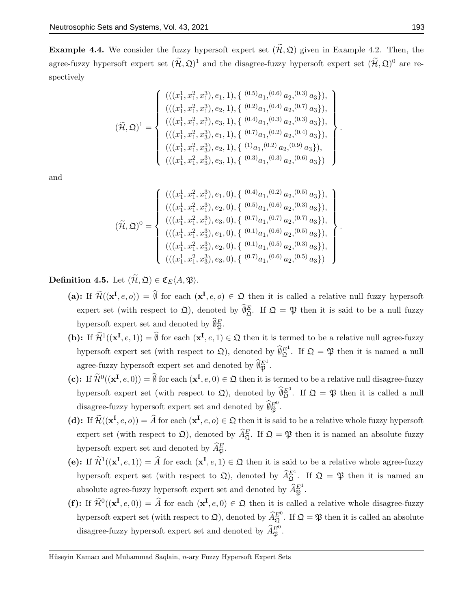**Example 4.4.** We consider the fuzzy hypersoft expert set  $(\tilde{\mathcal{H}}, \mathfrak{Q})$  given in Example 4.2. Then, the agree-fuzzy hypersoft expert set  $(\tilde{H}, \mathfrak{Q})^1$  and the disagree-fuzzy hypersoft expert set  $(\tilde{H}, \mathfrak{Q})^0$  are respectively

$$
(\widetilde{\mathcal{H}},\mathfrak{Q})^{1} = \left\{\n\begin{array}{l}\n(((x_{1}^{1},x_{1}^{2},x_{1}^{3}),e_{1},1),\{\stackrel{(0.5)}{a}_{1},\stackrel{(0.6)}{a}_{2},\stackrel{(0.3)}{a}_{3}\}, \\
(((x_{1}^{1},x_{1}^{2},x_{1}^{3}),e_{2},1),\{\stackrel{(0.2)}{a}_{1},\stackrel{(0.4)}{a}_{2},\stackrel{(0.7)}{a}_{3}\}, \\
(((x_{1}^{1},x_{1}^{2},x_{1}^{3}),e_{3},1),\{\stackrel{(0.4)}{a}_{1},\stackrel{(0.3)}{a}_{2},\stackrel{(0.3)}{a}_{3}\}, \\
(((x_{1}^{1},x_{1}^{2},x_{3}^{3}),e_{1},1),\{\stackrel{(0.7)}{a}_{1},\stackrel{(0.2)}{a}_{2},\stackrel{(0.4)}{a}_{3}\}, \\
(((x_{1}^{1},x_{1}^{2},x_{3}^{3}),e_{2},1),\{\stackrel{(1)}{a}_{1},\stackrel{(0.2)}{a}_{2},\stackrel{(0.9)}{a}_{3}\}, \\
(((x_{1}^{1},x_{1}^{2},x_{3}^{3}),e_{3},1),\{\stackrel{(0.3)}{a}_{1},\stackrel{(0.3)}{a}_{2},\stackrel{(0.6)}{a}_{3}\}\n\end{array}\n\right\}.
$$

and

$$
(\widetilde{\mathcal{H}}, \mathfrak{Q})^0 = \left\{ \begin{array}{l} (((x_1^1, x_1^2, x_1^3), e_1, 0), \{ (0.4)_{a_1}, (0.2)_{a_2}, (0.5)_{a_3} \}), \\ (((x_1^1, x_1^2, x_1^3), e_2, 0), \{ (0.5)_{a_1}, (0.6)_{a_2}, (0.3)_{a_3} \}), \\ (((x_1^1, x_1^2, x_1^3), e_3, 0), \{ (0.7)_{a_1}, (0.7)_{a_2}, (0.7)_{a_3} \}), \\ (((x_1^1, x_1^2, x_3^3), e_1, 0), \{ (0.1)_{a_1}, (0.6)_{a_2}, (0.5)_{a_3} \}), \\ (((x_1^1, x_1^2, x_3^3), e_2, 0), \{ (0.1)_{a_1}, (0.5)_{a_2}, (0.3)_{a_3} \}), \\ (((x_1^1, x_1^2, x_3^3), e_3, 0), \{ (0.7)_{a_1}, (0.6)_{a_2}, (0.5)_{a_3} \}) \end{array} \right\}.
$$

Definition 4.5. Let  $(\widetilde{\mathcal{H}}, \mathfrak{Q}) \in \mathfrak{C}_E(A, \mathfrak{P}).$ 

- (a): If  $\widetilde{\mathcal{H}}((\mathbf{x}^{\mathbf{I}},e,o)) = \emptyset$  for each  $(\mathbf{x}^{\mathbf{I}},e,o) \in \mathfrak{Q}$  then it is called a relative null fuzzy hypersoft expert set (with respect to  $\mathfrak{Q}$ ), denoted by  $\hat{\theta}_{\mathfrak{Q}}^E$ . If  $\mathfrak{Q} = \mathfrak{P}$  then it is said to be a null fuzzy hypersoft expert set and denoted by  $\widehat{\emptyset}_{\mathfrak{P}}^E$ .
- (b): If  $\widetilde{\mathcal{H}}^1((\mathbf{x}^\mathbf{I}, e, 1)) = \widehat{\emptyset}$  for each  $(\mathbf{x}^\mathbf{I}, e, 1) \in \mathfrak{Q}$  then it is termed to be a relative null agree-fuzzy hypersoft expert set (with respect to  $\mathfrak{Q}$ ), denoted by  $\widehat{\theta}_{\mathfrak{Q}}^{E^1}$ . If  $\mathfrak{Q} = \mathfrak{P}$  then it is named a null agree-fuzzy hypersoft expert set and denoted by  $\widehat{\theta}_{\mathfrak{P}}^{E^1}$ .
- (c): If  $\widetilde{\mathcal{H}}^0((\mathbf{x}^\mathbf{I}, e, 0)) = \emptyset$  for each  $(\mathbf{x}^\mathbf{I}, e, 0) \in \mathfrak{Q}$  then it is termed to be a relative null disagree-fuzzy hypersoft expert set (with respect to  $\mathfrak{Q}$ ), denoted by  $\widehat{\theta}_{\mathfrak{Q}}^{E^0}$ . If  $\mathfrak{Q} = \mathfrak{P}$  then it is called a null disagree-fuzzy hypersoft expert set and denoted by  $\widehat{\theta}_{\mathfrak{P}}^{E^0}$ .
- (d): If  $\widetilde{\mathcal{H}}((\mathbf{x}^{\mathbf{I}},e,o)) = \widehat{A}$  for each  $(\mathbf{x}^{\mathbf{I}},e,o) \in \mathfrak{Q}$  then it is said to be a relative whole fuzzy hypersoft expert set (with respect to  $\mathfrak{Q}$ ), denoted by  $\widehat{A}_{\mathfrak{Q}}^E$ . If  $\mathfrak{Q} = \mathfrak{P}$  then it is named an absolute fuzzy hypersoft expert set and denoted by  $\widehat{A}_{\mathfrak{P}}^E$ .
- (e): If  $\widetilde{\mathcal{H}}^1((\mathbf{x}^\mathbf{I}, e, 1)) = \widehat{A}$  for each  $(\mathbf{x}^\mathbf{I}, e, 1) \in \mathfrak{Q}$  then it is said to be a relative whole agree-fuzzy hypersoft expert set (with respect to  $\mathfrak{Q}$ ), denoted by  $\widehat{A}_{\mathfrak{Q}}^{E^1}$ . If  $\mathfrak{Q} = \mathfrak{P}$  then it is named an absolute agree-fuzzy hypersoft expert set and denoted by  $\widehat{A}_{\mathfrak{P}}^{E^1}.$
- (f): If  $\widetilde{\mathcal{H}}^0((\mathbf{x}^\mathbf{I}, e, 0)) = \widehat{A}$  for each  $(\mathbf{x}^\mathbf{I}, e, 0) \in \mathfrak{Q}$  then it is called a relative whole disagree-fuzzy hypersoft expert set (with respect to  $\mathfrak{Q}$ ), denoted by  $\widehat{A}_{\mathfrak{Q}}^{E^0}$ . If  $\mathfrak{Q} = \mathfrak{P}$  then it is called an absolute disagree-fuzzy hypersoft expert set and denoted by  $\widehat{A}_{\mathfrak{P}}^{E^0}$ .

Hüseyin Kamacı and Muhammad Saqlain, n-ary Fuzzy Hypersoft Expert Sets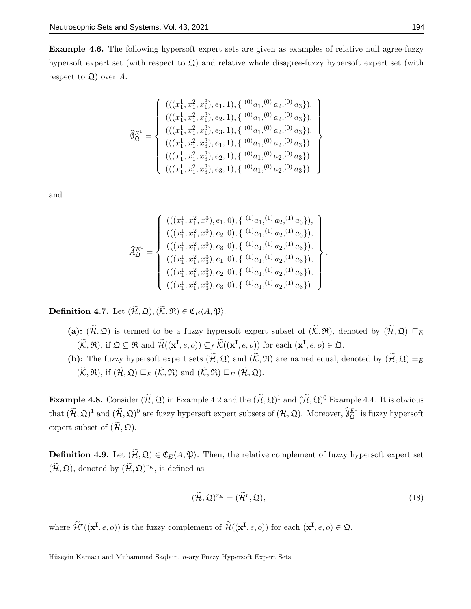Example 4.6. The following hypersoft expert sets are given as examples of relative null agree-fuzzy hypersoft expert set (with respect to  $\mathfrak{Q}$ ) and relative whole disagree-fuzzy hypersoft expert set (with respect to  $\mathfrak{Q}$ ) over A.

$$
\widehat{\theta}_{\mathfrak{Q}}^{E^1} = \left\{ \begin{array}{l} (((x_1^1, x_1^2, x_1^3), e_1, 1), \{ (0)_{a_1, (0)} a_2, (0) a_3 \}), \\ (((x_1^1, x_1^2, x_1^3), e_2, 1), \{ (0)_{a_1, (0)} a_2, (0) a_3 \}), \\ (((x_1^1, x_1^2, x_1^3), e_3, 1), \{ (0)_{a_1, (0)} a_2, (0) a_3 \}), \\ (((x_1^1, x_1^2, x_3^3), e_1, 1), \{ (0)_{a_1, (0)} a_2, (0) a_3 \}), \\ (((x_1^1, x_1^2, x_3^3), e_2, 1), \{ (0)_{a_1, (0)} a_2, (0) a_3 \}), \\ (((x_1^1, x_1^2, x_3^3), e_3, 1), \{ (0)_{a_1, (0)} a_2, (0) a_3 \}) \end{array} \right\},
$$

and

$$
\widehat{A}_{\mathfrak{Q}}^{E^{0}} = \left\{\n\begin{array}{l}\n(((x_{1}^{1}, x_{1}^{2}, x_{1}^{3}), e_{1}, 0), \{\ ^{(1)}a_{1}, ^{(1)}a_{2}, ^{(1)}a_{3}\}), \\
(((x_{1}^{1}, x_{1}^{2}, x_{1}^{3}), e_{2}, 0), \{\ ^{(1)}a_{1}, ^{(1)}a_{2}, ^{(1)}a_{3}\}), \\
(((x_{1}^{1}, x_{1}^{2}, x_{1}^{3}), e_{3}, 0), \{\ ^{(1)}a_{1}, ^{(1)}a_{2}, ^{(1)}a_{3}\}), \\
(((x_{1}^{1}, x_{1}^{2}, x_{3}^{3}), e_{1}, 0), \{\ ^{(1)}a_{1}, ^{(1)}a_{2}, ^{(1)}a_{3}\}), \\
(((x_{1}^{1}, x_{1}^{2}, x_{3}^{3}), e_{2}, 0), \{\ ^{(1)}a_{1}, ^{(1)}a_{2}, ^{(1)}a_{3}\}), \\
(((x_{1}^{1}, x_{1}^{2}, x_{3}^{3}), e_{3}, 0), \{\ ^{(1)}a_{1}, ^{(1)}a_{2}, ^{(1)}a_{3}\})\n\end{array}\n\right\}
$$

Definition 4.7. Let  $(\widetilde{\mathcal{H}}, \mathfrak{Q}), (\widetilde{\mathcal{K}}, \mathfrak{R}) \in \mathfrak{C}_E\langle A, \mathfrak{P} \rangle$ .

- (a):  $(\widetilde{\mathcal{H}}, \mathfrak{Q})$  is termed to be a fuzzy hypersoft expert subset of  $(\widetilde{\mathcal{K}}, \mathfrak{R})$ , denoted by  $(\widetilde{\mathcal{H}}, \mathfrak{Q}) \sqsubseteq_E$  $(\widetilde{\mathcal{K}}, \mathfrak{R}),$  if  $\mathfrak{Q} \subseteq \mathfrak{R}$  and  $\widetilde{\mathcal{H}}((\mathbf{x}^{\mathbf{I}}, e, o)) \subseteq_f \widetilde{\mathcal{K}}((\mathbf{x}^{\mathbf{I}}, e, o))$  for each  $(\mathbf{x}^{\mathbf{I}}, e, o) \in \mathfrak{Q}$ .
- (b): The fuzzy hypersoft expert sets  $(\widetilde{\mathcal{H}}, \mathfrak{Q})$  and  $(\widetilde{\mathcal{K}}, \mathfrak{R})$  are named equal, denoted by  $(\widetilde{\mathcal{H}}, \mathfrak{Q}) =_E$  $(\widetilde{\mathcal{K}}, \mathfrak{R}),$  if  $(\widetilde{\mathcal{H}}, \mathfrak{Q}) \sqsubseteq_E (\widetilde{\mathcal{K}}, \mathfrak{R})$  and  $(\widetilde{\mathcal{K}}, \mathfrak{R}) \sqsubseteq_E (\widetilde{\mathcal{H}}, \mathfrak{Q}).$

**Example 4.8.** Consider  $(\widetilde{\mathcal{H}}, \mathfrak{Q})$  in Example 4.2 and the  $(\widetilde{\mathcal{H}}, \mathfrak{Q})^1$  and  $(\widetilde{\mathcal{H}}, \mathfrak{Q})^0$  Example 4.4. It is obvious that  $(\widetilde{\mathcal{H}}, \mathfrak{Q})^1$  and  $(\widetilde{\mathcal{H}}, \mathfrak{Q})^0$  are fuzzy hypersoft expert subsets of  $(\mathcal{H}, \mathfrak{Q})$ . Moreover,  $\widehat{\emptyset}_{\mathfrak{Q}}^{E^1}$  is fuzzy hypersoft expert subset of  $(\widetilde{\mathcal{H}}, \mathfrak{Q})$ .

**Definition 4.9.** Let  $(\widetilde{\mathcal{H}}, \mathfrak{Q}) \in \mathfrak{C}_E(A, \mathfrak{P})$ . Then, the relative complement of fuzzy hypersoft expert set  $(\widetilde{\mathcal{H}}, \mathfrak{Q})$ , denoted by  $(\widetilde{\mathcal{H}}, \mathfrak{Q})^{r_E}$ , is defined as

$$
(\widetilde{\mathcal{H}}, \mathfrak{Q})^{r_E} = (\widetilde{\mathcal{H}}^r, \mathfrak{Q}),\tag{18}
$$

.

where  $\widetilde{\mathcal{H}}^r((\mathbf{x}^\mathbf{I}, e, o))$  is the fuzzy complement of  $\widetilde{\mathcal{H}}((\mathbf{x}^\mathbf{I}, e, o))$  for each  $(\mathbf{x}^\mathbf{I}, e, o) \in \mathfrak{Q}$ .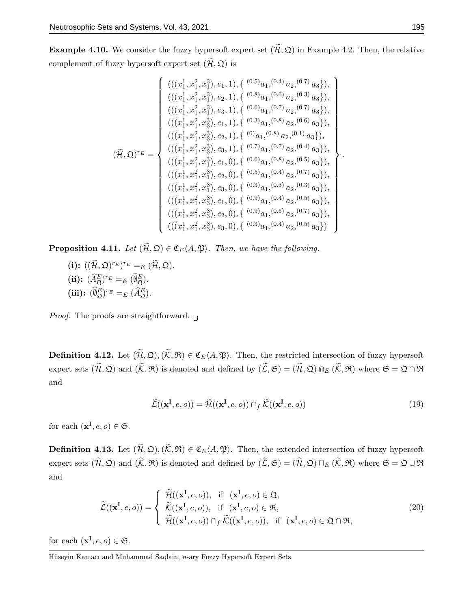**Example 4.10.** We consider the fuzzy hypersoft expert set  $(\widetilde{\mathcal{H}}, \mathfrak{Q})$  in Example 4.2. Then, the relative complement of fuzzy hypersoft expert set  $(\widetilde{\mathcal{H}}, \mathfrak{Q})$  is

$$
(\widetilde{\mu}, \mathfrak{Q})^{r_{E}} = \begin{cases}\n(((x_1^1, x_1^2, x_1^3), e_1, 1), \{ (0.5)_{a_1}, (0.4)_{a_2}, (0.7)_{a_3} \}, \\
(((x_1^1, x_1^2, x_1^3), e_2, 1), \{ (0.8)_{a_1}, (0.6)_{a_2}, (0.3)_{a_3} \}, \\
(((x_1^1, x_1^2, x_1^3), e_3, 1), \{ (0.6)_{a_1}, (0.7)_{a_2}, (0.7)_{a_3} \}, \\
(((x_1^1, x_1^2, x_3^3), e_1, 1), \{ (0.3)_{a_1}, (0.8)_{a_2}, (0.6)_{a_3} \}, \\
(((x_1^1, x_1^2, x_3^3), e_2, 1), \{ (0)_{a_1}, (0.8)_{a_2}, (0.1)_{a_3} \}, \\
(((x_1^1, x_1^2, x_3^3), e_3, 1), \{ (0.7)_{a_1}, (0.7)_{a_2}, (0.4)_{a_3} \}, \\
(((x_1^1, x_1^2, x_1^3), e_1, 0), \{ (0.6)_{a_1}, (0.8)_{a_2}, (0.5)_{a_3} \}, \\
(((x_1^1, x_1^2, x_1^3), e_2, 0), \{ (0.5)_{a_1}, (0.4)_{a_2}, (0.7)_{a_3} \}, \\
(((x_1^1, x_1^2, x_3^3), e_1, 0), \{ (0.9)_{a_1}, (0.4)_{a_2}, (0.5)_{a_3} \}, \\
(((x_1^1, x_1^2, x_3^3), e_2, 0), \{ (0.9)_{a_1}, (0.4)_{a_2}, (0.5)_{a_3} \}, \\
(((x_1^1, x_1^2, x_3^3), e_2, 0), \{ (0.9)_{a_1}, (0.6)_{a_2}, (0.7)_{a_3} \}, \\
(((x_1^1, x_1^2, x_3^3), e_3, 0), \{ (0.3)_{a_1}, (0.4)_{a_2}, (0.5)_{a_3} \})\n\end
$$

**Proposition 4.11.** Let  $(\widetilde{\mathcal{H}}, \mathfrak{Q}) \in \mathfrak{C}_E\langle A, \mathfrak{P} \rangle$ . Then, we have the following.

(i):  $((\widetilde{\mathcal{H}}, \mathfrak{Q})^{r_E})^{r_E} =_E (\widetilde{\mathcal{H}}, \mathfrak{Q}).$ (ii):  $(\widehat{A}_{\mathfrak{Q}}^E)^{r_E} =_E (\widehat{\emptyset}_{\mathfrak{Q}}^E).$ (iii):  $(\hat{\theta}_{\mathfrak{Q}}^E)^{r_E} =_E (\widehat{A}_{\mathfrak{Q}}^E).$ 

*Proof.* The proofs are straightforward.  $\Box$ 

**Definition 4.12.** Let  $(\widetilde{\mathcal{H}}, \mathfrak{Q}), (\widetilde{\mathcal{K}}, \mathfrak{R}) \in \mathfrak{C}_E(A, \mathfrak{P})$ . Then, the restricted intersection of fuzzy hypersoft expert sets  $(\widetilde{\mathcal{H}}, \mathfrak{Q})$  and  $(\widetilde{\mathcal{K}}, \mathfrak{R})$  is denoted and defined by  $(\widetilde{\mathcal{L}}, \mathfrak{S}) = (\widetilde{\mathcal{H}}, \mathfrak{Q}) \otimes_{E} (\widetilde{\mathcal{K}}, \mathfrak{R})$  where  $\mathfrak{S} = \mathfrak{Q} \cap \mathfrak{R}$ and

$$
\widetilde{\mathcal{L}}((\mathbf{x}^{\mathbf{I}},e,o)) = \widetilde{\mathcal{H}}((\mathbf{x}^{\mathbf{I}},e,o)) \cap_{f} \widetilde{\mathcal{K}}((\mathbf{x}^{\mathbf{I}},e,o))
$$
\n(19)

for each  $(\mathbf{x}^{\mathbf{I}}, e, o) \in \mathfrak{S}$ .

**Definition 4.13.** Let  $(\widetilde{\mathcal{H}}, \mathfrak{Q}), (\widetilde{\mathcal{K}}, \mathfrak{R}) \in \mathfrak{C}_E(A, \mathfrak{P})$ . Then, the extended intersection of fuzzy hypersoft expert sets  $(\widetilde{\mathcal{H}}, \mathfrak{Q})$  and  $(\widetilde{\mathcal{K}}, \mathfrak{R})$  is denoted and defined by  $(\widetilde{\mathcal{L}}, \mathfrak{S}) = (\widetilde{\mathcal{H}}, \mathfrak{Q}) \sqcap_E (\widetilde{\mathcal{K}}, \mathfrak{R})$  where  $\mathfrak{S} = \mathfrak{Q} \cup \mathfrak{R}$ and

$$
\widetilde{\mathcal{L}}((\mathbf{x}^{\mathbf{I}},e,o)) = \begin{cases}\n\widetilde{\mathcal{H}}((\mathbf{x}^{\mathbf{I}},e,o)), & \text{if } (\mathbf{x}^{\mathbf{I}},e,o) \in \mathfrak{Q}, \\
\widetilde{\mathcal{K}}((\mathbf{x}^{\mathbf{I}},e,o)), & \text{if } (\mathbf{x}^{\mathbf{I}},e,o) \in \mathfrak{R}, \\
\widetilde{\mathcal{H}}((\mathbf{x}^{\mathbf{I}},e,o)) \cap_{f} \widetilde{\mathcal{K}}((\mathbf{x}^{\mathbf{I}},e,o)), & \text{if } (\mathbf{x}^{\mathbf{I}},e,o) \in \mathfrak{Q} \cap \mathfrak{R},\n\end{cases}
$$
\n(20)

for each  $(\mathbf{x}^{\mathbf{I}}, e, o) \in \mathfrak{S}$ .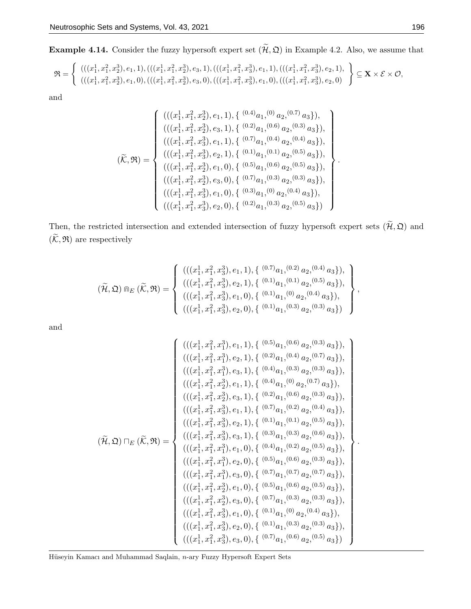**Example 4.14.** Consider the fuzzy hypersoft expert set  $(\tilde{\mathcal{H}}, \mathfrak{Q})$  in Example 4.2. Also, we assume that

$$
\mathfrak{R} = \left\{ \begin{array}{l} (((x_1^1, x_1^2, x_2^3), e_1, 1), (((x_1^1, x_1^2, x_2^3), e_3, 1), (((x_1^1, x_1^2, x_3^3), e_1, 1), (((x_1^1, x_1^2, x_3^3), e_2, 1), \\ (((x_1^1, x_1^2, x_2^3), e_1, 0), (((x_1^1, x_1^2, x_2^3), e_3, 0), (((x_1^1, x_1^2, x_3^3), e_1, 0), (((x_1^1, x_1^2, x_3^3), e_2, 0)) \end{array} \right\} \subseteq \mathbf{X} \times \mathcal{E} \times \mathcal{O},
$$

and

$$
(\widetilde{\mathcal{K}}, \mathfrak{R}) = \begin{cases} (((x_1^1, x_1^2, x_2^3), e_1, 1), \{ (0.4)_{a_1}, (0)_{a_2}, (0.7)_{a_3} \}), \\ (((x_1^1, x_1^2, x_2^3), e_3, 1), \{ (0.2)_{a_1}, (0.6)_{a_2}, (0.3)_{a_3} \}), \\ (((x_1^1, x_1^2, x_3^3), e_1, 1), \{ (0.7)_{a_1}, (0.4)_{a_2}, (0.4)_{a_3} \}), \\ (((x_1^1, x_1^2, x_3^3), e_2, 1), \{ (0.1)_{a_1}, (0.1)_{a_2}, (0.5)_{a_3} \}), \\ (((x_1^1, x_1^2, x_2^3), e_1, 0), \{ (0.5)_{a_1}, (0.6)_{a_2}, (0.5)_{a_3} \}), \\ (((x_1^1, x_1^2, x_2^3), e_1, 0), \{ (0.7)_{a_1}, (0.3)_{a_2}, (0.3)_{a_3} \}), \\ (((x_1^1, x_1^2, x_3^3), e_1, 0), \{ (0.3)_{a_1}, (0)_{a_2}, (0.4)_{a_3} \}), \\ (((x_1^1, x_1^2, x_3^3), e_2, 0), \{ (0.2)_{a_1}, (0.3)_{a_2}, (0.5)_{a_3} \}) \end{cases}
$$

Then, the restricted intersection and extended intersection of fuzzy hypersoft expert sets  $(\tilde{H}, \mathfrak{Q})$  and  $(\widetilde{\mathcal{K}},\mathfrak{R})$  are respectively

$$
(\widetilde{\mathcal{H}}, \mathfrak{Q}) \mathbb{D}_{E} (\widetilde{\mathcal{K}}, \mathfrak{R}) = \left\{ \begin{array}{l} (((x_1^1, x_1^2, x_3^3), e_1, 1), \{ (0.7)_{a_1}, (0.2)_{a_2}, (0.4)_{a_3} \}), \\ (((x_1^1, x_1^2, x_3^3), e_2, 1), \{ (0.1)_{a_1}, (0.1)_{a_2}, (0.5)_{a_3} \}), \\ (((x_1^1, x_1^2, x_3^3), e_1, 0), \{ (0.1)_{a_1}, (0)_{a_2}, (0.4)_{a_3} \}), \\ (((x_1^1, x_1^2, x_3^3), e_2, 0), \{ (0.1)_{a_1}, (0.3)_{a_2}, (0.3)_{a_3} \}) \end{array} \right\},
$$

and

$$
(\widetilde{\mu},\mathfrak{Q}) \sqcap_{E} (\widetilde{\kappa},\mathfrak{R}) = \begin{cases} (((x_1^1,x_1^2,x_1^3),e_1,1),\{(^{0.5})a_1,(^{0.6})a_2,(^{0.3})a_3\}),\\ (((x_1^1,x_1^2,x_1^3),e_2,1),\{(^{0.4})a_1,(^{0.3})a_2,(^{0.3})a_3\}),\\ (((x_1^1,x_1^2,x_2^3),e_1,1),\{(^{0.4})a_1,(^{0.3})a_2,(^{0.7)}a_3\}),\\ (((x_1^1,x_1^2,x_2^3),e_1,1),\{(^{0.2})a_1,(^{0.6})a_2,(^{0.7)}a_3\}),\\ (((x_1^1,x_1^2,x_2^3),e_1,1),\{(^{0.2})a_1,(^{0.6)}a_2,(^{0.3)}a_3\}),\\ (((x_1^1,x_1^2,x_3^3),e_1,1),\{(^{0.1})a_1,(^{0.1)}a_2,(^{0.5)}a_3\}),\\ (((x_1^1,x_1^2,x_3^3),e_2,1),\{(^{0.3})a_1,(^{0.3)}a_2,(^{0.6)}a_3\}),\\ (((x_1^1,x_1^2,x_1^3),e_1,0),\{(^{0.4})a_1,(^{0.2)}a_2,(^{0.5)}a_3\}),\\ (((x_1^1,x_1^2,x_1^3),e_2,0),\{(^{0.5})a_1,(^{0.6)}a_2,(^{0.5)}a_3\}),\\ (((x_1^1,x_1^2,x_2^3),e_1,0),\{(^{0.5})a_1,(^{0.6)}a_2,(^{0.7)}a_3\}),\\ (((x_1^1,x_1^2,x_2^3),e_1,0),\{(^{0.5})a_1,(^{0.6)}a_2,(^{0.5)}a_3\}),\\ (((x_1^1,x_1^2,x_2^3),e_1,0),\{(^{0.1})a_1,(^{0.9}a_2,(^{0.4)}a_3\}),\\ (((x_1^1,x_1^2,x_3^3),e_1,0),\{(^{0.1})a_1,(^{0.3)}a_2,(^{0.3)}a_3\}),\\ (((x_1^1,x_1^2,x_3^3
$$

Hüseyin Kamacı and Muhammad Saqlain, n-ary Fuzzy Hypersoft Expert Sets

.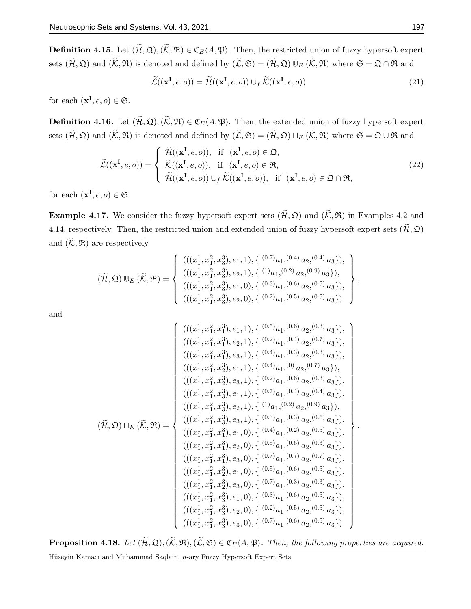**Definition 4.15.** Let  $(\widetilde{\mathcal{H}}, \mathfrak{Q}), (\widetilde{\mathcal{K}}, \mathfrak{R}) \in \mathfrak{C}_E\langle A, \mathfrak{P} \rangle$ . Then, the restricted union of fuzzy hypersoft expert sets  $(\widetilde{\mathcal{H}}, \mathfrak{Q})$  and  $(\widetilde{\mathcal{K}}, \mathfrak{R})$  is denoted and defined by  $(\widetilde{\mathcal{L}}, \mathfrak{S}) = (\widetilde{\mathcal{H}}, \mathfrak{Q}) \cup_E (\widetilde{\mathcal{K}}, \mathfrak{R})$  where  $\mathfrak{S} = \mathfrak{Q} \cap \mathfrak{R}$  and

$$
\widetilde{\mathcal{L}}((\mathbf{x}^{\mathbf{I}},e,o)) = \widetilde{\mathcal{H}}((\mathbf{x}^{\mathbf{I}},e,o)) \cup_f \widetilde{\mathcal{K}}((\mathbf{x}^{\mathbf{I}},e,o))
$$
\n(21)

for each  $(\mathbf{x}^{\mathbf{I}}, e, o) \in \mathfrak{S}$ .

**Definition 4.16.** Let  $(\widetilde{\mathcal{H}}, \mathfrak{Q}), (\widetilde{\mathcal{K}}, \mathfrak{R}) \in \mathfrak{C}_E(A, \mathfrak{P})$ . Then, the extended union of fuzzy hypersoft expert sets  $(\widetilde{\mathcal{H}}, \mathfrak{Q})$  and  $(\widetilde{\mathcal{K}}, \mathfrak{R})$  is denoted and defined by  $(\widetilde{\mathcal{L}}, \mathfrak{S}) = (\widetilde{\mathcal{H}}, \mathfrak{Q}) \sqcup_E (\widetilde{\mathcal{K}}, \mathfrak{R})$  where  $\mathfrak{S} = \mathfrak{Q} \cup \mathfrak{R}$  and

$$
\widetilde{\mathcal{L}}((\mathbf{x}^{\mathbf{I}},e,o)) = \begin{cases}\n\widetilde{\mathcal{H}}((\mathbf{x}^{\mathbf{I}},e,o)), & \text{if } (\mathbf{x}^{\mathbf{I}},e,o) \in \mathfrak{Q}, \\
\widetilde{\mathcal{K}}((\mathbf{x}^{\mathbf{I}},e,o)), & \text{if } (\mathbf{x}^{\mathbf{I}},e,o) \in \mathfrak{R}, \\
\widetilde{\mathcal{H}}((\mathbf{x}^{\mathbf{I}},e,o)) \cup_f \widetilde{\mathcal{K}}((\mathbf{x}^{\mathbf{I}},e,o)), & \text{if } (\mathbf{x}^{\mathbf{I}},e,o) \in \mathfrak{Q} \cap \mathfrak{R},\n\end{cases}
$$
\n(22)

for each  $(\mathbf{x}^{\mathbf{I}}, e, o) \in \mathfrak{S}$ .

**Example 4.17.** We consider the fuzzy hypersoft expert sets  $(\widetilde{\mathcal{H}}, \mathfrak{Q})$  and  $(\widetilde{\mathcal{K}}, \mathfrak{R})$  in Examples 4.2 and 4.14, respectively. Then, the restricted union and extended union of fuzzy hypersoft expert sets  $(\widetilde{\mathcal{H}}, \mathfrak{Q})$ and  $(\mathcal{K}, \mathfrak{R})$  are respectively

$$
(\widetilde{\mathcal{H}}, \mathfrak{Q}) \cup_{E} (\widetilde{\mathcal{K}}, \mathfrak{R}) = \left\{ \begin{array}{l} (((x_1^1, x_1^2, x_3^3), e_1, 1), \{ (0.7)_{a_1, (0.4)} a_2, (0.4) a_3 \}), \\ (((x_1^1, x_1^2, x_3^3), e_2, 1), \{ (1)_{a_1, (0.2)} a_2, (0.9) a_3 \}), \\ (((x_1^1, x_1^2, x_3^3), e_1, 0), \{ (0.3)_{a_1, (0.6)} a_2, (0.5) a_3 \}), \\ (((x_1^1, x_1^2, x_3^3), e_2, 0), \{ (0.2)_{a_1, (0.5)} a_2, (0.5) a_3 \}) \end{array} \right\},
$$

and

$$
(\widetilde{u}_1, x_1^2, x_1^3), e_1, 1), \{ (0.5)_{a_1}, (0.6)_{a_2}, (0.3)_{a_3} \},
$$

$$
(((x_1^1, x_1^2, x_1^3), e_2, 1), \{ (0.2)_{a_1}, (0.4)_{a_2}, (0.7)_{a_3} \}),
$$

$$
(((x_1^1, x_1^2, x_1^3), e_3, 1), \{ (0.4)_{a_1}, (0.3)_{a_2}, (0.3)_{a_3} \}),
$$

$$
(((x_1^1, x_1^2, x_2^3), e_1, 1), \{ (0.4)_{a_1}, (0)_{a_2}, (0.7)_{a_3} \}),
$$

$$
(((x_1^1, x_1^2, x_2^3), e_1, 1), \{ (0.2)_{a_1}, (0.6)_{a_2}, (0.3)_{a_3} \}),
$$

$$
(((x_1^1, x_1^2, x_3^3), e_1, 1), \{ (0.7)_{a_1}, (0.4)_{a_2}, (0.4)_{a_3} \}),
$$

$$
(((x_1^1, x_1^2, x_3^3), e_2, 1), \{ (1)_{a_1}, (0.2)_{a_2}, (0.9)_{a_3} \}),
$$

$$
(((x_1^1, x_1^2, x_1^3), e_1, 0), \{ (0.4)_{a_1}, (0.2)_{a_2}, (0.5)_{a_3} \}),
$$

$$
(((x_1^1, x_1^2, x_1^3), e_2, 0), \{ (0.5)_{a_1}, (0.6)_{a_2}, (0.3)_{a_3} \}),
$$

$$
(((x_1^1, x_1^2, x_1^3), e_2, 0), \{ (0.5)_{a_1}, (0.6)_{a_2}, (0.5)_{a_3} \}),
$$

$$
(((x_1^1, x_1^2, x_2^3), e_1, 0), \{ (0.5)_{a_1}, (0.6)_{a_2}, (0.5)_{a_3} \}),
$$

$$
(((x_1^1, x_1^2,
$$

.

**Proposition 4.18.** Let  $(\widetilde{\mathcal{H}}, \mathfrak{Q}), (\widetilde{\mathcal{K}}, \mathfrak{R}), (\widetilde{\mathcal{L}}, \mathfrak{S}) \in \mathfrak{C}_E\langle A, \mathfrak{P} \rangle$ . Then, the following properties are acquired.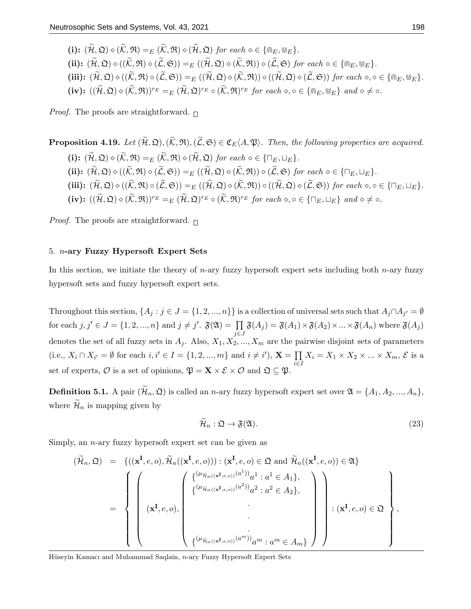(i):  $(\widetilde{\mathcal{H}}, \mathfrak{Q}) \diamond (\widetilde{\mathcal{K}}, \mathfrak{R}) =_E (\widetilde{\mathcal{K}}, \mathfrak{R}) \diamond (\widetilde{\mathcal{H}}, \mathfrak{Q})$  for each  $\diamond \in {\mathfrak{m}_E, \mathbb{U}_E}.$ (ii):  $(\widetilde{\mathcal{H}}, \mathfrak{Q}) \diamond ((\widetilde{\mathcal{K}}, \mathfrak{R}) \diamond (\widetilde{\mathcal{L}}, \mathfrak{S})) =_E ((\widetilde{\mathcal{H}}, \mathfrak{Q}) \diamond (\widetilde{\mathcal{K}}, \mathfrak{R})) \diamond (\widetilde{\mathcal{L}}, \mathfrak{S}) \text{ for each } \diamond \in {\mathfrak{m}_E, \mathfrak{W}_E}.$ (iii):  $(\widetilde{\mathcal{H}}, \mathfrak{Q}) \diamond ((\widetilde{\mathcal{K}}, \mathfrak{R}) \circ (\widetilde{\mathcal{L}}, \mathfrak{S})) =_E ((\widetilde{\mathcal{H}}, \mathfrak{Q}) \diamond (\widetilde{\mathcal{K}}, \mathfrak{R})) \circ ((\widetilde{\mathcal{H}}, \mathfrak{Q}) \diamond (\widetilde{\mathcal{L}}, \mathfrak{S}))$  for each  $\diamond, \circ \in {\mathfrak{m}_E, \mathbb{U}_E}$ .  $(iv): ((\widetilde{\mathcal{H}}, \mathfrak{Q}) \diamond (\widetilde{\mathcal{K}}, \mathfrak{R}))^{r_E} =_E (\widetilde{\mathcal{H}}, \mathfrak{Q})^{r_E} \circ (\widetilde{\mathcal{K}}, \mathfrak{R})^{r_E}$  for each  $\diamond, \circ \in {\mathfrak{R}}_E, \mathfrak{W}_E$  and  $\diamond \neq \circ$ .

*Proof.* The proofs are straightforward.  $\Box$ 

**Proposition 4.19.** Let  $(\widetilde{\mathcal{H}}, \mathfrak{Q}), (\widetilde{\mathcal{K}}, \mathfrak{R}), (\widetilde{\mathcal{L}}, \mathfrak{S}) \in \mathfrak{C}_E\langle A, \mathfrak{P} \rangle$ . Then, the following properties are acquired. (i):  $(\widetilde{\mathcal{H}}, \mathfrak{Q}) \diamond (\widetilde{\mathcal{K}}, \mathfrak{R}) =_E (\widetilde{\mathcal{K}}, \mathfrak{R}) \diamond (\widetilde{\mathcal{H}}, \mathfrak{Q})$  for each  $\diamond \in \{\sqcap_E, \sqcup_E\}.$ (ii):  $(\widetilde{\mathcal{H}}, \mathfrak{Q}) \diamond ((\widetilde{\mathcal{K}}, \mathfrak{R}) \diamond (\widetilde{\mathcal{L}}, \mathfrak{S})) =_{E} ((\widetilde{\mathcal{H}}, \mathfrak{Q}) \diamond (\widetilde{\mathcal{K}}, \mathfrak{R})) \diamond (\widetilde{\mathcal{L}}, \mathfrak{S})$  for each  $\diamond \in {\{\sqcap}_{E}, \sqcup_{E}\}}$ . (iii):  $(\widetilde{\mathcal{H}}, \mathfrak{Q}) \diamond ((\widetilde{\mathcal{K}}, \mathfrak{R}) \circ (\widetilde{\mathcal{L}}, \mathfrak{S})) =_E ((\widetilde{\mathcal{H}}, \mathfrak{Q}) \diamond (\widetilde{\mathcal{K}}, \mathfrak{R})) \circ ((\widetilde{\mathcal{H}}, \mathfrak{Q}) \diamond (\widetilde{\mathcal{L}}, \mathfrak{S}))$  for each  $\diamond, \circ \in \{\Box_E, \Box_E\}.$  $(iv): ((\widetilde{\mathcal{H}}, \mathfrak{Q}) \diamond (\widetilde{\mathcal{K}}, \mathfrak{R}))^{r_E} =_E (\widetilde{\mathcal{H}}, \mathfrak{Q})^{r_E} \circ (\widetilde{\mathcal{K}}, \mathfrak{R})^{r_E}$  for each  $\diamond, \circ \in {\{\sqcap_E, \sqcup_E\}}$  and  $\diamond \neq \circ$ .

*Proof.* The proofs are straightforward.  $\Box$ 

## 5. n-ary Fuzzy Hypersoft Expert Sets

In this section, we initiate the theory of *n*-ary fuzzy hypersoft expert sets including both *n*-ary fuzzy hypersoft sets and fuzzy hypersoft expert sets.

Throughout this section,  $\{A_j : j \in J = \{1, 2, ..., n\}\}$  is a collection of universal sets such that  $A_j \cap A_{j'} = \emptyset$ for each  $j, j' \in J = \{1, 2, ..., n\}$  and  $j \neq j'$ .  $\mathfrak{F}(\mathfrak{A}) = \prod$ j∈J  $\mathfrak{F}(A_j) = \mathfrak{F}(A_1) \times \mathfrak{F}(A_2) \times ... \times \mathfrak{F}(A_n)$  where  $\mathfrak{F}(A_j)$ denotes the set of all fuzzy sets in  $A_j$ . Also,  $X_1, X_2, ..., X_m$  are the pairwise disjoint sets of parameters (i.e.,  $X_i \cap X_{i'} = ∅$  for each  $i, i' \in I = \{1, 2, ..., m\}$  and  $i \neq i'$ ),  $\mathbf{X} = \prod$ i∈I  $X_i = X_1 \times X_2 \times ... \times X_m, \mathcal{E}$  is a set of experts,  $\mathcal O$  is a set of opinions,  $\mathfrak P = \mathbf{X} \times \mathcal{E} \times \mathcal O$  and  $\mathfrak Q \subseteq \mathfrak P$ .

**Definition 5.1.** A pair  $(\widetilde{\mathcal{H}}_n, \mathfrak{Q})$  is called an *n*-ary fuzzy hypersoft expert set over  $\mathfrak{A} = \{A_1, A_2, ..., A_n\}$ , where  $\mathcal{\widetilde{H}}_n$  is mapping given by

$$
\widetilde{\mathcal{H}}_n : \mathfrak{Q} \to \mathfrak{F}(\mathfrak{A}).\tag{23}
$$

Simply, an n-ary fuzzy hypersoft expert set can be given as

$$
(\widetilde{\mathcal{H}}_n, \mathfrak{Q}) = \left\{ ((\mathbf{x}^{\mathbf{I}}, e, o), \widetilde{\mathcal{H}}_n((\mathbf{x}^{\mathbf{I}}, e, o))) : (\mathbf{x}^{\mathbf{I}}, e, o) \in \mathfrak{Q} \text{ and } \widetilde{\mathcal{H}}_n((\mathbf{x}^{\mathbf{I}}, e, o)) \in \mathfrak{A} \right\}
$$

$$
= \left\{ \left( (\mathbf{x}^{\mathbf{I}}, e, o), \left( \begin{array}{c} {\{\mu_{\widetilde{\mathcal{H}}_n((\mathbf{x}^{\mathbf{I}}, e, o))}(a^1) \}}_d : a^1 \in A_1, \\ {\{\mu_{\widetilde{\mathcal{H}}_n((\mathbf{x}^{\mathbf{I}}, e, o))}(a^2) \}}_d^2 : a^2 \in A_2, \\ . \\ . \\ . \\ . \\ \left\{ (\mu_{\widetilde{\mathcal{H}}_n((\mathbf{x}^{\mathbf{I}}, e, o))}(a^m) \right)_d m : a^m \in A_m \} \end{array} \right\} \right\}.
$$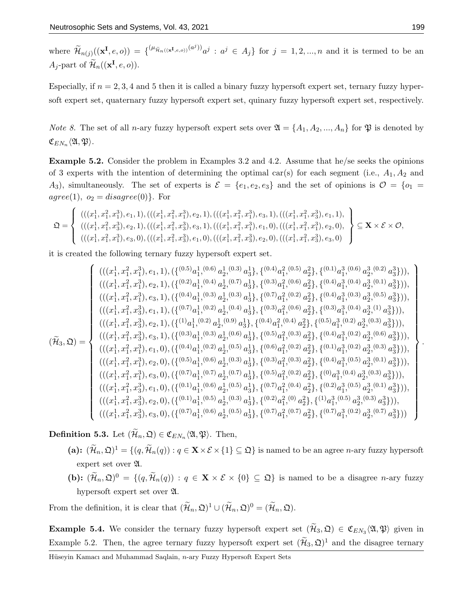where  $\widetilde{\mathcal{H}}_{n(j)}((\mathbf{x}^{\mathbf{I}},e,o)) = \{(\mu_{\widetilde{\mathcal{H}}_{n}((\mathbf{x}^{\mathbf{I}},e,o))}(a^j))_{a^j} : a^j \in A_j \}$  for  $j = 1,2,...,n$  and it is termed to be an A<sub>j</sub>-part of  $\widetilde{\mathcal{H}}_n((\mathbf{x}^\mathbf{I}, e, o)).$ 

Especially, if  $n = 2, 3, 4$  and 5 then it is called a binary fuzzy hypersoft expert set, ternary fuzzy hypersoft expert set, quaternary fuzzy hypersoft expert set, quinary fuzzy hypersoft expert set, respectively.

*Note 8.* The set of all *n*-ary fuzzy hypersoft expert sets over  $\mathfrak{A} = \{A_1, A_2, ..., A_n\}$  for  $\mathfrak{P}$  is denoted by  $\mathfrak{C}_{EN_n}\langle\mathfrak{A},\mathfrak{P}\rangle.$ 

Example 5.2. Consider the problem in Examples 3.2 and 4.2. Assume that he/se seeks the opinions of 3 experts with the intention of determining the optimal car(s) for each segment (i.e.,  $A_1, A_2$  and A<sub>3</sub>), simultaneously. The set of experts is  $\mathcal{E} = \{e_1, e_2, e_3\}$  and the set of opinions is  $\mathcal{O} = \{o_1 =$  $agree(1), o_2 = disagree(0)$ . For

$$
\mathfrak{Q} = \left\{ \begin{array}{l} (((x_1^1, x_1^2, x_1^3), e_1, 1), (((x_1^1, x_1^2, x_1^3), e_2, 1), (((x_1^1, x_1^2, x_1^3), e_3, 1), (((x_1^1, x_1^2, x_3^3), e_1, 1), \\ (((x_1^1, x_1^2, x_3^3), e_2, 1), (((x_1^1, x_1^2, x_3^3), e_3, 1), (((x_1^1, x_1^2, x_1^3), e_1, 0), (((x_1^1, x_1^2, x_1^3), e_2, 0), \\ (((x_1^1, x_1^2, x_1^3), e_3, 0), (((x_1^1, x_1^2, x_3^3), e_1, 0), (((x_1^1, x_1^2, x_3^3), e_2, 0), (((x_1^1, x_1^2, x_3^3), e_3, 0)) \end{array} \right\} \subseteq \mathbf{X} \times \mathcal{E} \times \mathcal{O},
$$

it is created the following ternary fuzzy hypersoft expert set.

$$
(\widetilde{\mathcal{H}}_{3},\mathfrak{Q}) = \begin{cases} (((x_{1}^{1},x_{1}^{2},x_{1}^{3}),e_{1},1),(\{(^{0.5})a_{1}^{1},{}^{(0.6)}a_{2}^{1},{}^{(0.3)}a_{3}^{1}\},\{(^{0.4})a_{1}^{2},{}^{(0.5)}a_{2}^{2}\},\{(^{0.1})a_{1}^{3},{}^{(0.6)}a_{2}^{3},{}^{(0.2)}a_{3}^{3}\})), \\ (((x_{1}^{1},x_{1}^{2},x_{1}^{3}),e_{2},1),(\{(^{0.4})a_{1}^{1},{}^{(0.3)}a_{2}^{1},{}^{(0.3)}a_{3}^{1}\},\{(^{0.3})a_{1}^{2},{}^{(0.6)}a_{2}^{2}\},\{(^{0.4})a_{1}^{3},{}^{(0.4)}a_{2}^{3},{}^{(0.1)}a_{3}^{3}\})), \\ (((x_{1}^{1},x_{1}^{2},x_{3}^{3}),e_{1},1),(\{(^{0.7})a_{1}^{1},{}^{(0.2)}a_{2}^{1},{}^{(0.4)}a_{3}^{1}\},\{(^{0.3})a_{1}^{2},{}^{(0.6)}a_{2}^{2}\},\{(^{0.3})a_{1}^{3},{}^{(0.4)}a_{2}^{3},{}^{(0.5)}a_{3}^{3}\})), \\ (((x_{1}^{1},x_{1}^{2},x_{3}^{3}),e_{2},1),(\{(^{1)}a_{1}^{1},{}^{(0.2)}a_{2}^{1},{}^{(0.4)}a_{3}^{1}\},\{(^{0.4})a_{1}^{2},{}^{(0.4)}a_{2}^{2}\},\{(^{0.5})a_{1}^{3},{}^{(0.2)}a_{2}^{3},{}^{(0.3)}a_{3}^{3}\})), \\ (((x_{1}^{1},x_{1}^{2},x_{3}^{3}),e_{3},1),(\{(^{0.3})a_{1}^{1},{}^{(0.2)}a_{2}^{1},{}^{(0.6)}a_{3}^{1}\},\{(^{0.4})a_{1}^{2},{}^{(0.4)}a_{2}^{3},{}^{(0.2)}a_{2}^{3},{}^{(0.3)}a_{3}^{3}\})), \\ (((x_{1}^{1},x_{1}^{2},x_{1}^{3}),e_{2
$$

**Definition 5.3.** Let  $(\mathcal{H}_n, \mathfrak{Q}) \in \mathfrak{C}_{EN_n}\langle\mathfrak{A}, \mathfrak{P}\rangle$ . Then,

- (a):  $(\widetilde{\mathcal{H}}_n, \mathfrak{Q})^1 = \{ (q, \widetilde{\mathcal{H}}_n(q)) : q \in \mathbf{X} \times \mathcal{E} \times \{1\} \subseteq \mathfrak{Q} \}$  is named to be an agree *n*-ary fuzzy hypersoft expert set over  $\mathfrak{A}$ .
- (b):  $(\widetilde{\mathcal{H}}_n, \mathfrak{Q})^0 = \{ (q, \widetilde{\mathcal{H}}_n(q)) : q \in \mathbf{X} \times \mathcal{E} \times \{0\} \subseteq \mathfrak{Q} \}$  is named to be a disagree *n*-ary fuzzy hypersoft expert set over A.

From the definition, it is clear that  $(\widetilde{\mathcal{H}}_n, \mathfrak{Q})^1 \cup (\widetilde{\mathcal{H}}_n, \mathfrak{Q})^0 = (\widetilde{\mathcal{H}}_n, \mathfrak{Q}).$ 

**Example 5.4.** We consider the ternary fuzzy hypersoft expert set  $(\mathcal{H}_3, \mathfrak{Q}) \in \mathfrak{C}_{EN_3}\langle\mathfrak{A}, \mathfrak{P}\rangle$  given in Example 5.2. Then, the agree ternary fuzzy hypersoft expert set  $(\widetilde{\mathcal{H}}_3, \mathfrak{Q})^1$  and the disagree ternary

Hüseyin Kamacı and Muhammad Saqlain, n-ary Fuzzy Hypersoft Expert Sets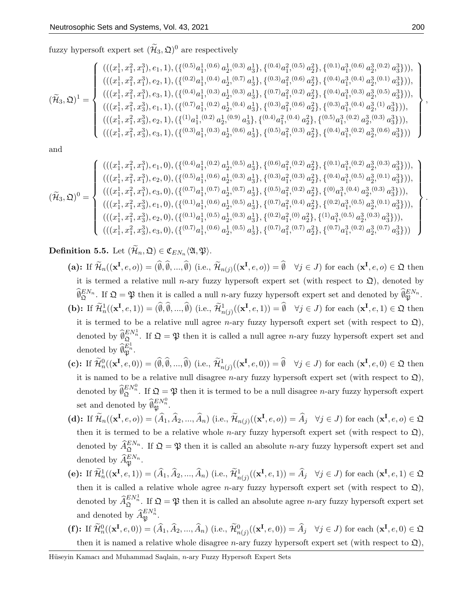fuzzy hypersoft expert set  $(\tilde{\mathcal{H}}_3, \mathfrak{Q})^0$  are respectively

$$
(\widetilde{\mathcal{H}}_3,\mathfrak{Q})^1 = \begin{cases} \left(((x_1^1,x_1^2,x_1^3),e_1,1),(\{(^{0.5})a_1^1,(^{0.6})\ a_2^1,^{(0.3)}\ a_3^1\},\{(^{0.4})a_1^2,(^{0.5})\ a_2^2\},\{(^{0.1})a_1^3,(^{0.6})\ a_2^3,(^{0.2)}\ a_3^3\})\right),\\ \left(((x_1^1,x_1^2,x_1^3),e_2,1),(\{(^{0.2})a_1^1,(^{0.4})\ a_2^1,(^{0.7)}\ a_3^1\},\{(^{0.3})a_1^2,(^{0.6})\ a_2^2\},\{(^{0.4})a_1^3,(^{0.4})\ a_3^3,(^{0.1)}\ a_3^3\})\right),\\ \left(((x_1^1,x_1^2,x_1^3),e_3,1),(\{(^{0.4})a_1^1,(^{0.3)}\ a_2^1,(^{0.3})\ a_3^1\},\{(^{0.7})a_1^2,(^{0.2)}\ a_2^2\},\{(^{0.4})a_1^3,(^{0.3)}\ a_2^3,(^{0.5)}\ a_3^3\})\right),\\ \left(((x_1^1,x_1^2,x_3^3),e_2,1),(\{(^{1)}a_1^1,(^{0.2)}\ a_2^1,(^{0.9)}\ a_3^1\},\{(^{0.4})a_1^2,(^{0.4)}\ a_2^2\},\{(^{0.5})a_1^3,(^{0.4)}\ a_2^3,(^{0.3)}\ a_3^3\})\right),\\ \left(((x_1^1,x_1^2,x_3^3),e_2,1),(\{(^{0.3})a_1^1,(^{0.3)}\ a_2^1,(^{0.6)}\ a_3^1\},\{(^{0.4})a_1^2,(^{0.4)}\ a_2^2\},\{(^{0.5})a_1^3,(^{0.2)}\ a_2^3,(^{0.3)}\ a_3^3\})\right),\\ \left(((x_1^1,x_1^2,x_3^3),e_3,1),(\{(^{0.3})a_1^1,(^{0.3)}\ a_2^1,(^{0.6)}\ a_3^1\},\{(^{0.5})a_1^2,(^{0
$$

and

$$
(\widetilde{\mathcal{H}}_3,\mathfrak{Q})^0=\left\{\begin{array}{l}(((x_1^1,x_1^2,x_1^3),e_1,0),(\{(^{0.4})a_1^1,(^{0.2})\;a_2^1,(^{0.5})\;a_3^1\},\{(^{0.6})a_1^2,(^{0.2})\;a_2^2\},\{(^{0.1})a_1^3,(^{0.2})\;a_2^3,(^{0.3})\;a_3^3\})),\\ (((x_1^1,x_1^2,x_1^3),e_2,0),(\{(^{0.5})a_1^1,(^{0.6})\;a_2^1,(^{0.3})\;a_3^1\},\{(^{0.3})a_1^2,(^{0.3})\;a_2^2\},\{(^{0.4})a_1^3,(^{0.5})\;a_2^3,(^{0.1})\;a_3^3\})),\\ (((x_1^1,x_1^2,x_1^3),e_3,0),(\{(^{0.7})a_1^1,(^{0.7})\;a_2^1,(^{0.7})\;a_3^1\},\{(^{0.5})a_1^2,(^{0.2})\;a_2^2\},\{(^{0.4})a_1^3,(^{0.4})\;a_2^3,(^{0.3})\;a_3^3\})),\\ (((x_1^1,x_1^2,x_3^3),e_1,0),(\{(^{0.1})a_1^1,(^{0.5})\;a_2^1,(^{0.3})\;a_3^1\},\{(^{0.2})a_1^2,(^{0.4})\;a_2^2\},\{(^{0.2})a_1^3,(^{0.5})\;a_2^3,(^{0.3})\;a_3^3\})),\\ (((x_1^1,x_1^2,x_3^3),e_2,0),(\{(^{0.1})a_1^1,(^{0.5})\;a_2^1,(^{0.3})\;a_3^1\},\{(^{0.2})a_1^2,(^{0.7})\;a_2^2\},\{(^{1)}a_1^3,(^{0.5})\;a_2^3,(^{0.3})\;a_3^3\})),\\ (((x_1^1,x_1^2,x_3^3),e_3,0),(\{(^{0.7})a_1^1,(^{0.6})\;a_2^1,(^{0.5})\;a_3^1\},\{(^{0.7})
$$

**Definition 5.5.** Let  $(\mathcal{H}_n, \mathfrak{Q}) \in \mathfrak{C}_{EN_n}\langle\mathfrak{A}, \mathfrak{P}\rangle.$ 

- (a): If  $\widetilde{\mathcal{H}}_n((\mathbf{x}^\mathbf{I}, e, o)) = (\emptyset, \emptyset, ..., \emptyset)$  (i.e.,  $\widetilde{\mathcal{H}}_{n(j)}((\mathbf{x}^\mathbf{I}, e, o)) = \emptyset \quad \forall j \in J$ ) for each  $(\mathbf{x}^\mathbf{I}, e, o) \in \mathfrak{Q}$  then it is termed a relative null n-ary fuzzy hypersoft expert set (with respect to  $\mathfrak{Q}$ ), denoted by  $\widehat{\theta}_{\mathfrak{Q}}^{EN_n}$ . If  $\mathfrak{Q} = \mathfrak{P}$  then it is called a null *n*-ary fuzzy hypersoft expert set and denoted by  $\widehat{\theta}_{\mathfrak{P}}^{EN_n}$ . (b): If  $\widetilde{\mathcal{H}}_n^1((\mathbf{x}^\mathbf{I},e,1)) = (\widehat{\emptyset}, \widehat{\emptyset},...,\widehat{\emptyset})$  (i.e.,  $\widetilde{\mathcal{H}}_{n(j)}^1((\mathbf{x}^\mathbf{I},e,1)) = \widehat{\emptyset}$   $\forall j \in J$ ) for each  $(\mathbf{x}^\mathbf{I},e,1) \in \mathfrak{Q}$  then it is termed to be a relative null agree *n*-ary fuzzy hypersoft expert set (with respect to  $\mathfrak{Q}$ ), denoted by  $\widehat{\emptyset}_{\mathfrak{Q}}^{EN_n^1}$ . If  $\mathfrak{Q} = \mathfrak{P}$  then it is called a null agree *n*-ary fuzzy hypersoft expert set and denoted by  $\widehat{\theta}_{\mathfrak{P}}^{E_n^1}$ .
- (c): If  $\widetilde{\mathcal{H}}_n^0((\mathbf{x}^\mathbf{I}, e, 0)) = (\emptyset, \emptyset, ..., \emptyset)$  (i.e.,  $\widetilde{\mathcal{H}}_{n(j)}^1((\mathbf{x}^\mathbf{I}, e, 0)) = \emptyset \quad \forall j \in J$ ) for each  $(\mathbf{x}^\mathbf{I}, e, 0) \in \mathfrak{Q}$  then it is named to be a relative null disagree *n*-ary fuzzy hypersoft expert set (with respect to  $\mathfrak{Q}$ ), denoted by  $\widehat{\emptyset}_{\mathfrak{Q}}^{EN_n^0}$ . If  $\mathfrak{Q} = \mathfrak{P}$  then it is termed to be a null disagree *n*-ary fuzzy hypersoft expert set and denoted by  $\widehat{\theta}_{\mathfrak{P}}^{EN_n^0}$ .
- (d): If  $\widetilde{\mathcal{H}}_n((\mathbf{x}^\mathbf{I}, e, o)) = (\widehat{A}_1, \widehat{A}_2, ..., \widehat{A}_n)$  (i.e.,  $\widetilde{\mathcal{H}}_{n(j)}((\mathbf{x}^\mathbf{I}, e, o)) = \widehat{A}_j \quad \forall j \in J$ ) for each  $(\mathbf{x}^\mathbf{I}, e, o) \in \mathfrak{Q}$ then it is termed to be a relative whole *n*-ary fuzzy hypersoft expert set (with respect to  $\mathfrak{Q}$ ), denoted by  $\widehat{A}_{\mathfrak{Q}}^{EN_n}$ . If  $\mathfrak{Q} = \mathfrak{P}$  then it is called an absolute *n*-ary fuzzy hypersoft expert set and denoted by  $\widehat{A}_{\mathfrak{P}}^{EN_n}$ .
- (e): If  $\widetilde{\mathcal{H}}_n^1((\mathbf{x}^\mathbf{I}, e, 1)) = (\widehat{A}_1, \widehat{A}_2, ..., \widehat{A}_n)$  (i.e.,  $\widetilde{\mathcal{H}}_{n(j)}^1((\mathbf{x}^\mathbf{I}, e, 1)) = \widehat{A}_j \quad \forall j \in J$ ) for each  $(\mathbf{x}^\mathbf{I}, e, 1) \in \mathfrak{Q}$ then it is called a relative whole agree *n*-ary fuzzy hypersoft expert set (with respect to  $\mathfrak{Q}$ ), denoted by  $\widehat{A}_{\mathfrak{Q}}^{EN_n^1}$ . If  $\mathfrak{Q} = \mathfrak{P}$  then it is called an absolute agree *n*-ary fuzzy hypersoft expert set and denoted by  $\widehat{A}_{\mathfrak{P}}^{EN_n^1}$ .
- (f): If  $\widetilde{\mathcal{H}}_n^0((\mathbf{x}^\mathbf{I}, e, 0)) = (\widehat{A}_1, \widehat{A}_2, ..., \widehat{A}_n)$  (i.e.,  $\widetilde{\mathcal{H}}_{n(j)}^0((\mathbf{x}^\mathbf{I}, e, 0)) = \widehat{A}_j \quad \forall j \in J$ ) for each  $(\mathbf{x}^\mathbf{I}, e, 0) \in \mathfrak{Q}$ then it is named a relative whole disagree *n*-ary fuzzy hypersoft expert set (with respect to  $\mathfrak{Q}$ ),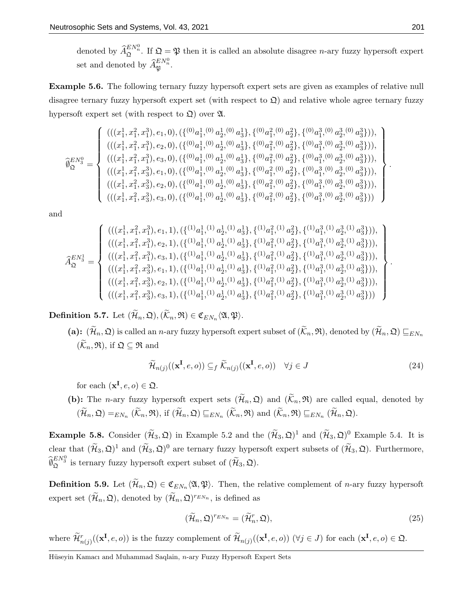denoted by  $\widehat{A}_{\mathfrak{Q}}^{EN_n^0}$ . If  $\mathfrak{Q} = \mathfrak{P}$  then it is called an absolute disagree *n*-ary fuzzy hypersoft expert set and denoted by  $\widehat{A}_{\mathfrak{P}}^{EN_n^0}$ .

Example 5.6. The following ternary fuzzy hypersoft expert sets are given as examples of relative null disagree ternary fuzzy hypersoft expert set (with respect to  $\mathfrak{Q}$ ) and relative whole agree ternary fuzzy hypersoft expert set (with respect to  $\mathfrak{Q}$ ) over  $\mathfrak{A}$ .

$$
\widehat{\varnothing}^{EN_9}_\mathfrak{Q} = \left\{\begin{array}{l}(((x^1_1,x^2_1,x^3_1),e_1,0),(\{(^{(0)}a^1_1,^{(0)}a^1_2,^{(0)}a^1_3\},\{(^{0)}a^2_1,^{(0)}a^2_2\},\{(^{0)}a^3_1,^{(0)}a^3_3\})),\\ (((x^1_1,x^2_1,x^3_1),e_2,0),(\{(^{0)}a^1_1,^{(0)}a^1_2,^{(0)}a^1_3\},\{(^{0)}a^2_1,^{(0)}a^2_2\},\{(^{0)}a^3_1,^{(0)}a^3_2,^{(0)}a^3_3\})),\\ (((x^1_1,x^2_1,x^3_1),e_3,0),(\{(^{0)}a^1_1,^{(0)}a^1_2,^{(0)}a^1_3\},\{(^{0)}a^2_1,^{(0)}a^2_2\},\{(^{0)}a^3_1,^{(0)}a^3_2,^{(0)}a^3_3\})),\\ (((x^1_1,x^2_1,x^3_3),e_1,0),(\{(^{0)}a^1_1,^{(0)}a^1_2,^{(0)}a^1_3\},\{(^{0)}a^2_1,^{(0)}a^2_2\},\{(^{0)}a^3_1,^{(0)}a^3_2,^{(0)}a^3_3\})),\\ (((x^1_1,x^2_1,x^3_3),e_2,0),(\{(^{0)}a^1_1,^{(0)}a^1_2,^{(0)}a^1_3\},\{(^{0)}a^2_1,^{(0)}a^2_2\},\{(^{0)}a^3_1,^{(0)}a^3_2,^{(0)}a^3_3\})),\\ (((x^1_1,x^2_1,x^3_3),e_3,0),(\{(^{0)}a^1_1,^{(0)}a^1_2,^{(0)}a^1_3\},\{(^{0)}a^2_1,^{(0)}a^2_2\},\{(^{0)}a^3_1,^{(0)}a^3_2,^{(0)}a^3_3\})) )\end{array}\right\}
$$

and

$$
\widehat{A}^{EN_3^1}_{\mathfrak{Q}} = \left\{ \begin{array}{l} (((x^1_1,x^2_1,x^3_1),e_1,1),(\{{^{(1)}a^1_1},^{(1)}a^1_2},^{(1)}a^1_3\},\{{^{(1)}a^2_1},^{(1)}a^2_2\},\{{^{(1)}a^3_1},^{(1)}a^3_2},^{(1)}a^3_3\}), \\ (((x^1_1,x^2_1,x^3_1),e_2,1),(\{{^{(1)}a^1_1},^{(1)}a^1_2},^{(1)}a^1_3\},\{{^{(1)}a^2_1},^{(1)}a^2_2\},\{{^{(1)}a^3_1},^{(1)}a^3_2},^{(1)}a^3_3\}), \\ (((x^1_1,x^2_1,x^3_1),e_3,1),(\{{^{(1)}a^1_1},^{(1)}a^1_2},^{(1)}a^1_3\},\{{^{(1)}a^2_1},^{(1)}a^2_2\},\{{^{(1)}a^3_1},^{(1)}a^3_2},^{(1)}a^3_3\}), \\ (((x^1_1,x^2_1,x^3_3),e_1,1),(\{{^{(1)}a^1_1},^{(1)}a^1_2},^{(1)}a^1_3\},\{{^{(1)}a^2_1},^{(1)}a^2_2\},\{{^{(1)}a^3_1},^{(1)}a^3_2},^{(1)}a^3_3\}), \\ (((x^1_1,x^2_1,x^3_3),e_2,1),(\{{^{(1)}a^1_1},^{(1)}a^1_2},^{(1)}a^1_3\},\{{^{(1)}a^2_1},^{(1)}a^2_2\},\{{^{(1)}a^3_1},^{(1)}a^3_2},^{(1)}a^3_3\}), \\ (((x^1_1,x^2_1,x^3_3),e_3,1),(\{{^{(1)}a^1_1},^{(1)}a^1_2},^{(1)}a^1_3\},\{{^{(1)}a^2_1},^{(1)}a^2_2\},\{{^{(1)}a^3_1},^{(1)}a^3_2},^{(1)}a^3_3\}))\end{array} \right\}
$$

**Definition 5.7.** Let  $(\mathcal{H}_n, \mathfrak{Q}), (\mathcal{K}_n, \mathfrak{R}) \in \mathfrak{C}_{EN_n}\langle \mathfrak{A}, \mathfrak{P} \rangle$ .

(a):  $(\widetilde{\mathcal{H}}_n, \mathfrak{Q})$  is called an *n*-ary fuzzy hypersoft expert subset of  $(\widetilde{\mathcal{K}}_n, \mathfrak{R})$ , denoted by  $(\widetilde{\mathcal{H}}_n, \mathfrak{Q}) \sqsubseteq_{EN_n}$  $(\widetilde{\mathcal{K}}_n, \mathfrak{R}),$  if  $\mathfrak{Q} \subseteq \mathfrak{R}$  and

$$
\widetilde{\mathcal{H}}_{n(j)}((\mathbf{x}^{\mathbf{I}},e,o)) \subseteq_{f} \widetilde{\mathcal{K}}_{n(j)}((\mathbf{x}^{\mathbf{I}},e,o)) \quad \forall j \in J
$$
\n(24)

for each  $(\mathbf{x}^{\mathbf{I}}, e, o) \in \mathfrak{Q}$ .

(b): The *n*-ary fuzzy hypersoft expert sets  $(\widetilde{\mathcal{H}}_n, \mathfrak{Q})$  and  $(\widetilde{\mathcal{K}}_n, \mathfrak{R})$  are called equal, denoted by  $(\mathcal{H}_n, \mathfrak{Q}) =_{EN_n} (\mathcal{K}_n, \mathfrak{R}),$  if  $(\mathcal{H}_n, \mathfrak{Q}) \sqsubseteq_{EN_n} (\mathcal{K}_n, \mathfrak{R})$  and  $(\mathcal{K}_n, \mathfrak{R}) \sqsubseteq_{EN_n} (\mathcal{H}_n, \mathfrak{Q}).$ 

**Example 5.8.** Consider  $(\tilde{\mathcal{H}}_3, \mathcal{Q})$  in Example 5.2 and the  $(\tilde{\mathcal{H}}_3, \mathcal{Q})^1$  and  $(\tilde{\mathcal{H}}_3, \mathcal{Q})^0$  Example 5.4. It is clear that  $(\widetilde{\mathcal{H}}_3, \mathfrak{Q})^1$  and  $(\widetilde{\mathcal{H}}_3, \mathfrak{Q})^0$  are ternary fuzzy hypersoft expert subsets of  $(\widetilde{\mathcal{H}}_3, \mathfrak{Q})$ . Furthermore,  $\widehat{\emptyset}_{\mathfrak{Q}}^{EN_3^0}$  is ternary fuzzy hypersoft expert subset of  $(\widetilde{\mathcal{H}}_3, \mathfrak{Q})$ .

**Definition 5.9.** Let  $(\mathcal{H}_n, \mathfrak{Q}) \in \mathfrak{C}_{EN_n}\langle \mathfrak{A}, \mathfrak{P} \rangle$ . Then, the relative complement of *n*-ary fuzzy hypersoft expert set  $(\widetilde{\mathcal{H}}_n, \mathfrak{Q})$ , denoted by  $(\widetilde{\mathcal{H}}_n, \mathfrak{Q})^{r_{EN_n}}$ , is defined as

$$
(\widetilde{\mathcal{H}}_n, \mathfrak{Q})^{TEN_n} = (\widetilde{\mathcal{H}}_n^r, \mathfrak{Q}),\tag{25}
$$

where  $\widetilde{\mathcal{H}}_{n(j)}^{r}((\mathbf{x}^{\mathbf{I}}, e, o))$  is the fuzzy complement of  $\widetilde{\mathcal{H}}_{n(j)}((\mathbf{x}^{\mathbf{I}}, e, o))$  ( $\forall j \in J$ ) for each  $(\mathbf{x}^{\mathbf{I}}, e, o) \in \mathfrak{Q}$ .

Hüseyin Kamacı and Muhammad Saqlain, n-ary Fuzzy Hypersoft Expert Sets

.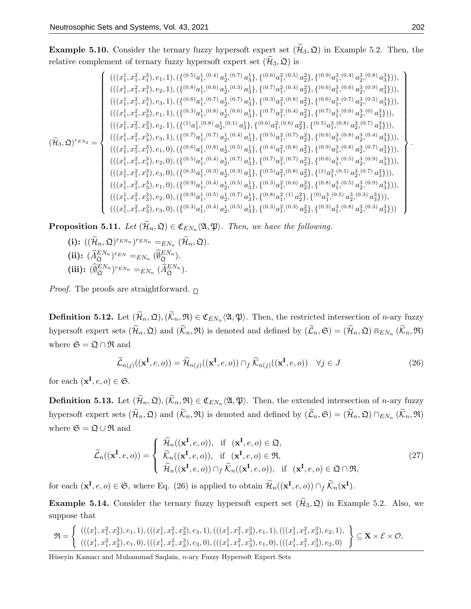**Example 5.10.** Consider the ternary fuzzy hypersoft expert set  $(\mathcal{H}_3, \mathfrak{Q})$  in Example 5.2. Then, the relative complement of ternary fuzzy hypersoft expert set  $(\widetilde{\mathcal{H}}_3, \mathfrak{Q})$  is

$$
(\widetilde{\mathcal{H}}_{3},\mathfrak{Q})^{r_{EN_{3}}}=\left\{ \begin{array}{l}(((x_{1}^{1},x_{1}^{2},x_{1}^{3}),e_{1},1),(\{(^{0.5})a_{1}^{1},{}^{(0.4)}a_{2}^{1},{}^{(0.5)}a_{3}^{1}\},\{(^{0.6})a_{1}^{2},{}^{(0.5)}a_{2}^{2}\},\{(^{0.6})a_{1}^{3},{}^{(0.6)}a_{2}^{3},{}^{(0.8)}a_{3}^{3}\})),\\ (((x_{1}^{1},x_{1}^{2},x_{1}^{3}),e_{2},1),(\{(^{0.6})a_{1}^{1},{}^{(0.7)}a_{2}^{1},{}^{(0.7)}a_{3}^{1}\},\{(^{0.3})a_{1}^{2},{}^{(0.8)}a_{2}^{2}\},\{(^{0.6})a_{1}^{3},{}^{(0.7)}a_{2}^{3},{}^{(0.5)}a_{3}^{3}\})),\\ (((x_{1}^{1},x_{1}^{2},x_{3}^{3}),e_{1},1),(\{(^{0.3})a_{1}^{1},{}^{(0.8)}a_{2}^{1},{}^{(0.6)}a_{3}^{1}\},\{(^{0.7})a_{1}^{2},{}^{(0.4)}a_{2}^{2}\},\{(^{0.6})a_{1}^{3},{}^{(0.6)}a_{2}^{3},{}^{(0.5)}a_{3}^{3}\})),\\ (((x_{1}^{1},x_{1}^{2},x_{3}^{3}),e_{2},1),(\{(^{11}a_{1}^{1},{}^{(0.8)}a_{2}^{1},{}^{(0.1)}a_{3}^{1}\},\{(^{0.6})a_{1}^{2},{}^{(0.4)}a_{2}^{2}\},\{(^{0.6})a_{1}^{3},{}^{(0.8)}a_{2}^{3},{}^{(0.7)}a_{3}^{3}\})),\\ (((x_{1}^{1},x_{1}^{2},x_{3}^{3}),e_{3},1),(\{(^{0.7})a_{1}^{1},{}^{(0.7)}a_{2}^{1},{}^{(0.1)}a_{3}^{1}\},\{(^{0.6})a_{1}^{2},{}^{(0.7)}a_{2}^{2}\},\{(^{0.6})a_{1}^{3},{}^{(0.8)}a_{2}^{3},{}^{(0.7)}a_{3}^{3}\
$$

**Proposition 5.11.** Let  $(\mathcal{H}_n, \mathfrak{Q}) \in \mathfrak{C}_{EN_n}\langle \mathfrak{A}, \mathfrak{P} \rangle$ . Then, we have the following.

(i): 
$$
((\widetilde{\mathcal{H}}_n, \mathfrak{Q})^{r_{EN_n}})^{r_{EN_n}} =_{EN_n} (\widetilde{\mathcal{H}}_n, \mathfrak{Q}).
$$
  
\n(ii):  $(\widehat{A}_{\mathfrak{Q}}^{EN_n})^{r_{EN}} =_{EN_n} (\widehat{\emptyset}_{\mathfrak{Q}}^{EN_n}).$   
\n(iii):  $(\widehat{\emptyset}_{\mathfrak{Q}}^{EN_n})^{r_{EN_n}} =_{EN_n} (\widehat{A}_{\mathfrak{Q}}^{EN_n}).$ 

*Proof.* The proofs are straightforward.  $\Box$ 

**Definition 5.12.** Let  $(\mathcal{H}_n, \mathfrak{Q}), (\mathcal{K}_n, \mathfrak{R}) \in \mathfrak{C}_{EN_n}\langle \mathfrak{A}, \mathfrak{P} \rangle$ . Then, the restricted intersection of *n*-ary fuzzy hypersoft expert sets  $(\widetilde{\mathcal{H}}_n, \mathfrak{Q})$  and  $(\widetilde{\mathcal{K}}_n, \mathfrak{R})$  is denoted and defined by  $(\widetilde{\mathcal{L}}_n, \mathfrak{S}) = (\widetilde{\mathcal{H}}_n, \mathfrak{Q}) \otimes_{EN_n} (\widetilde{\mathcal{K}}_n, \mathfrak{R})$ where  $\mathfrak{S} = \mathfrak{Q} \cap \mathfrak{R}$  and

$$
\widetilde{\mathcal{L}}_{n(j)}((\mathbf{x}^{\mathbf{I}},e,o)) = \widetilde{\mathcal{H}}_{n(j)}((\mathbf{x}^{\mathbf{I}},e,o)) \cap_f \widetilde{\mathcal{K}}_{n(j)}((\mathbf{x}^{\mathbf{I}},e,o)) \quad \forall j \in J
$$
\n(26)

for each  $(\mathbf{x}^{\mathbf{I}}, e, o) \in \mathfrak{S}$ .

**Definition 5.13.** Let  $(\mathcal{H}_n, \mathfrak{Q}), (\mathcal{K}_n, \mathfrak{R}) \in \mathfrak{C}_{EN_n}\langle \mathfrak{A}, \mathfrak{P} \rangle$ . Then, the extended intersection of *n*-ary fuzzy hypersoft expert sets  $(\mathcal{H}_n, \mathfrak{Q})$  and  $(\mathcal{K}_n, \mathfrak{R})$  is denoted and defined by  $(\mathcal{L}_n, \mathfrak{S}) = (\mathcal{H}_n, \mathfrak{Q}) \sqcap_{EN_n} (\mathcal{K}_n, \mathfrak{R})$ where  $\mathfrak{S} = \mathfrak{Q} \cup \mathfrak{R}$  and

$$
\widetilde{\mathcal{L}}_n((\mathbf{x}^\mathbf{I}, e, o)) = \begin{cases}\n\widetilde{\mathcal{H}}_n((\mathbf{x}^\mathbf{I}, e, o)), & \text{if } (\mathbf{x}^\mathbf{I}, e, o) \in \mathfrak{Q}, \\
\widetilde{\mathcal{K}}_n((\mathbf{x}^\mathbf{I}, e, o)), & \text{if } (\mathbf{x}^\mathbf{I}, e, o) \in \mathfrak{R}, \\
\widetilde{\mathcal{H}}_n((\mathbf{x}^\mathbf{I}, e, o)) \cap_f \widetilde{\mathcal{K}}_n((\mathbf{x}^\mathbf{I}, e, o)), & \text{if } (\mathbf{x}^\mathbf{I}, e, o) \in \mathfrak{Q} \cap \mathfrak{R},\n\end{cases}
$$
\n(27)

for each  $(\mathbf{x}^{\mathbf{I}}, e, o) \in \mathfrak{S}$ , where Eq. (26) is applied to obtain  $\widetilde{\mathcal{H}}_n((\mathbf{x}^{\mathbf{I}}, e, o)) \cap_f \widetilde{\mathcal{K}}_n(\mathbf{x}^{\mathbf{I}})$ .

**Example 5.14.** Consider the ternary fuzzy hypersoft expert set  $(\widetilde{\mathcal{H}}_3, \mathfrak{Q})$  in Example 5.2. Also, we suppose that

$$
\mathfrak{R} = \left\{ \begin{array}{l} (((x_1^1, x_1^2, x_2^3), e_1, 1), (((x_1^1, x_1^2, x_2^3), e_3, 1), (((x_1^1, x_1^2, x_3^3), e_1, 1), (((x_1^1, x_1^2, x_3^3), e_2, 1), \\ (((x_1^1, x_1^2, x_2^3), e_1, 0), (((x_1^1, x_1^2, x_2^3), e_3, 0), (((x_1^1, x_1^2, x_3^3), e_1, 0), (((x_1^1, x_1^2, x_3^3), e_2, 0)) \end{array} \right\} \subseteq \mathbf{X} \times \mathcal{E} \times \mathcal{O},
$$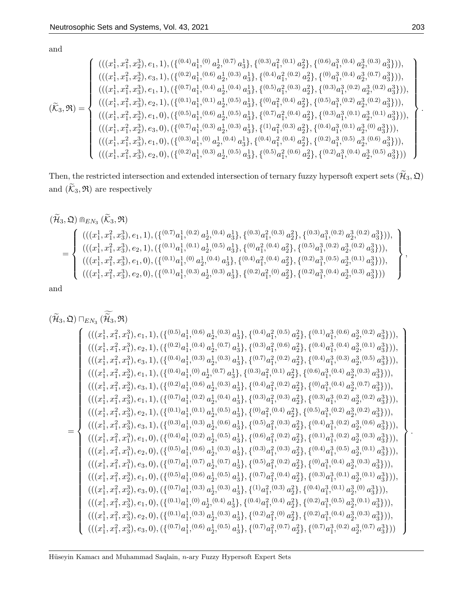and

$$
(\widetilde{\mathcal{K}}_3,\mathfrak{R})=\left\{\begin{array}{l}(((x_1^1,x_1^2,x_2^3),e_1,1),(\{(^{0.4})a_1^1,^{(0)}a_2^1,^{(0.7)}a_3^1\},\{(^{0.3)}a_1^2,^{(0.1)}a_2^2\},\{(^{0.6)}a_1^3,^{(0.4)}a_2^3,^{(0.3)}a_3^3\})),\\ (((x_1^1,x_1^2,x_2^3),e_3,1),(\{(^{0.2)}a_1^1,^{(0.6)}a_2^1,^{(0.3)}a_3^1\},\{(^{0.4)}a_1^2,^{(0.2)}a_2^2\},\{(^{0)}a_1^3,^{(0.4)}a_2^3,^{(0.7)}a_3^3\})),\\ (((x_1^1,x_1^2,x_3^3),e_1,1),(\{(^{0.7)}a_1^1,^{(0.4)}a_2^1,^{(0.4)}a_3^1\},\{(^{0.5)}a_1^2,^{(0.3)}a_2^2\},\{(^{0.3)}a_1^3,^{(0.2)}a_2^3,^{(0.2)}a_3^3\})),\\ (((x_1^1,x_1^2,x_2^3),e_2,1),(\{(^{0.1)}a_1^1,^{(0.1)}a_2^1,^{(0.5)}a_3^1\},\{(^{0.2)}a_1^2,^{(0.4)}a_2^2\},\{(^{0.5)}a_1^3,^{(0.2)}a_2^3,^{(0.2)}a_3^3\})),\\ (((x_1^1,x_1^2,x_2^3),e_1,0),(\{(^{0.5)}a_1^1,^{(0.3)}a_2^1,^{(0.3)}a_3^1\},\{(^{0.7)}a_1^2,^{(0.4)}a_2^2\},\{(^{0.4)}a_1^3,^{(0.1)}a_2^3,^{(0.1)}a_3^3\})),\\ (((x_1^1,x_1^2,x_2^3),e_1,0),(\{(^{0.3)}a_1^1,^{(0)}a_2^1,^{(0.4)}a_3^1\},\{(^{0.4)}a_1^2,^{(0.4)}a_2^2\},\{(^{0.4)}a_1^3,^{
$$

Then, the restricted intersection and extended intersection of ternary fuzzy hypersoft expert sets  $(\widetilde{\mathcal{H}}_3, \mathfrak{Q})$ and  $(\widetilde{\mathcal{K}}_3,\mathfrak{R})$  are respectively

$$
\begin{aligned} &(\widetilde{\mathcal{H}}_{3},\mathfrak{Q})\;\mathbb{G}_{EN_{3}}\left(\widetilde{\mathcal{K}}_{3},\mathfrak{R}\right)\\ =&\left\{\begin{array}{l}(((x_{1}^{1},x_{1}^{2},x_{3}^{3}),e_{1},1),(\{(0.7)a_{1}^{1},(0.2)\;a_{2}^{1},(0.4)\;a_{3}^{1}\},\{(0.3)a_{1}^{2},(0.3)\;a_{2}^{2}\},\{(0.3)a_{1}^{3},(0.2)\;a_{2}^{3},(0.2)\;a_{3}^{3}\})),\\ &\quad\left(((x_{1}^{1},x_{1}^{2},x_{3}^{3}),e_{2},1),(\{(0.1)a_{1}^{1},(0.1)\;a_{2}^{1},(0.5)\;a_{3}^{1}\},\{(0.a_{1}^{2},(0.4)\;a_{2}^{2}\},\{(0.5)a_{1}^{3},(0.2)\;a_{2}^{3},(0.2)\;a_{3}^{3}\})),\\ &\quad\left(((x_{1}^{1},x_{1}^{2},x_{3}^{3}),e_{1},0),(\{(0.1)a_{1}^{1},(0)\;a_{2}^{1},(0.4)\;a_{3}^{1}\},\{(0.4)a_{1}^{2},(0.4)\;a_{2}^{2}\},\{(0.2)a_{1}^{3},(0.5)\;a_{2}^{3},(0.1)\;a_{3}^{3}\})),\\ &\quad\left(((x_{1}^{1},x_{1}^{2},x_{3}^{3}),e_{2},0),(\{(0.1)a_{1}^{1},(0.3)\;a_{2}^{1},(0.3)\;a_{3}^{1}\},\{(0.2)a_{1}^{2},(0)\;a_{2}^{2}\},\{(0.2)a_{1}^{3},(0.4)\;a_{2}^{3},(0.3)\;a_{3}^{3}\}))\end{array}\right\},\end{aligned}
$$

and

$$
(\widetilde{\mathcal{H}}_{3},\mathfrak{Q})\sqcap_{EN_{3}}(\widetilde{\mathcal{H}}_{3},\mathfrak{R})
$$
\n
$$
\begin{pmatrix}\n((x_{1}^{1},x_{1}^{2},x_{1}^{3}),e_{1},1),(\{(^{0.5)}a_{1}^{1},{}^{(0.6)}a_{2}^{1},{}^{(0.3)}a_{3}^{1}\},\{(^{0.3)}a_{1}^{2},{}^{(0.6)}a_{2}^{2}\},\{(^{0.1)}a_{1}^{3},{}^{(0.6)}a_{2}^{3},{}^{(0.2)}a_{3}^{3}\}), \\
(((x_{1}^{1},x_{1}^{2},x_{1}^{3}),e_{3},1),(\{(^{0.4)}a_{1}^{1},{}^{(0.3)}a_{2}^{1},{}^{(0.3)}a_{3}^{1}\},\{(^{0.7)}a_{1}^{2},{}^{(0.2)}a_{2}^{2}\},\{(^{0.4)}a_{1}^{3},{}^{(0.4)}a_{2}^{3},{}^{(0.1)}a_{3}^{3}\}), \\
(((x_{1}^{1},x_{1}^{2},x_{2}^{3}),e_{1},1),(\{(^{0.4)}a_{1}^{1},{}^{(0.3)}a_{2}^{1},{}^{(0.3)}a_{3}^{1}\},\{(^{0.4)}a_{1}^{2},{}^{(0.2)}a_{2}^{2}\},\{(^{0.6)}a_{1}^{3},{}^{(0.4)}a_{2}^{3},{}^{(0.5)}a_{3}^{3}\}), \\
(((x_{1}^{1},x_{1}^{2},x_{2}^{3}),e_{1},1),(\{(^{0.7)}a_{1}^{1},{}^{(0.5)}a_{2}^{1},{}^{(0.3)}a_{3}^{1}\},\{(^{0.4)}a_{1}^{2},{}^{(0.2)}a_{2}^{2}\},\{(^{0.6)}a_{1}^{3},{}^{(0.4)}a_{2}^{3},{}^{(0.2)}a_{3}^{3}\}), \\
(((x_{1}^{1},x_{1}^{2},x_{3}^{3}),e_{1},1),(\{(^{0.7)}a_{1}^{1},{}^{(0.2)}a_{2}^{1},{}^{(0.5)}a_{3}^{1}\},\{(^{0.3)}a_{1}^{2},{}^{(0.3)}a_{2}^{2}\},\{(^{0.5)}a_{1}^{3},{}^{(0.
$$

.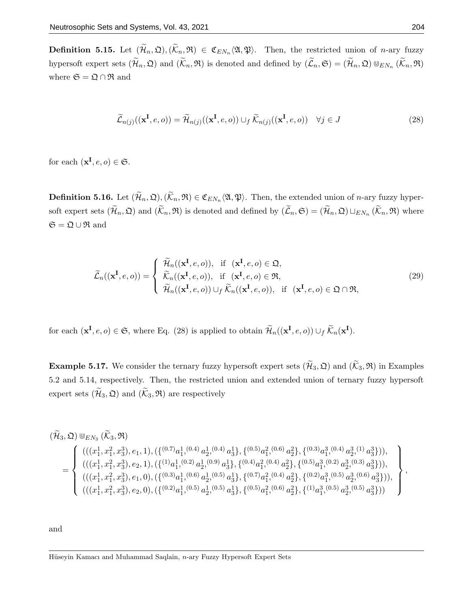**Definition 5.15.** Let  $(\mathcal{H}_n, \mathfrak{Q}), (\mathcal{K}_n, \mathfrak{R}) \in \mathfrak{C}_{EN_n}\langle \mathfrak{A}, \mathfrak{P} \rangle$ . Then, the restricted union of *n*-ary fuzzy hypersoft expert sets  $(\widetilde{\mathcal{H}}_n, \mathfrak{Q})$  and  $(\widetilde{\mathcal{K}}_n, \mathfrak{R})$  is denoted and defined by  $(\widetilde{\mathcal{L}}_n, \mathfrak{S}) = (\widetilde{\mathcal{H}}_n, \mathfrak{Q}) \cup_{EN_n} (\widetilde{\mathcal{K}}_n, \mathfrak{R})$ where  $\mathfrak{S}=\mathfrak{Q}\cap\mathfrak{R}$  and

$$
\widetilde{\mathcal{L}}_{n(j)}((\mathbf{x}^{\mathbf{I}},e,o)) = \widetilde{\mathcal{H}}_{n(j)}((\mathbf{x}^{\mathbf{I}},e,o)) \cup_f \widetilde{\mathcal{K}}_{n(j)}((\mathbf{x}^{\mathbf{I}},e,o)) \quad \forall j \in J
$$
\n(28)

for each  $(\mathbf{x}^{\mathbf{I}}, e, o) \in \mathfrak{S}$ .

**Definition 5.16.** Let  $(\mathcal{H}_n, \mathfrak{Q}), (\mathcal{K}_n, \mathfrak{R}) \in \mathfrak{C}_{EN_n}\langle \mathfrak{A}, \mathfrak{P} \rangle$ . Then, the extended union of *n*-ary fuzzy hypersoft expert sets  $(\mathcal{H}_n, \mathfrak{Q})$  and  $(\mathcal{K}_n, \mathfrak{R})$  is denoted and defined by  $(\mathcal{L}_n, \mathfrak{S}) = (\mathcal{H}_n, \mathfrak{Q}) \sqcup_{EN_n} (\mathcal{K}_n, \mathfrak{R})$  where  $\mathfrak{S} = \mathfrak{Q} \cup \mathfrak{R}$  and

$$
\widetilde{\mathcal{L}}_n((\mathbf{x}^\mathbf{I}, e, o)) = \begin{cases}\n\widetilde{\mathcal{H}}_n((\mathbf{x}^\mathbf{I}, e, o)), & \text{if } (\mathbf{x}^\mathbf{I}, e, o) \in \mathfrak{Q}, \\
\widetilde{\mathcal{K}}_n((\mathbf{x}^\mathbf{I}, e, o)), & \text{if } (\mathbf{x}^\mathbf{I}, e, o) \in \mathfrak{R}, \\
\widetilde{\mathcal{H}}_n((\mathbf{x}^\mathbf{I}, e, o)) \cup_f \widetilde{\mathcal{K}}_n((\mathbf{x}^\mathbf{I}, e, o)), & \text{if } (\mathbf{x}^\mathbf{I}, e, o) \in \mathfrak{Q} \cap \mathfrak{R},\n\end{cases}
$$
\n(29)

for each  $(\mathbf{x}^{\mathbf{I}}, e, o) \in \mathfrak{S}$ , where Eq. (28) is applied to obtain  $\widetilde{\mathcal{H}}_n((\mathbf{x}^{\mathbf{I}}, e, o)) \cup_f \widetilde{\mathcal{K}}_n(\mathbf{x}^{\mathbf{I}})$ .

**Example 5.17.** We consider the ternary fuzzy hypersoft expert sets  $(\widetilde{\mathcal{H}}_3, \mathfrak{Q})$  and  $(\widetilde{\mathcal{K}}_3, \mathfrak{R})$  in Examples 5.2 and 5.14, respectively. Then, the restricted union and extended union of ternary fuzzy hypersoft expert sets  $(\widetilde{\mathcal{H}}_3, \mathfrak{Q})$  and  $(\widetilde{\mathcal{K}}_3, \mathfrak{R})$  are respectively

$$
\begin{split} &(\widetilde{\mathcal{H}}_{3},\mathfrak{Q})\Cup_{EN_{3}}(\widetilde{\mathcal{K}}_{3},\mathfrak{R})\\ & \qquad =\left\lbrace \begin{array}{l}(((x_{1}^{1},x_{1}^{2},x_{3}^{3}),e_{1},1),(\{(0.7)_{a}^{1},(0.4)\;a_{2}^{1},(0.4)\;a_{3}^{1}\},\{(0.5)_{a}^{2},(0.6)\;a_{2}^{2}\},\{(0.3)_{a}^{3},(0.4)\;a_{2}^{3},(1)\;a_{3}^{3}\})),\\ & \qquad \left((x_{1}^{1},x_{1}^{2},x_{3}^{3}),e_{2},1),(\{(1)_{a}^{1},(0.2)\;a_{2}^{1},(0.9)\;a_{3}^{1}\},\{(0.4)_{a}^{2},(0.4)\;a_{2}^{2}\},\{(0.5)_{a}^{3},(0.2)\;a_{2}^{3},(0.3)\;a_{3}^{3}\})),\\ & \qquad \left((x_{1}^{1},x_{1}^{2},x_{3}^{3}),e_{1},0),(\{(0.3)_{a}^{1},(0.6)\;a_{2}^{1},(0.5)\;a_{3}^{1}\},\{(0.7)_{a}^{2},(0.4)\;a_{2}^{2}\},\{(0.2)_{a}^{3},(0.5)\;a_{2}^{3},(0.6)\;a_{3}^{3}\})),\\ & \qquad \left((x_{1}^{1},x_{1}^{2},x_{3}^{3}),e_{2},0),(\{(0.2)_{a}^{1},(0.5)\;a_{2}^{1},(0.5)\;a_{3}^{1}\},\{(0.5)_{a}^{2},(0.6)\;a_{2}^{2}\},\{(1)_{a}^{3},(0.5)\;a_{2}^{3},(0.5)\;a_{3}^{3}\} )\right) \end{array} \right\rbrace,\\ \end{split}
$$

and

Hüseyin Kamacı and Muhammad Saqlain, n-ary Fuzzy Hypersoft Expert Sets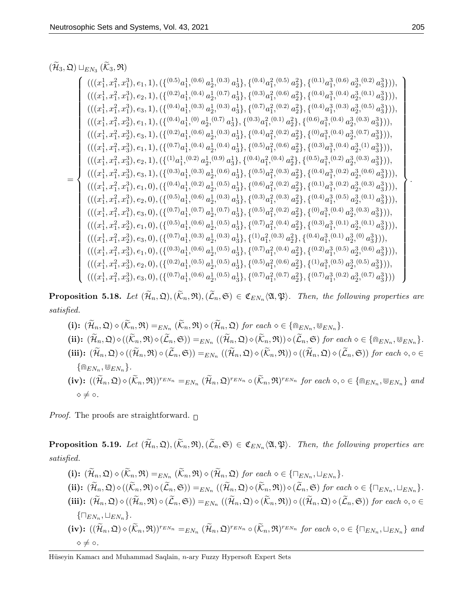# $(\mathcal{H}_3, \mathfrak{Q})\sqcup_{EN_3} (\mathcal{K}_3, \mathfrak{R})$

$$
\begin{equation*} &\left\{ \begin{matrix} ((x^1_1,x^2_1,x^3_1),e_1,1),(\{(^{0.5})a^1_1,(^{0.6})a^1_2,(^{0.3})a^1_3\},\{(^{0.4})a^2_1,(^{0.5})a^2_2\},\{(^{0.1})a^3_1,(^{0.4})a^3_2,(^{0.2})a^3_3\} \right) \right\}\\ &\left\{ \begin{matrix} ((x^1_1,x^2_1,x^3_1),e_2,1),(\{(^{0.2})a^1_1,(^{0.4})a^1_2,(^{0.7})a^1_3\},\{(^{0.3})a^2_1,(^{0.6})a^2_2\},\{(^{0.4})a^3_1,(^{0.4})a^3_2,(^{0.1})a^3_3\} \right) \right\}\\ &\left\{ \begin{matrix} ((x^1_1,x^2_1,x^3_2),e_1,1),(\{(^{0.4})a^1_1,(^{0.3})a^1_2,(^{0.3})a^1_3\},\{(^{0.3})a^2_1,(^{0.1})a^2_2\},\{(^{0.4})a^3_1,(^{0.3})a^3_2,(^{0.5})a^3_3\} \right) \right\}\\ &\left\{ \begin{matrix} ((x^1_1,x^2_1,x^3_2),e_1,1),(\{(^{0.2})a^1_1,(^{0.6})a^1_2,(^{0.3})a^1_3\},\{(^{0.3})a^2_1,(^{0.1})a^2_2\},\{(^{0.6})a^3_1,(^{0.4})a^3_2,(^{0.5})a^3_3\} \right) \right\}\\ &\left\{ \begin{matrix} ((x^1_1,x^2_1,x^3_3),e_1,1),(\{(^{0.2})a^1_1,(^{0.4})a^1_2,(^{0.4})a^1_3\},\{(^{0.4})a^2_1,(^{0.6})a^2_2\},\{(^{0.3})a^3_1,(^{0.4})a^3_2,(^{0.7})a^3_3\} \right) \right\}\\ &\left\{ \begin{matrix} ((x^1_1,x^2_1,x^3_3),e_2,1),(\{(^{10.4})a^1_1,(^{0.2})a^1_2,(^{0.9})a^1_3
$$

**Proposition 5.18.** Let  $(\mathcal{H}_n, \mathfrak{Q}), (\mathcal{K}_n, \mathfrak{R}),(\mathcal{L}_n, \mathfrak{S}) \in \mathfrak{C}_{EN_n}\langle\mathfrak{A}, \mathfrak{P}\rangle$ . Then, the following properties are satisfied.

\n- (i): 
$$
(\widetilde{\mathcal{H}}_n, \mathfrak{Q}) \diamond (\widetilde{\mathcal{K}}_n, \mathfrak{R}) =_{EN_n} (\widetilde{\mathcal{K}}_n, \mathfrak{R}) \diamond (\widetilde{\mathcal{H}}_n, \mathfrak{Q}) \text{ for each } \diamond \in \{\mathbb{R}_{EN_n}, \mathbb{W}_{EN_n}\}.
$$
\n- (ii):  $(\widetilde{\mathcal{H}}_n, \mathfrak{Q}) \diamond ((\widetilde{\mathcal{K}}_n, \mathfrak{R}) \diamond (\widetilde{\mathcal{L}}_n, \mathfrak{S})) =_{EN_n} ((\widetilde{\mathcal{H}}_n, \mathfrak{Q}) \diamond (\widetilde{\mathcal{K}}_n, \mathfrak{R})) \diamond (\widetilde{\mathcal{L}}_n, \mathfrak{S}) \text{ for each } \diamond \in \{\mathbb{R}_{EN_n}, \mathbb{W}_{EN_n}\}.$
\n- (iii):  $(\widetilde{\mathcal{H}}_n, \mathfrak{Q}) \diamond ((\widetilde{\mathcal{H}}_n, \mathfrak{R}) \circ (\widetilde{\mathcal{L}}_n, \mathfrak{S})) =_{EN_n} ((\widetilde{\mathcal{H}}_n, \mathfrak{Q}) \diamond (\widetilde{\mathcal{K}}_n, \mathfrak{R})) \circ ((\widetilde{\mathcal{H}}_n, \mathfrak{Q}) \diamond (\widetilde{\mathcal{L}}_n, \mathfrak{S})) \text{ for each } \diamond, \diamond \in \{\mathbb{R}_{EN_n}, \mathbb{W}_{EN_n}\}.$
\n- (iv):  $((\widetilde{\mathcal{H}}_n, \mathfrak{Q}) \diamond (\widetilde{\mathcal{K}}_n, \mathfrak{R}))^{r_{EN_n}} =_{EN_n} (\widetilde{\mathcal{H}}_n, \mathfrak{Q})^{r_{EN_n}} \circ (\widetilde{\mathcal{K}}_n, \mathfrak{R})^{r_{EN_n}} \text{ for each } \diamond, \diamond \in \{\mathbb{R}_{EN_n}, \mathbb{W}_{EN_n}\} \text{ and } \diamond \neq \circ.$
\n

*Proof.* The proofs are straightforward.  $\Box$ 

**Proposition 5.19.** Let  $(\mathcal{H}_n, \mathfrak{Q}), (\mathcal{K}_n, \mathfrak{R}),(\mathcal{L}_n, \mathfrak{S}) \in \mathfrak{C}_{EN_n}\langle\mathfrak{A}, \mathfrak{P}\rangle$ . Then, the following properties are satisfied.

(i): 
$$
(\widetilde{\mathcal{H}}_n, \mathfrak{Q}) \diamond (\widetilde{\mathcal{K}}_n, \mathfrak{R}) =_{EN_n} (\widetilde{\mathcal{K}}_n, \mathfrak{R}) \diamond (\widetilde{\mathcal{H}}_n, \mathfrak{Q}) \text{ for each } \diamond \in \{\Box_{EN_n}, \Box_{EN_n}\}.
$$
  
\n(ii):  $(\widetilde{\mathcal{H}}_n, \mathfrak{Q}) \diamond ((\widetilde{\mathcal{K}}_n, \mathfrak{R}) \diamond (\widetilde{\mathcal{L}}_n, \mathfrak{S})) =_{EN_n} ((\widetilde{\mathcal{H}}_n, \mathfrak{Q}) \diamond (\widetilde{\mathcal{K}}_n, \mathfrak{R})) \diamond (\widetilde{\mathcal{L}}_n, \mathfrak{S}) \text{ for each } \diamond \in \{\Box_{EN_n}, \Box_{EN_n}\}.$   
\n(iii):  $(\widetilde{\mathcal{H}}_n, \mathfrak{Q}) \diamond ((\widetilde{\mathcal{H}}_n, \mathfrak{R}) \circ (\widetilde{\mathcal{L}}_n, \mathfrak{S})) =_{EN_n} ((\widetilde{\mathcal{H}}_n, \mathfrak{Q}) \diamond (\widetilde{\mathcal{K}}_n, \mathfrak{R})) \circ ((\widetilde{\mathcal{H}}_n, \mathfrak{Q}) \diamond (\widetilde{\mathcal{L}}_n, \mathfrak{S})) \text{ for each } \diamond, \diamond \in \{\Box_{EN_n}, \Box_{EN_n}\}.$   
\n(iv):  $((\widetilde{\mathcal{H}}_n, \mathfrak{Q}) \diamond (\widetilde{\mathcal{K}}_n, \mathfrak{R}))^{r_{EN_n}} =_{EN_n} (\widetilde{\mathcal{H}}_n, \mathfrak{Q})^{r_{EN_n}} \circ (\widetilde{\mathcal{K}}_n, \mathfrak{R})^{r_{EN_n}} \text{ for each } \diamond, \diamond \in \{\Box_{EN_n}, \Box_{EN_n}\} \text{ and } \diamond \neq \circ.$ 

Hüseyin Kamacı and Muhammad Saqlain,  $n$ -ary Fuzzy Hypersoft Expert Sets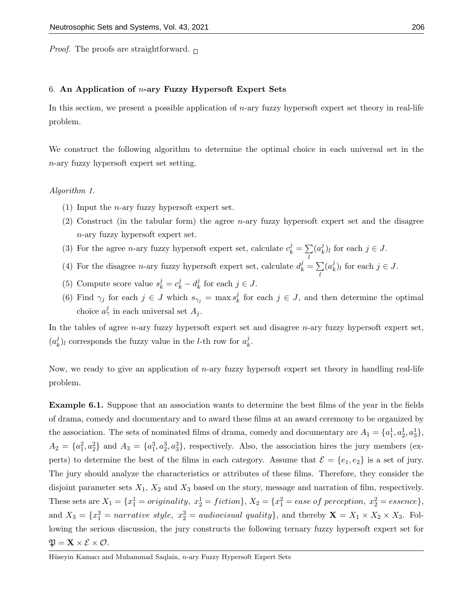*Proof.* The proofs are straightforward.  $\Box$ 

#### 6. An Application of  $n$ -ary Fuzzy Hypersoft Expert Sets

In this section, we present a possible application of  $n$ -ary fuzzy hypersoft expert set theory in real-life problem.

We construct the following algorithm to determine the optimal choice in each universal set in the n-ary fuzzy hypersoft expert set setting.

#### Algorithm 1.

- (1) Input the *n*-ary fuzzy hypersoft expert set.
- (2) Construct (in the tabular form) the agree *n*-ary fuzzy hypersoft expert set and the disagree n-ary fuzzy hypersoft expert set.

l

l

- (3) For the agree *n*-ary fuzzy hypersoft expert set, calculate  $c_k^j = \sum_i$  $(a_k^j$  $\binom{J}{k}$  for each  $j \in J$ .
- (4) For the disagree *n*-ary fuzzy hypersoft expert set, calculate  $d_k^j = \sum$  $(a_k^j$  $\binom{J}{k}$  for each  $j \in J$ .
- (5) Compute score value  $s_k^j = c_k^j d_k^j$  $\frac{j}{k}$  for each  $j \in J$ .
- (6) Find  $\gamma_j$  for each  $j \in J$  which  $s_{\gamma_j} = \max s_k^j$  $\frac{d}{dx}$  for each  $j \in J$ , and then determine the optimal choice  $a^j_\gamma$  in each universal set  $A_j$ .

In the tables of agree n-ary fuzzy hypersoft expert set and disagree n-ary fuzzy hypersoft expert set,  $(a_k^j$  $\mu_k^j$ ), corresponds the fuzzy value in the *l*-th row for  $a_k^j$  $\frac{j}{k}$ .

Now, we ready to give an application of  $n$ -ary fuzzy hypersoft expert set theory in handling real-life problem.

Example 6.1. Suppose that an association wants to determine the best films of the year in the fields of drama, comedy and documentary and to award these films at an award ceremony to be organized by the association. The sets of nominated films of drama, comedy and documentary are  $A_1 = \{a_1^1, a_2^1, a_3^1\}$ ,  $A_2 = \{a_1^2, a_2^2\}$  and  $A_3 = \{a_1^3, a_2^3, a_3^3\}$ , respectively. Also, the association hires the jury members (experts) to determine the best of the films in each category. Assume that  $\mathcal{E} = \{e_1, e_2\}$  is a set of jury. The jury should analyze the characteristics or attributes of these films. Therefore, they consider the disjoint parameter sets  $X_1$ ,  $X_2$  and  $X_3$  based on the story, message and narration of film, respectively. These sets are  $X_1 = \{x_1^1 = \text{originality}, x_2^1 = \text{fiction}\}, X_2 = \{x_1^2 = \text{case of}\text{ }perception, x_2^2 = \text{essence}\},$ and  $X_3 = \{x_1^3 = narrative \ style="color: red;">structure steple, \ x_2^3 = audiovisual \ quality\}, and thereby \ \mathbf{X} = X_1 \times X_2 \times X_3. \ \text{Fol-}$ lowing the serious discussion, the jury constructs the following ternary fuzzy hypersoft expert set for  $\mathfrak{P} = \mathbf{X} \times \mathcal{E} \times \mathcal{O}.$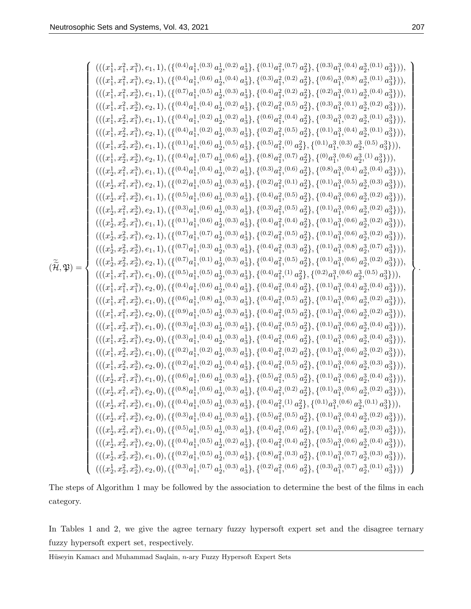$$
\begin{pmatrix} (((z_1^1, x_1^2, x_1^3), e_1, 1), ((\{0.40a_1^1, 0.9a_2^1, 0.9a_3^1\}, \{0.30a_1^2, 0.9a_2^2\}, \{0.30a_1^3, 0.9a_2^3, 0.9a_2^3\}) \\ ((|z_1^1, z_1^2, z_2^3), e_1, 1), ((\{0.40a_1^1, 0.9a_2^1, 0.9a_2^2, 0.9a_2^2\}, \{0.9a_1^3, 0.9a_2^3, 0.9a_2^3\}) \\ ((|z_1^1, z_2^2, x_2^3), e_1, 1), ((\{0.40a_1^1, 0.9a_2^1, 0.9a_2^1, 0.9a_2^2, 0.9a_2^2\}, \{0.20a_1^3, 0.9a_2^3, 0.9a_2^3\}) \\ ((|z_1^1, z_2^2, z_1^3), e_1, 1), ((\{0.40a_1^1, 0.9a_2^1, 0.9a_2^1, 0.9a_2^2, 0.9a_2^2\}, \{0.20a_1^3, 0.9a_2^3, 0.9a_2^3\}) \\ ((|z_1^1, z_2^2, z_1^3), e_1, 1), ((\{0.40a_1^1, 0.9a_2^1, 0.9a_2^1, 0.9a_2^2, 0.9a_2^2\}, \{0.20a_1^3, 0.9a_2^3, 0.9a_2^3\}) \\ ((|z_1^1, z_2^2, z_1^3), e_1, 1), ((\{0.40a_1^1, 0.9a_2^1, 0.9a_2^1, 0.9a_2^2, 0.9a_2^2\}, \{0.10a_1^3, 0.9a_2^3, 0.9a_2^3\}) \\ ((|z_1^1, z_2^2, z_2^3), e_1, 1), ((\{0.40a_1^1, 0.9a_2^1, 0.9a_2^1, 0.9a_2^2, 0.
$$

The steps of Algorithm 1 may be followed by the association to determine the best of the films in each category.

In Tables 1 and 2, we give the agree ternary fuzzy hypersoft expert set and the disagree ternary fuzzy hypersoft expert set, respectively.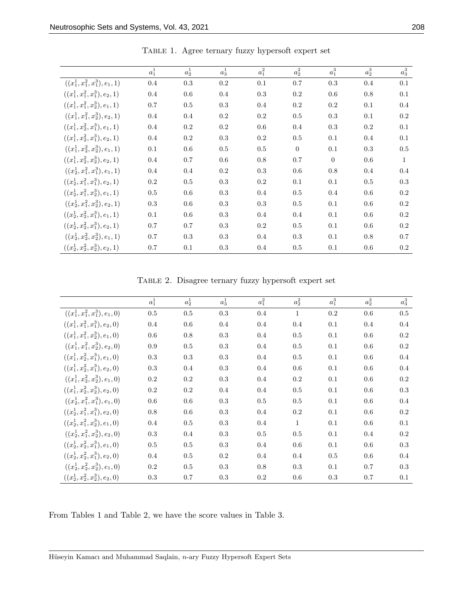|                                   | $a_1^1$ | $a_2^1$ | $a_3^1$ | $a_1^2$ | $a_2^2$        | $a_1^3$        | $a_2^3$ | $a_3^3$      |
|-----------------------------------|---------|---------|---------|---------|----------------|----------------|---------|--------------|
| $((x_1^1, x_1^2, x_1^3), e_1, 1)$ | 0.4     | 0.3     | 0.2     | 0.1     | $0.7\,$        | $\rm 0.3$      | 0.4     | 0.1          |
| $((x_1^1, x_1^2, x_1^3), e_2, 1)$ | 0.4     | $0.6\,$ | $0.4\,$ | 0.3     | $0.2\,$        | 0.6            | $0.8\,$ | 0.1          |
| $((x_1^1, x_1^2, x_2^3), e_1, 1)$ | 0.7     | 0.5     | 0.3     | 0.4     | 0.2            | 0.2            | 0.1     | 0.4          |
| $((x_1^1, x_1^2, x_2^3), e_2, 1)$ | 0.4     | 0.4     | 0.2     | 0.2     | 0.5            | 0.3            | 0.1     | 0.2          |
| $((x_1^1, x_2^2, x_1^3), e_1, 1)$ | 0.4     | 0.2     | 0.2     | 0.6     | 0.4            | 0.3            | 0.2     | 0.1          |
| $((x_1^1, x_2^2, x_1^3), e_2, 1)$ | 0.4     | 0.2     | 0.3     | 0.2     | 0.5            | 0.1            | 0.4     | 0.1          |
| $((x_1^1, x_2^2, x_2^3), e_1, 1)$ | 0.1     | 0.6     | 0.5     | 0.5     | $\overline{0}$ | 0.1            | 0.3     | 0.5          |
| $((x_1^1, x_2^2, x_2^3), e_2, 1)$ | 0.4     | 0.7     | 0.6     | 0.8     | 0.7            | $\overline{0}$ | 0.6     | $\mathbf{1}$ |
| $((x_2^1, x_1^2, x_1^3), e_1, 1)$ | 0.4     | 0.4     | 0.2     | 0.3     | 0.6            | $0.8\,$        | 0.4     | 0.4          |
| $((x_2^1, x_1^2, x_1^3), e_2, 1)$ | 0.2     | 0.5     | 0.3     | 0.2     | 0.1            | 0.1            | 0.5     | 0.3          |
| $((x_2^1, x_1^2, x_2^3), e_1, 1)$ | 0.5     | 0.6     | 0.3     | 0.4     | 0.5            | 0.4            | 0.6     | 0.2          |
| $((x_2^1, x_1^2, x_2^3), e_2, 1)$ | 0.3     | 0.6     | 0.3     | 0.3     | 0.5            | 0.1            | 0.6     | 0.2          |
| $((x_2^1, x_2^2, x_1^3), e_1, 1)$ | 0.1     | 0.6     | 0.3     | 0.4     | 0.4            | 0.1            | 0.6     | 0.2          |
| $((x_2^1, x_2^2, x_1^3), e_2, 1)$ | 0.7     | 0.7     | 0.3     | 0.2     | 0.5            | 0.1            | 0.6     | 0.2          |
| $((x_2^1, x_2^2, x_2^3), e_1, 1)$ | 0.7     | 0.3     | 0.3     | 0.4     | 0.3            | 0.1            | 0.8     | 0.7          |
| $((x_2^1, x_2^2, x_2^3), e_2, 1)$ | 0.7     | 0.1     | 0.3     | 0.4     | 0.5            | 0.1            | 0.6     | $0.2\,$      |

Table 1. Agree ternary fuzzy hypersoft expert set

Table 2. Disagree ternary fuzzy hypersoft expert set

|                                   | $a_1^1$ | $a_2^1$ | $a_3^1$ | $a_1^2$ | $a_2^2$      | $a_1^3$   | $a_2^3$ | $a_3^3$ |
|-----------------------------------|---------|---------|---------|---------|--------------|-----------|---------|---------|
| $((x_1^1, x_1^2, x_1^3), e_1, 0)$ | $0.5\,$ | 0.5     | 0.3     | 0.4     | $\mathbf{1}$ | $\rm 0.2$ | $0.6\,$ | 0.5     |
| $((x_1^1, x_1^2, x_1^3), e_2, 0)$ | $0.4\,$ | 0.6     | $0.4\,$ | 0.4     | 0.4          | 0.1       | 0.4     | 0.4     |
| $((x_1^1, x_1^2, x_2^3), e_1, 0)$ | 0.6     | 0.8     | 0.3     | 0.4     | $0.5\,$      | 0.1       | 0.6     | 0.2     |
| $((x_1^1, x_1^2, x_2^3), e_2, 0)$ | $0.9\,$ | $0.5\,$ | 0.3     | 0.4     | $0.5\,$      | 0.1       | 0.6     | 0.2     |
| $((x_1^1, x_2^2, x_1^3), e_1, 0)$ | 0.3     | 0.3     | 0.3     | 0.4     | $0.5\,$      | 0.1       | 0.6     | 0.4     |
| $((x_1^1, x_2^2, x_1^3), e_2, 0)$ | 0.3     | $0.4\,$ | 0.3     | 0.4     | 0.6          | 0.1       | 0.6     | 0.4     |
| $((x_1^1, x_2^2, x_2^3), e_1, 0)$ | $0.2\,$ | $0.2\,$ | 0.3     | 0.4     | 0.2          | 0.1       | 0.6     | 0.2     |
| $((x_1^1, x_2^2, x_2^3), e_2, 0)$ | $0.2\,$ | $0.2\,$ | $0.4\,$ | 0.4     | 0.5          | 0.1       | 0.6     | 0.3     |
| $((x_2^1, x_1^2, x_1^3), e_1, 0)$ | 0.6     | 0.6     | 0.3     | $0.5\,$ | 0.5          | 0.1       | 0.6     | 0.4     |
| $((x_2^1, x_1^2, x_1^3), e_2, 0)$ | $0.8\,$ | 0.6     | 0.3     | 0.4     | 0.2          | 0.1       | 0.6     | 0.2     |
| $((x_2^1, x_1^2, x_2^3), e_1, 0)$ | $0.4\,$ | 0.5     | 0.3     | 0.4     | $\mathbf{1}$ | 0.1       | 0.6     | 0.1     |
| $((x_2^1, x_1^2, x_2^3), e_2, 0)$ | 0.3     | $0.4\,$ | 0.3     | 0.5     | $0.5\,$      | 0.1       | 0.4     | 0.2     |
| $((x_2^1, x_2^2, x_1^3), e_1, 0)$ | 0.5     | 0.5     | 0.3     | 0.4     | 0.6          | 0.1       | 0.6     | 0.3     |
| $((x_2^1, x_2^2, x_1^3), e_2, 0)$ | 0.4     | 0.5     | 0.2     | 0.4     | 0.4          | 0.5       | 0.6     | 0.4     |
| $((x_2^1, x_2^2, x_2^3), e_1, 0)$ | 0.2     | 0.5     | 0.3     | 0.8     | 0.3          | 0.1       | 0.7     | 0.3     |
| $((x_2^1, x_2^2, x_2^3), e_2, 0)$ | 0.3     | 0.7     | 0.3     | 0.2     | 0.6          | 0.3       | 0.7     | 0.1     |

From Tables 1 and Table 2, we have the score values in Table 3.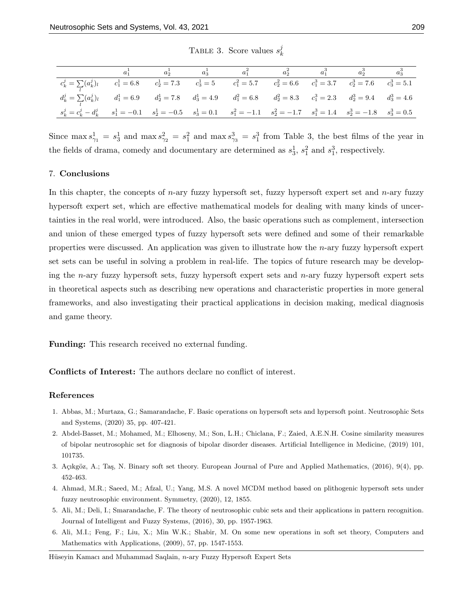|                                                                                                                                              |  | $a_1^1$ $a_2^1$ $a_3^1$ $a_1^2$ $a_2^2$ $a_1^3$ $a_2^3$ $a_3^3$ |  |  |
|----------------------------------------------------------------------------------------------------------------------------------------------|--|-----------------------------------------------------------------|--|--|
| $c_k^j = \sum_l (a_k^j)_l$ $c_1^1 = 6.8$ $c_2^1 = 7.3$ $c_3^1 = 5$ $c_1^2 = 5.7$ $c_2^2 = 6.6$ $c_1^3 = 3.7$ $c_2^3 = 7.6$ $c_3^3 = 5.1$     |  |                                                                 |  |  |
| $d_k^j = \sum_l (a_k^j)_l$ $d_1^1 = 6.9$ $d_2^1 = 7.8$ $d_3^1 = 4.9$ $d_1^2 = 6.8$ $d_2^2 = 8.3$ $c_1^3 = 2.3$ $d_2^3 = 9.4$ $d_3^3 = 4.6$   |  |                                                                 |  |  |
| $s_k^j = c_k^j - d_k^j$ $s_1^1 = -0.1$ $s_2^1 = -0.5$ $s_3^1 = 0.1$ $s_1^2 = -1.1$ $s_2^2 = -1.7$ $s_1^3 = 1.4$ $s_2^3 = -1.8$ $s_3^3 = 0.5$ |  |                                                                 |  |  |

TABLE 3. Score values  $s_k^j$ k

Since  $\max s_{\gamma_1}^1 = s_3^1$  and  $\max s_{\gamma_2}^2 = s_1^2$  and  $\max s_{\gamma_3}^3 = s_1^3$  from Table 3, the best films of the year in the fields of drama, comedy and documentary are determined as  $s_3^1$ ,  $s_1^2$  and  $s_1^3$ , respectively.

#### 7. Conclusions

In this chapter, the concepts of *n*-ary fuzzy hypersoft set, fuzzy hypersoft expert set and *n*-ary fuzzy hypersoft expert set, which are effective mathematical models for dealing with many kinds of uncertainties in the real world, were introduced. Also, the basic operations such as complement, intersection and union of these emerged types of fuzzy hypersoft sets were defined and some of their remarkable properties were discussed. An application was given to illustrate how the n-ary fuzzy hypersoft expert set sets can be useful in solving a problem in real-life. The topics of future research may be developing the n-ary fuzzy hypersoft sets, fuzzy hypersoft expert sets and n-ary fuzzy hypersoft expert sets in theoretical aspects such as describing new operations and characteristic properties in more general frameworks, and also investigating their practical applications in decision making, medical diagnosis and game theory.

**Funding:** This research received no external funding.

Conflicts of Interest: The authors declare no conflict of interest.

#### References

- 1. Abbas, M.; Murtaza, G.; Samarandache, F. Basic operations on hypersoft sets and hypersoft point. Neutrosophic Sets and Systems, (2020) 35, pp. 407-421.
- 2. Abdel-Basset, M.; Mohamed, M.; Elhoseny, M.; Son, L.H.; Chiclana, F.; Zaied, A.E.N.H. Cosine similarity measures of bipolar neutrosophic set for diagnosis of bipolar disorder diseases. Artificial Intelligence in Medicine, (2019) 101, 101735.
- 3. Açıkgöz, A.; Taş, N. Binary soft set theory. European Journal of Pure and Applied Mathematics, (2016), 9(4), pp. 452-463.
- 4. Ahmad, M.R.; Saeed, M.; Afzal, U.; Yang, M.S. A novel MCDM method based on plithogenic hypersoft sets under fuzzy neutrosophic environment. Symmetry, (2020), 12, 1855.
- 5. Ali, M.; Deli, I.; Smarandache, F. The theory of neutrosophic cubic sets and their applications in pattern recognition. Journal of Intelligent and Fuzzy Systems, (2016), 30, pp. 1957-1963.
- 6. Ali, M.I.; Feng, F.; Liu, X.; Min W.K.; Shabir, M. On some new operations in soft set theory, Computers and Mathematics with Applications, (2009), 57, pp. 1547-1553.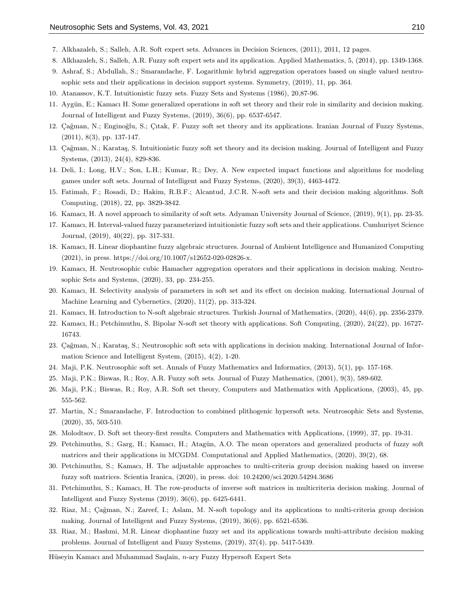- 7. Alkhazaleh, S.; Salleh, A.R. Soft expert sets. Advances in Decision Sciences, (2011), 2011, 12 pages.
- 8. Alkhazaleh, S.; Salleh, A.R. Fuzzy soft expert sets and its application. Applied Mathematics, 5, (2014), pp. 1349-1368.
- 9. Ashraf, S.; Abdullah, S.; Smarandache, F. Logarithmic hybrid aggregation operators based on single valued neutrosophic sets and their applications in decision support systems. Symmetry, (2019), 11, pp. 364.
- 10. Atanassov, K.T. Intuitionistic fuzzy sets. Fuzzy Sets and Systems (1986), 20,87-96.
- 11. Aygün, E.; Kamacı H. Some generalized operations in soft set theory and their role in similarity and decision making. Journal of Intelligent and Fuzzy Systems, (2019), 36(6), pp. 6537-6547.
- 12. Çağman, N.; Enginoğlu, S.; Çıtak, F. Fuzzy soft set theory and its applications. Iranian Journal of Fuzzy Systems, (2011), 8(3), pp. 137-147.
- 13. Çağman, N.; Karataş, S. Intuitionistic fuzzy soft set theory and its decision making. Journal of Intelligent and Fuzzy Systems, (2013), 24(4), 829-836.
- 14. Deli, I.; Long, H.V.; Son, L.H.; Kumar, R.; Dey, A. New expected impact functions and algorithms for modeling games under soft sets. Journal of Intelligent and Fuzzy Systems, (2020), 39(3), 4463-4472.
- 15. Fatimah, F.; Rosadi, D.; Hakim, R.B.F.; Alcantud, J.C.R. N-soft sets and their decision making algorithms. Soft Computing, (2018), 22, pp. 3829-3842.
- 16. Kamacı, H. A novel approach to similarity of soft sets. Adyaman University Journal of Science, (2019), 9(1), pp. 23-35.
- 17. Kamacı, H. Interval-valued fuzzy parameterized intuitionistic fuzzy soft sets and their applications. Cumhuriyet Science Journal, (2019), 40(22), pp. 317-331.
- 18. Kamacı, H. Linear diophantine fuzzy algebraic structures. Journal of Ambient Intelligence and Humanized Computing (2021), in press. https://doi.org/10.1007/s12652-020-02826-x.
- 19. Kamacı, H. Neutrosophic cubic Hamacher aggregation operators and their applications in decision making. Neutrosophic Sets and Systems, (2020), 33, pp. 234-255.
- 20. Kamacı, H. Selectivity analysis of parameters in soft set and its effect on decision making. International Journal of Machine Learning and Cybernetics, (2020), 11(2), pp. 313-324.
- 21. Kamacı, H. Introduction to N-soft algebraic structures. Turkish Journal of Mathematics, (2020), 44(6), pp. 2356-2379.
- 22. Kamacı, H.; Petchimuthu, S. Bipolar N-soft set theory with applications. Soft Computing, (2020), 24(22), pp. 16727- 16743.
- 23. Çağman, N.; Karataş, S.; Neutrosophic soft sets with applications in decision making. International Journal of Information Science and Intelligent System, (2015), 4(2), 1-20.
- 24. Maji, P.K. Neutrosophic soft set. Annals of Fuzzy Mathematics and Informatics, (2013), 5(1), pp. 157-168.
- 25. Maji, P.K.; Biswas, R.; Roy, A.R. Fuzzy soft sets. Journal of Fuzzy Mathematics, (2001), 9(3), 589-602.
- 26. Maji, P.K.; Biswas, R.; Roy, A.R. Soft set theory, Computers and Mathematics with Applications, (2003), 45, pp. 555-562.
- 27. Martin, N.; Smarandache, F. Introduction to combined plithogenic hypersoft sets. Neutrosophic Sets and Systems, (2020), 35, 503-510.
- 28. Molodtsov, D. Soft set theory-first results. Computers and Mathematics with Applications, (1999), 37, pp. 19-31.
- 29. Petchimuthu, S.; Garg, H.; Kamacı, H.; Atagün, A.O. The mean operators and generalized products of fuzzy soft matrices and their applications in MCGDM. Computational and Applied Mathematics, (2020), 39(2), 68.
- 30. Petchimuthu, S.; Kamacı, H. The adjustable approaches to multi-criteria group decision making based on inverse fuzzy soft matrices. Scientia Iranica, (2020), in press. doi: 10.24200/sci.2020.54294.3686
- 31. Petchimuthu, S.; Kamacı, H. The row-products of inverse soft matrices in multicriteria decision making. Journal of Intelligent and Fuzzy Systems (2019), 36(6), pp. 6425-6441.
- 32. Riaz, M.; Çağman, N.; Zareef, I.; Aslam, M. N-soft topology and its applications to multi-criteria group decision making. Journal of Intelligent and Fuzzy Systems, (2019), 36(6), pp. 6521-6536.
- 33. Riaz, M.; Hashmi, M.R. Linear diophantine fuzzy set and its applications towards multi-attribute decision making problems. Journal of Intelligent and Fuzzy Systems, (2019), 37(4), pp. 5417-5439.